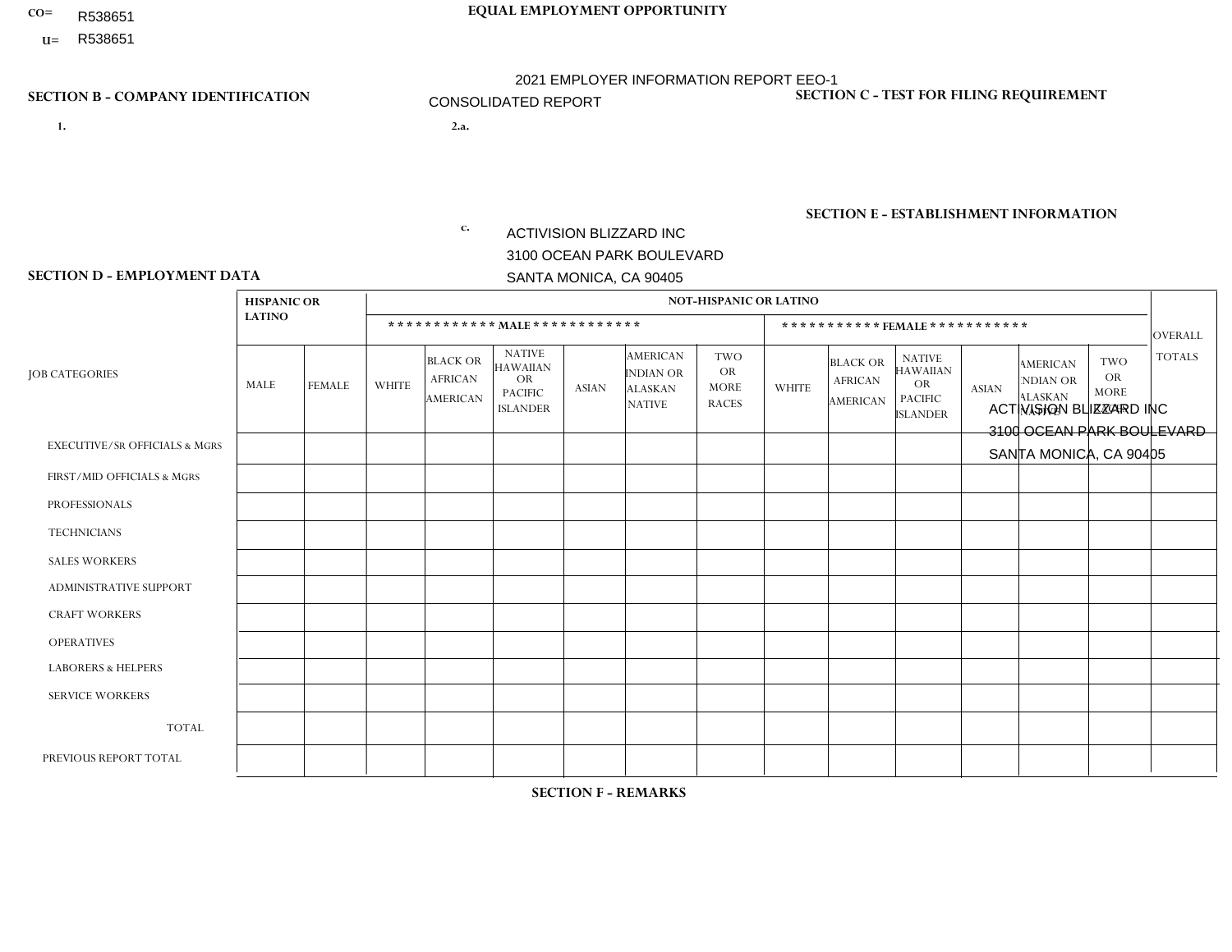- R538651
- **U=**

# **CO= EQUAL EMPLOYMENT OPPORTUNITY** 2021 EMPLOYER INFORMATION REPORT EEO-1 CONSOLIDATED REPORT

- **1. 2.a.** ACTIVISION BLIZZARD INC 3100 OCEAN PARK BOULEVARD SANTA MONICA, CA 90405
- 2.a. ACTIVISION BLIZZARD INC 3100 OCEAN PARK BOULEVARD SANTA MONICA, CA 90405

c.  $EIN = 161465268$ 

### **SECTION B - COMPANY IDENTIFICATION SECTION C - TEST FOR FILING REQUIREMENT**

1- Y 2- Y 3- Y DUNS= 098533342

**SECTION E - ESTABLISHMENT INFORMATION c.** NAICS: 511210 - Software Publishers

### **SECTION D - EMPLOYMENT DATA**

| <b>HISPANIC OR</b>                                              |              |                                                      |                                                                                    |              |                                                                        | <b>NOT-HISPANIC OR LATINO</b>                          |              |                                               |                                                                                    |                |                                                                       |                                                        |                |
|-----------------------------------------------------------------|--------------|------------------------------------------------------|------------------------------------------------------------------------------------|--------------|------------------------------------------------------------------------|--------------------------------------------------------|--------------|-----------------------------------------------|------------------------------------------------------------------------------------|----------------|-----------------------------------------------------------------------|--------------------------------------------------------|----------------|
| <b>LATINO</b>                                                   |              |                                                      | ************ MAIE************                                                      |              |                                                                        |                                                        |              | *********** FEMALE ***********                |                                                                                    |                |                                                                       |                                                        | <b>OVERALL</b> |
| <b>JOB CATEGORIES</b><br>MALE<br><b>FEMALE</b>                  | <b>WHITE</b> | <b>BLACK OR</b><br><b>AFRICAN</b><br><b>AMERICAN</b> | <b>NATIVE</b><br><b>HAWAIIAN</b><br><b>OR</b><br><b>PACIFIC</b><br><b>ISLANDER</b> | <b>ASIAN</b> | <b>AMERICAN</b><br><b>INDIAN OR</b><br><b>ALASKAN</b><br><b>NATIVE</b> | <b>TWO</b><br><b>OR</b><br><b>MORE</b><br><b>RACES</b> | <b>WHITE</b> | <b>BLACK OR</b><br><b>AFRICAN</b><br>AMERICAN | <b>NATIVE</b><br><b>HAWAIIAN</b><br><b>OR</b><br><b>PACIFIC</b><br><b>ISLANDER</b> | <b>ASIAN</b>   | <b>AMERICAN</b><br><b>NDIAN OR</b><br><b>ALASKAN</b><br><b>NATIVE</b> | <b>TWO</b><br><b>OR</b><br><b>MORE</b><br><b>RACES</b> | <b>TOTALS</b>  |
| <b>EXECUTIVE/SR OFFICIALS &amp; MGRS</b><br>6<br>$\overline{4}$ | 85           | $\mathbf 0$                                          | $\Omega$                                                                           | 21           | $\overline{\mathbf{1}}$                                                | 4                                                      | 26           | $\Omega$                                      | $\Omega$                                                                           | $\overline{7}$ | $\Omega$                                                              | 3                                                      | 157            |
| 23<br>70<br>FIRST/MID OFFICIALS & MGRS                          | 686          | 18                                                   | $\overline{2}$                                                                     | 176          | 5                                                                      | 41                                                     | 147          | 14                                            | 1                                                                                  | 68             | $\Omega$                                                              | 11                                                     | 1262           |
| 243<br>70<br><b>PROFESSIONALS</b>                               | 2274         | 76                                                   | 11                                                                                 | 632          | $\overline{4}$                                                         | 143                                                    | 438          | 22                                            | 4                                                                                  | 268            | 3                                                                     | 62                                                     | 4250           |
| 33<br>$\overline{7}$<br><b>TECHNICIANS</b>                      | 437          | 30                                                   | $\overline{2}$                                                                     | 63           | $\overline{4}$                                                         | 49                                                     | 98           | 5                                             | $\Omega$                                                                           | 6              | 1                                                                     | 9                                                      | 744            |
| $\overline{2}$<br>$\Omega$<br><b>SALES WORKERS</b>              | 28           | $\mathbf 0$                                          | $\Omega$                                                                           | 13           | $\Omega$                                                               | 3                                                      | 10           | $\Omega$                                      | $\overline{1}$                                                                     | 3              | $\Omega$                                                              | $\mathbf{1}$                                           | 61             |
| ADMINISTRATIVE SUPPORT<br>38<br>22                              | 104          | 5                                                    | $\overline{2}$                                                                     | 18           | $\Omega$                                                               | $\overline{7}$                                         | 57           | 8                                             | $\overline{2}$                                                                     | 26             | $\Omega$                                                              | $\overline{7}$                                         | 296            |
| <b>CRAFT WORKERS</b><br>$\Omega$<br>0                           | $\Omega$     | $\mathbf 0$                                          | $\Omega$                                                                           | $\Omega$     | $\Omega$                                                               | $\Omega$                                               | 0            | $\Omega$                                      | $\Omega$                                                                           | $\Omega$       | $\Omega$                                                              | $\Omega$                                               | $\Omega$       |
| <b>OPERATIVES</b><br>$\Omega$<br>0                              | $\mathbf 0$  | $\mathbf 0$                                          | $\Omega$                                                                           | $\Omega$     | $\Omega$                                                               | $\Omega$                                               | $\Omega$     | $\Omega$                                      | $\Omega$                                                                           | $\Omega$       | $\Omega$                                                              | $\Omega$                                               | $\mathbf 0$    |
| <b>LABORERS &amp; HELPERS</b><br>$\Omega$<br>0                  | $\Omega$     | 0                                                    | 0                                                                                  | $\Omega$     | $\Omega$                                                               | $\Omega$                                               | $\Omega$     | $\Omega$                                      | $\Omega$                                                                           | $\Omega$       | $\Omega$                                                              | $\Omega$                                               | $\mathbf 0$    |
| <b>SERVICE WORKERS</b><br>$\Omega$<br>0                         | $\Omega$     | $\mathbf 0$                                          | 0                                                                                  | $\Omega$     | $\Omega$                                                               | $\Omega$                                               | $\Omega$     | $\Omega$                                      | $\Omega$                                                                           | $\Omega$       | $\Omega$                                                              | $\Omega$                                               | $\mathbf 0$    |
| <b>TOTAL</b><br>128<br>390                                      | 3614         | 129                                                  | 17                                                                                 | 923          | 14                                                                     | 247                                                    | 776          | 49                                            | 8                                                                                  | 378            | 4                                                                     | 93                                                     | 6770           |
| 112<br>409<br>PREVIOUS REPORT TOTAL                             | 3776         | 140                                                  | 21                                                                                 | 888          | 19                                                                     | 260                                                    | 772          | 53                                            | 6                                                                                  | 335            | 4                                                                     | 76                                                     | 6871           |

**SECTION F - REMARKS**

DATES OF PAYROLL PERIOD: 12/12/2021 THRU 12/25/2021 **SECTION G - CERTIFICATION CERTIFIED DATE [EST]: 5/10/2022 9:49 PM**

CERTIFYING OFFICIAL: Julie Machock EMAIL: julie.machock@activision.com EEO1 REPORT CONTACT PERSON: LORRAINE BELTRAN EMAIL: lorraine.beltran@activision.com

TITLE: VP, People Experience PHONE: 424-744-5695 TITLE: People Technology Reporting Analyst PHONE: 310-752-0513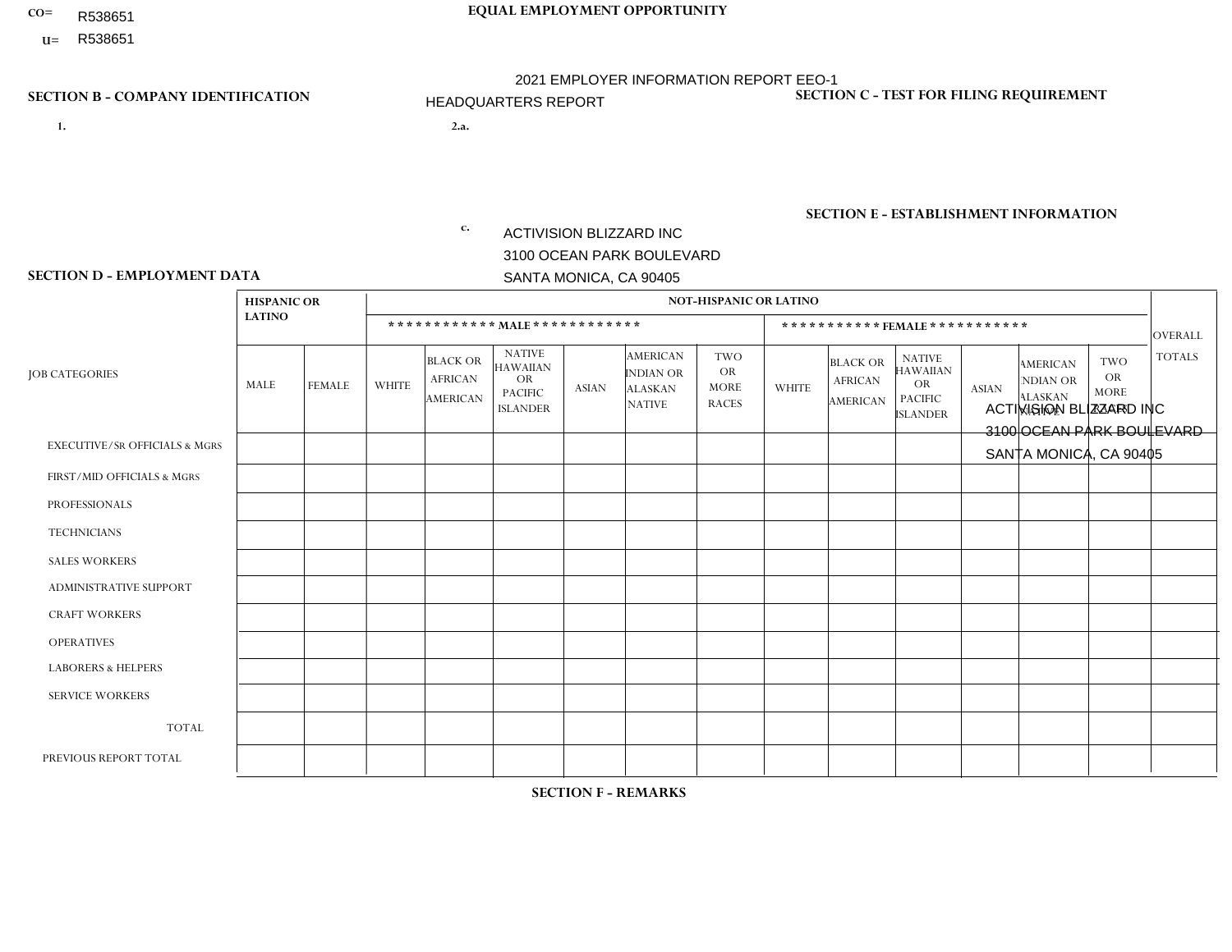- R538651
- **U=**

# **CO= EQUAL EMPLOYMENT OPPORTUNITY** 2021 EMPLOYER INFORMATION REPORT EEO-1 HEADQUARTERS REPORT

- **1. 2.a.** ACTIVISION BLIZZARD INC 3100 OCEAN PARK BOULEVARD SANTA MONICA, CA 90405
- 2.a. ACTIVISION BLIZZARD INC 3100 OCEAN PARK BOULEVARD SANTA MONICA, CA 90405

EIN= 161465268

## **SECTION B - COMPANY IDENTIFICATION SECTION C - TEST FOR FILING REQUIREMENT**

1- Y 2- Y 3- Y DUNS= 098533342

**SECTION E - ESTABLISHMENT INFORMATION c.** NAICS: 511210 - Software Publishers

### **SECTION D - EMPLOYMENT DATA**

|                                          | <b>HISPANIC OR</b> |               |                |                                                      |                                                                                    |              |                                                                        | <b>NOT-HISPANIC OR LATINO</b>                   |                |                                               |                                                                             |              |                                                                |                                                        |                |
|------------------------------------------|--------------------|---------------|----------------|------------------------------------------------------|------------------------------------------------------------------------------------|--------------|------------------------------------------------------------------------|-------------------------------------------------|----------------|-----------------------------------------------|-----------------------------------------------------------------------------|--------------|----------------------------------------------------------------|--------------------------------------------------------|----------------|
|                                          | <b>LATINO</b>      |               |                |                                                      | ************ MALE ************                                                     |              |                                                                        |                                                 |                | ***********FEMALE***********                  |                                                                             |              |                                                                |                                                        | <b>OVERALL</b> |
| <b>JOB CATEGORIES</b>                    | MALE               | <b>FEMALE</b> | <b>WHITE</b>   | <b>BLACK OR</b><br><b>AFRICAN</b><br><b>AMERICAN</b> | <b>NATIVE</b><br><b>HAWAIIAN</b><br><b>OR</b><br><b>PACIFIC</b><br><b>ISLANDER</b> | <b>ASIAN</b> | <b>AMERICAN</b><br><b>INDIAN OR</b><br><b>ALASKAN</b><br><b>NATIVE</b> | TWO<br><b>OR</b><br><b>MORE</b><br><b>RACES</b> | <b>WHITE</b>   | <b>BLACK OR</b><br><b>AFRICAN</b><br>AMERICAN | <b>NATIVE</b><br><b>HAWAIIAN</b><br>OR<br><b>PACIFIC</b><br><b>ISLANDER</b> | <b>ASIAN</b> | <b>AMERICAN</b><br>NDIAN OR<br><b>ALASKAN</b><br><b>NATIVE</b> | <b>TWO</b><br><b>OR</b><br><b>MORE</b><br><b>RACES</b> | <b>TOTALS</b>  |
| <b>EXECUTIVE/SR OFFICIALS &amp; MGRS</b> |                    | $\mathbf{1}$  | 24             | $\mathbf 0$                                          | $\Omega$                                                                           | 8            | $\Omega$                                                               | 3                                               | 15             | $\Omega$                                      | $\Omega$                                                                    |              | $\Omega$                                                       | $\mathbf{1}$                                           | 54             |
| FIRST/MID OFFICIALS & MGRS               | 4                  | 5             | 47             | 1                                                    | 0                                                                                  | 20           | $\Omega$                                                               | 5                                               | 32             | 5                                             | $\Omega$                                                                    | 24           | $\Omega$                                                       | $\overline{4}$                                         | 147            |
| <b>PROFESSIONALS</b>                     | 11                 | 11            | 35             | 4                                                    | $\Omega$                                                                           | 19           | $\Omega$                                                               | $\overline{7}$                                  | 19             | 6                                             | 1                                                                           | 18           | $\Omega$                                                       | 2                                                      | 133            |
| <b>TECHNICIANS</b>                       | $\Omega$           | $\mathbf{0}$  | $\Omega$       | $\mathbf 0$                                          | $\Omega$                                                                           | $\Omega$     | $\Omega$                                                               | $\Omega$                                        | $\Omega$       | $\Omega$                                      | $\Omega$                                                                    | $\Omega$     | $\Omega$                                                       | $\Omega$                                               | $\overline{0}$ |
| <b>SALES WORKERS</b>                     | $\Omega$           | $\Omega$      | $\overline{c}$ | $\Omega$                                             | $\Omega$                                                                           | $\Omega$     | $\Omega$                                                               | $\Omega$                                        | $\overline{0}$ | $\Omega$                                      | 1                                                                           | $\Omega$     | $\Omega$                                                       | $\mathbf{1}$                                           | $\overline{4}$ |
| <b>ADMINISTRATIVE SUPPORT</b>            | $\overline{2}$     | 5             | 3              | $\overline{2}$                                       | 0                                                                                  | 3            | $\Omega$                                                               |                                                 | 12             | 5                                             | $\Omega$                                                                    | 8            | $\Omega$                                                       | $\overline{2}$                                         | 43             |
| <b>CRAFT WORKERS</b>                     | 0                  | $\mathbf 0$   | $\mathbf 0$    | $\mathbf 0$                                          | 0                                                                                  | $\Omega$     | $\Omega$                                                               | $\Omega$                                        | $\Omega$       | $\Omega$                                      | $\Omega$                                                                    | $\Omega$     | $\Omega$                                                       | $\mathbf 0$                                            | $\mathbf{0}$   |
| <b>OPERATIVES</b>                        | 0                  | 0             | $\mathbf 0$    | $\mathbf 0$                                          | $\Omega$                                                                           | $\Omega$     | $\Omega$                                                               | $\Omega$                                        | 0              | $\Omega$                                      | $\Omega$                                                                    | $\Omega$     | $\Omega$                                                       | $\Omega$                                               | $\mathbf 0$    |
| <b>LABORERS &amp; HELPERS</b>            | 0                  | $\Omega$      | $\Omega$       | $\mathbf 0$                                          | $\Omega$                                                                           | $\Omega$     | $\Omega$                                                               | $\Omega$                                        | $\Omega$       | $\Omega$                                      | $\Omega$                                                                    | $\mathbf{0}$ | $\Omega$                                                       | $\Omega$                                               | $\overline{0}$ |
| <b>SERVICE WORKERS</b>                   | 0                  | $\Omega$      | $\mathbf 0$    | $\mathbf 0$                                          | $\mathbf{0}$                                                                       | $\Omega$     | $\Omega$                                                               | $\Omega$                                        | $\Omega$       | $\Omega$                                      | $\Omega$                                                                    | $\Omega$     | $\Omega$                                                       | $\mathbf 0$                                            | $\mathbf 0$    |
| <b>TOTAL</b>                             | 18                 | 22            | 111            | $\overline{7}$                                       | 0                                                                                  | 50           | $\Omega$                                                               | 16                                              | 78             | 16                                            | 2                                                                           | 51           | $\Omega$                                                       | 10                                                     | 381            |
| PREVIOUS REPORT TOTAL                    | 44                 | 24            | 267            | 12                                                   | -1                                                                                 | 88           | -1                                                                     | 36                                              | 128            | 15                                            | 3                                                                           | 61           | $\Omega$                                                       | 19                                                     | 699            |

**SECTION F - REMARKS**

Employees at this location are moving to new locations.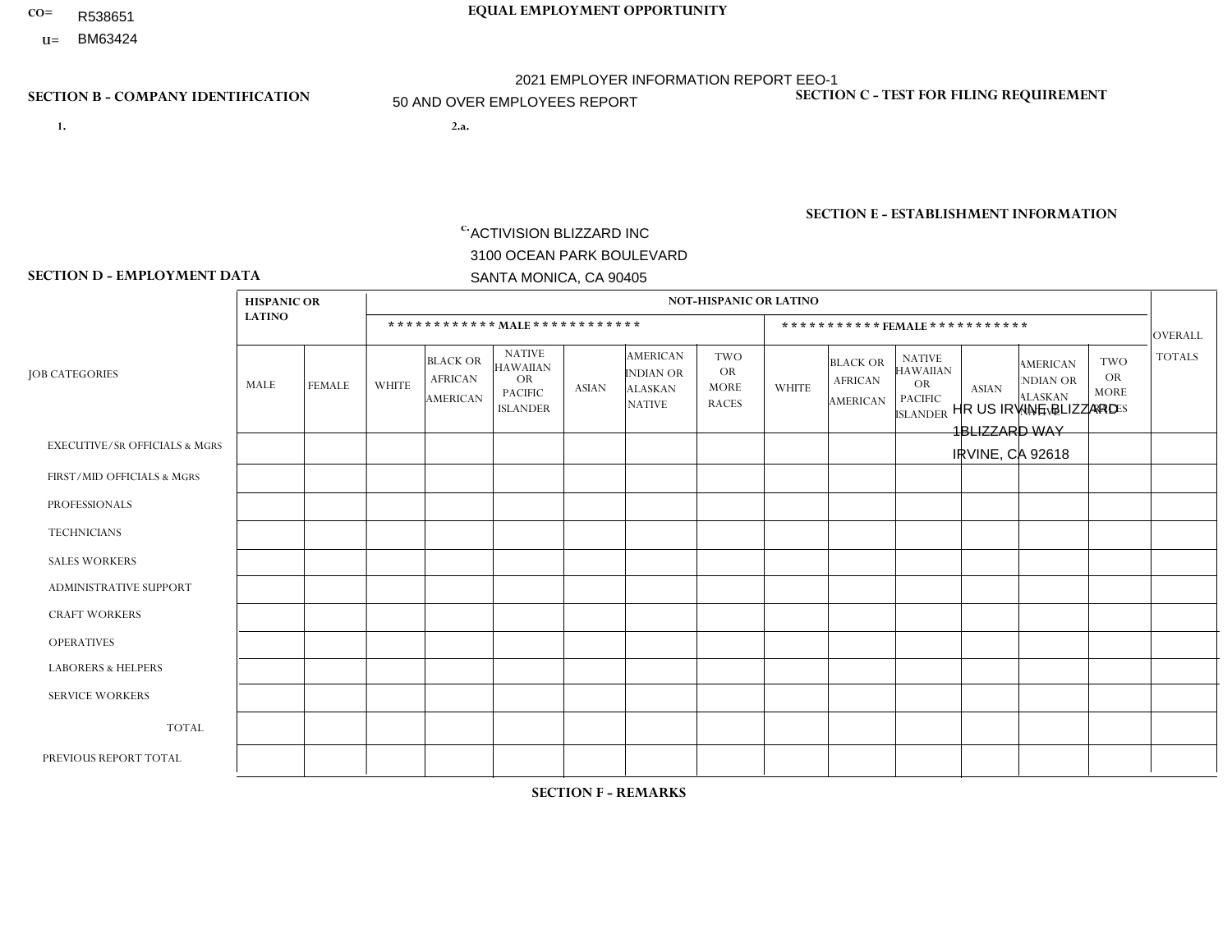- R538651
- **U=**

**1. 2.a.** ACTIVISION BLIZZARD INC 3100 OCEAN PARK BOULEVARD SANTA MONICA, CA 90405

2.a. HR US IRVINE BLIZZARD 1BLIZZARD WAY IRVINE, CA 92618

EIN= 161465268

## **SECTION B - COMPANY IDENTIFICATION SECTION C - TEST FOR FILING REQUIREMENT**

1- Y 2- Y 3- Y DUNS= 098533342

**SECTION E - ESTABLISHMENT INFORMATION c.** NAICS: 511210 - Software Publishers

### **SECTION D - EMPLOYMENT DATA**

|                                          |                    | <b>NOT-HISPANIC OR LATINO</b> |              |                                                      |                                                                                    |                |                                                                        |                                                 |                |                                               |                                                                             |              |                                                                |                                                        |                |
|------------------------------------------|--------------------|-------------------------------|--------------|------------------------------------------------------|------------------------------------------------------------------------------------|----------------|------------------------------------------------------------------------|-------------------------------------------------|----------------|-----------------------------------------------|-----------------------------------------------------------------------------|--------------|----------------------------------------------------------------|--------------------------------------------------------|----------------|
|                                          | <b>HISPANIC OR</b> |                               |              |                                                      |                                                                                    |                |                                                                        |                                                 |                |                                               |                                                                             |              |                                                                |                                                        |                |
|                                          | <b>LATINO</b>      |                               |              |                                                      | ************ MALE ************                                                     |                |                                                                        |                                                 |                | ***********FEMALE***********                  |                                                                             |              |                                                                |                                                        | <b>OVERALL</b> |
| <b>JOB CATEGORIES</b>                    | MALE               | <b>FEMALE</b>                 | <b>WHITE</b> | <b>BLACK OR</b><br><b>AFRICAN</b><br><b>AMERICAN</b> | <b>NATIVE</b><br><b>HAWAIIAN</b><br><b>OR</b><br><b>PACIFIC</b><br><b>ISLANDER</b> | <b>ASIAN</b>   | <b>AMERICAN</b><br><b>INDIAN OR</b><br><b>ALASKAN</b><br><b>NATIVE</b> | TWO<br><b>OR</b><br><b>MORE</b><br><b>RACES</b> | <b>WHITE</b>   | <b>BLACK OR</b><br><b>AFRICAN</b><br>AMERICAN | <b>NATIVE</b><br><b>HAWAIIAN</b><br>OR<br><b>PACIFIC</b><br><b>ISLANDER</b> | <b>ASIAN</b> | <b>AMERICAN</b><br>NDIAN OR<br><b>ALASKAN</b><br><b>NATIVE</b> | <b>TWO</b><br><b>OR</b><br><b>MORE</b><br><b>RACES</b> | <b>TOTALS</b>  |
| <b>EXECUTIVE/SR OFFICIALS &amp; MGRS</b> | 3                  | $\mathbf{1}$                  | 22           | $\mathbf 0$                                          | $\Omega$                                                                           | 8              | $\Omega$                                                               |                                                 | $\overline{7}$ | $\Omega$                                      | $\Omega$                                                                    | 4            | $\Omega$                                                       | $\Omega$                                               | 46             |
| FIRST/MID OFFICIALS & MGRS               | 23                 | 13                            | 272          | 3                                                    |                                                                                    | 73             | 3                                                                      | 18                                              | 41             |                                               | 1                                                                           | 23           | $\Omega$                                                       | 3                                                      | 475            |
| <b>PROFESSIONALS</b>                     | 119                | 33                            | 1227         | 25                                                   | 5                                                                                  | 341            | 3                                                                      | 79                                              | 273            | 8                                             | $\overline{2}$                                                              | 155          | 1                                                              | 35                                                     | 2306           |
| <b>TECHNICIANS</b>                       | 8                  | $\mathbf{0}$                  | 25           | $\overline{2}$                                       | $\Omega$                                                                           | 3              | $\Omega$                                                               | $\overline{\mathbf{A}}$                         | $\overline{2}$ | $\Omega$                                      | $\Omega$                                                                    | 3            | $\Omega$                                                       | $\mathbf{1}$                                           | 45             |
| <b>SALES WORKERS</b>                     | $\Omega$           | $\Omega$                      | $\Omega$     | $\mathbf 0$                                          | $\Omega$                                                                           | $\overline{1}$ | $\Omega$                                                               | $\Omega$                                        | $\overline{0}$ | $\Omega$                                      | $\Omega$                                                                    | $\Omega$     | $\Omega$                                                       | $\Omega$                                               | $\mathbf{1}$   |
| <b>ADMINISTRATIVE SUPPORT</b>            | 5                  | $\overline{4}$                | 19           | $\overline{1}$                                       |                                                                                    | 9              | $\Omega$                                                               | $\Omega$                                        | 19             | 1                                             | -1                                                                          | 9            | $\Omega$                                                       | $\Omega$                                               | 69             |
| <b>CRAFT WORKERS</b>                     | 0                  | $\mathbf 0$                   | $\mathbf 0$  | $\mathbf 0$                                          | $\Omega$                                                                           | $\Omega$       | $\Omega$                                                               | $\Omega$                                        | $\Omega$       | $\Omega$                                      | $\Omega$                                                                    | $\Omega$     | $\Omega$                                                       | $\mathbf 0$                                            | $\mathbf 0$    |
| <b>OPERATIVES</b>                        | 0                  | 0                             | $\mathbf 0$  | $\mathbf 0$                                          | $\Omega$                                                                           | $\Omega$       | $\Omega$                                                               | $\Omega$                                        | 0              | $\Omega$                                      | $\Omega$                                                                    | $\Omega$     | $\Omega$                                                       | $\Omega$                                               | $\mathbf 0$    |
| <b>LABORERS &amp; HELPERS</b>            | 0                  | $\Omega$                      | $\Omega$     | $\mathbf 0$                                          | $\Omega$                                                                           | $\Omega$       | $\Omega$                                                               | $\Omega$                                        | $\Omega$       | $\Omega$                                      | $\Omega$                                                                    | $\Omega$     | $\Omega$                                                       | $\Omega$                                               | $\overline{0}$ |
| <b>SERVICE WORKERS</b>                   | 0                  | 0                             | $\Omega$     | $\mathbf 0$                                          | $\mathbf{0}$                                                                       | $\Omega$       | $\Omega$                                                               | $\Omega$                                        | 0              | $\Omega$                                      | $\Omega$                                                                    | $\Omega$     | $\Omega$                                                       | $\mathbf 0$                                            | $\mathbf 0$    |
| <b>TOTAL</b>                             | 158                | 51                            | 1565         | 31                                                   | $\overline{7}$                                                                     | 435            | 6                                                                      | 99                                              | 342            | 10                                            | 4                                                                           | 194          | 1                                                              | 39                                                     | 2942           |
| PREVIOUS REPORT TOTAL                    | 165                | 45                            | 1672         | 34                                                   | 9                                                                                  | 455            | 5                                                                      | 108                                             | 335            | 14                                            | $\overline{2}$                                                              | 183          | -1                                                             | 33                                                     | 3061           |

## **SECTION F - REMARKS**

3 non-binary gender employees in Job Category Professionals: Race/Ethnicity: Asian. 1 non-binary gender employee in Job Category Professionals: Race/Ethnicity: Hispanic or Latino. 1 non-binary gender employee in Job Category Professionals: Race/Ethnicity: Native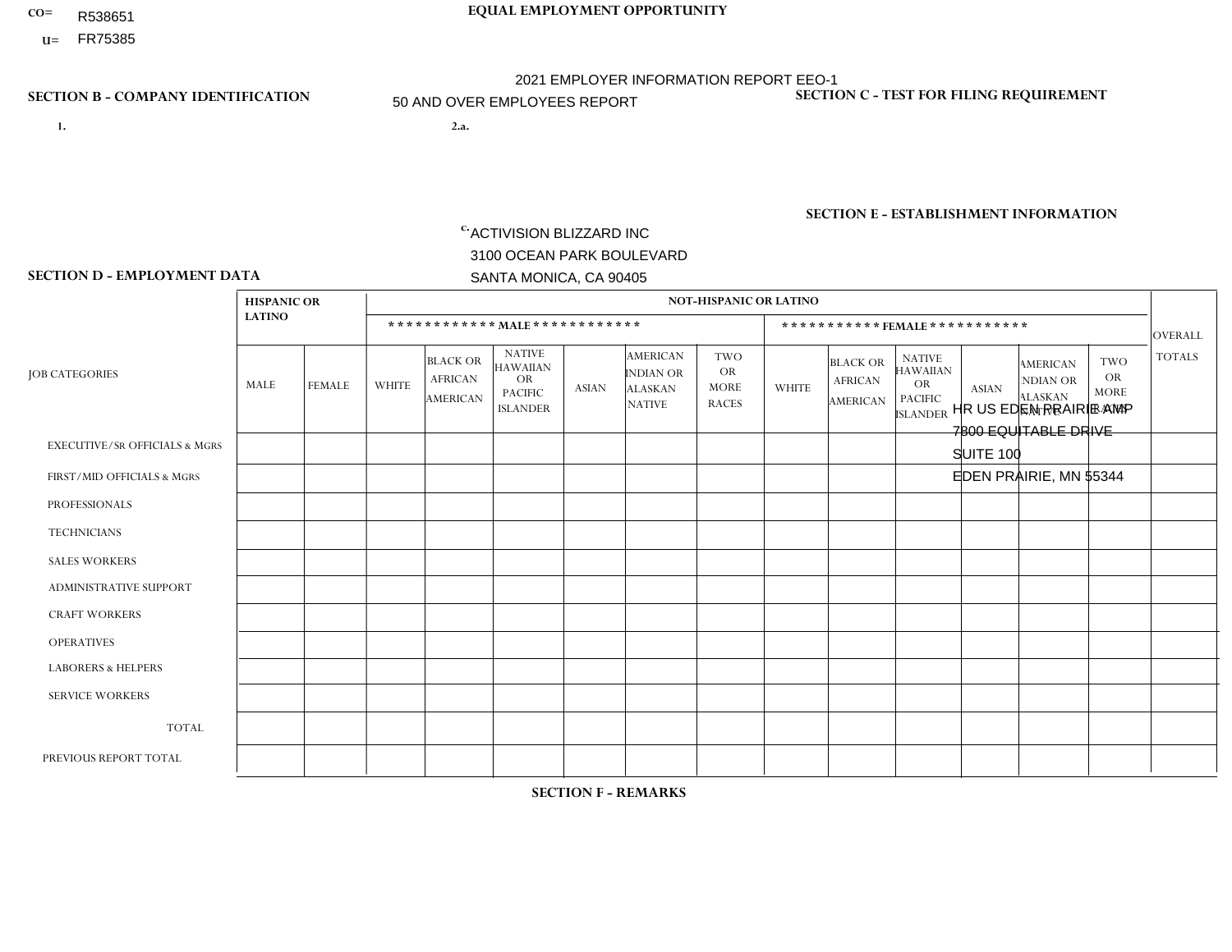- R538651
- **U=**

**1. 2.a.** ACTIVISION BLIZZARD INC 3100 OCEAN PARK BOULEVARD SANTA MONICA, CA 90405

2.a. HR US EDEN PRAIRIE AMP 7800 EQUITABLE DRIVE SUITE 100 EDEN PRAIRIE, MN 55344

 $c.$  EIN= 161465268

## **SECTION B - COMPANY IDENTIFICATION SECTION C - TEST FOR FILING REQUIREMENT**

1- Y 2- Y 3- Y DUNS= 098533342

**SECTION E - ESTABLISHMENT INFORMATION c.** NAICS: 511210 - Software Publishers

## **SECTION D - EMPLOYMENT DATA**

|                                          | <b>HISPANIC OR</b> |                |                |                                                      |                                                                                    |              |                                                                        | <b>NOT-HISPANIC OR LATINO</b>                          |                |                                                      |                                                                                    |                |                                                                       |                                                        |                |
|------------------------------------------|--------------------|----------------|----------------|------------------------------------------------------|------------------------------------------------------------------------------------|--------------|------------------------------------------------------------------------|--------------------------------------------------------|----------------|------------------------------------------------------|------------------------------------------------------------------------------------|----------------|-----------------------------------------------------------------------|--------------------------------------------------------|----------------|
|                                          | <b>LATINO</b>      |                |                |                                                      | ************ MALE ************                                                     |              |                                                                        |                                                        |                |                                                      | ***********FEMALE ***********                                                      |                |                                                                       |                                                        | <b>OVERALL</b> |
| <b>JOB CATEGORIES</b>                    | <b>MALE</b>        | <b>FEMALE</b>  | <b>WHITE</b>   | <b>BLACK OR</b><br><b>AFRICAN</b><br><b>AMERICAN</b> | <b>NATIVE</b><br><b>HAWAIIAN</b><br><b>OR</b><br><b>PACIFIC</b><br><b>ISLANDER</b> | <b>ASIAN</b> | <b>AMERICAN</b><br><b>INDIAN OR</b><br><b>ALASKAN</b><br><b>NATIVE</b> | <b>TWO</b><br><b>OR</b><br><b>MORE</b><br><b>RACES</b> | <b>WHITE</b>   | <b>BLACK OR</b><br><b>AFRICAN</b><br><b>AMERICAN</b> | <b>NATIVE</b><br><b>HAWAIIAN</b><br><b>OR</b><br><b>PACIFIC</b><br><b>ISLANDER</b> | <b>ASIAN</b>   | <b>AMERICAN</b><br><b>NDIAN OR</b><br><b>ALASKAN</b><br><b>NATIVE</b> | <b>TWO</b><br><b>OR</b><br><b>MORE</b><br><b>RACES</b> | <b>TOTALS</b>  |
| <b>EXECUTIVE/SR OFFICIALS &amp; MGRS</b> | $\mathbf 0$        | $\mathbf{0}$   | $\mathbf 0$    | $\mathbf 0$                                          | $\mathbf 0$                                                                        | $\mathbf{0}$ | $\Omega$                                                               | $\Omega$                                               | $\Omega$       | $\Omega$                                             | $\Omega$                                                                           | $\mathbf 0$    | $\Omega$                                                              | $\Omega$                                               | $\mathbf 0$    |
| FIRST/MID OFFICIALS & MGRS               | 0                  | $\mathbf 0$    | 3              | $\mathbf 0$                                          | $\mathbf 0$                                                                        | 2            | $\mathbf{0}$                                                           | $\Omega$                                               | $\Omega$       | $\Omega$                                             | $\mathbf{0}$                                                                       | $\mathbf 0$    | $\mathbf{0}$                                                          | $\Omega$                                               | 5              |
| <b>PROFESSIONALS</b>                     | 1                  | $\mathbf 0$    | 16             | 2                                                    | $\mathbf 0$                                                                        | $\mathbf{1}$ | $\mathbf{0}$                                                           | $\overline{2}$                                         | 3              | $\Omega$                                             | $\Omega$                                                                           | $\mathbf{0}$   | $\Omega$                                                              | 1                                                      | 26             |
| <b>TECHNICIANS</b>                       | 21                 | $\overline{4}$ | 347            | 21                                                   | 1                                                                                  | 50           | $\overline{4}$                                                         | 40                                                     | 76             | 3                                                    | $\mathbf{0}$                                                                       | 3              |                                                                       | 5                                                      | 576            |
| <b>SALES WORKERS</b>                     | $\mathbf 0$        | $\mathbf 0$    | $\mathbf 0$    | $\mathbf 0$                                          | $\mathbf 0$                                                                        | $\mathbf 0$  | $\Omega$                                                               | $\Omega$                                               | $\Omega$       | $\Omega$                                             | $\Omega$                                                                           | $\Omega$       | $\Omega$                                                              | $\mathbf{0}$                                           | $\mathbf 0$    |
| <b>ADMINISTRATIVE SUPPORT</b>            | 0                  | $\mathbf 0$    | $\overline{4}$ | 0                                                    | $\mathbf 0$                                                                        | $\mathbf{1}$ | $\mathbf{0}$                                                           | $\Omega$                                               | $\overline{2}$ | $\mathbf 0$                                          | $\mathbf 0$                                                                        | $\mathbf{1}$   | $\Omega$                                                              | $\Omega$                                               | 8              |
| <b>CRAFT WORKERS</b>                     | 0                  | $\Omega$       | $\mathbf 0$    | $\mathbf 0$                                          | $\mathbf 0$                                                                        | $\Omega$     | $\Omega$                                                               | $\Omega$                                               | $\Omega$       | $\Omega$                                             | $\mathbf{0}$                                                                       | $\mathbf{0}$   | $\Omega$                                                              | $\Omega$                                               | $\mathbf 0$    |
| <b>OPERATIVES</b>                        | 0                  | $\Omega$       | $\mathbf 0$    | $\mathbf 0$                                          | $\mathbf 0$                                                                        | $\Omega$     | $\Omega$                                                               | $\Omega$                                               | $\Omega$       | $\Omega$                                             | $\Omega$                                                                           | $\Omega$       | $\Omega$                                                              | $\mathbf{0}$                                           | $\overline{0}$ |
| <b>LABORERS &amp; HELPERS</b>            | 0                  | $\Omega$       | $\mathbf 0$    | 0                                                    | $\Omega$                                                                           | $\Omega$     | $\Omega$                                                               | $\Omega$                                               | $\Omega$       | $\Omega$                                             | $\Omega$                                                                           | $\Omega$       | $\Omega$                                                              | $\mathbf{0}$                                           | $\overline{0}$ |
| <b>SERVICE WORKERS</b>                   | 0                  | $\mathbf 0$    | $\mathbf 0$    | $\mathbf 0$                                          | $\mathbf 0$                                                                        | $\mathbf 0$  | $\Omega$                                                               | $\Omega$                                               | $\Omega$       | $\Omega$                                             | $\Omega$                                                                           | $\Omega$       | $\mathbf{0}$                                                          | $\Omega$                                               | $\overline{0}$ |
| <b>TOTAL</b>                             | 22                 | $\overline{4}$ | 370            | 23                                                   | $\mathbf{1}$                                                                       | 54           | $\overline{4}$                                                         | 42                                                     | 81             | 3                                                    | $\Omega$                                                                           | 4              |                                                                       | 6                                                      | 615            |
| PREVIOUS REPORT TOTAL                    | 31                 | 3              | 481            | 43                                                   | 1                                                                                  | 58           | $\overline{7}$                                                         | 50                                                     | 104            | 9                                                    | $\mathbf{0}$                                                                       | $\overline{7}$ | $\mathbf{0}$                                                          | 8                                                      | 802            |

## **SECTION F - REMARKS**

2 non-binary gender employees in Job Category Professionals: Race/Ethnicity: White (Not Hispanic or Latino). 2 non-binary gender

employees in Job Category Technicians: Race/Ethnicity: Two or More Races. 22 non-binary gender employee in Job Category Technicians:

# **CO= EQUAL EMPLOYMENT OPPORTUNITY** 2021 EMPLOYER INFORMATION REPORT EEO-1 50 AND OVER EMPLOYEES REPORT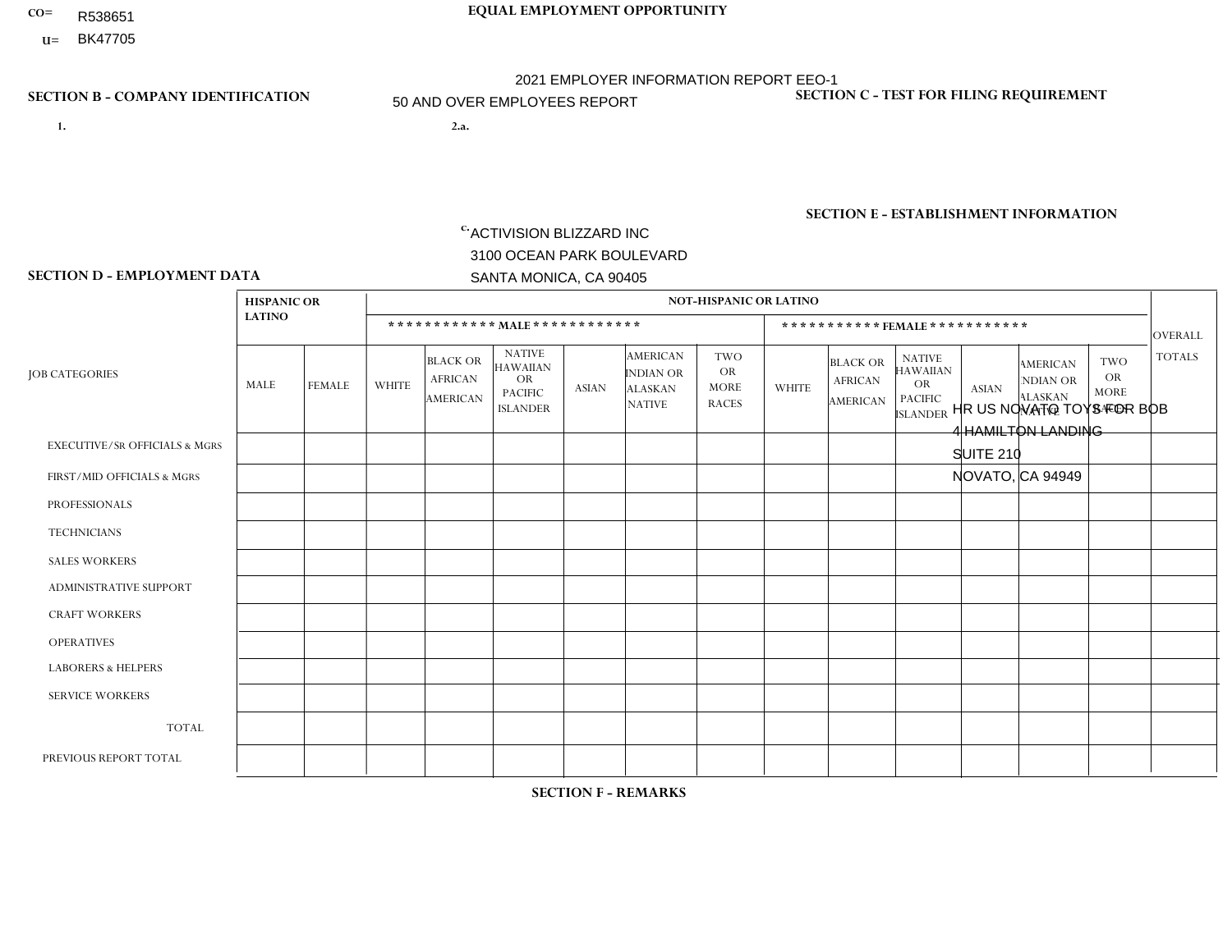- R538651
- **U=**

- **1. 2.a.** ACTIVISION BLIZZARD INC 3100 OCEAN PARK BOULEVARD SANTA MONICA, CA 90405
- 2.a. HR US NOVATO TOYS FOR BOB 4 HAMILTON LANDING SUITE 210 NOVATO, CA 94949
	- EIN= 161465268

## **SECTION B - COMPANY IDENTIFICATION SECTION C - TEST FOR FILING REQUIREMENT**

1- Y 2- Y 3- Y DUNS= 098533342

**SECTION E - ESTABLISHMENT INFORMATION c.** NAICS: 511210 - Software Publishers

### **SECTION D - EMPLOYMENT DATA**

|                                          | <b>HISPANIC OR</b> |               |                |                                                      |                                                                             |              |                                                                        | <b>NOT-HISPANIC OR LATINO</b>                          |                |                                                      |                                                                                    |                |                                                                       |                                                  |                |
|------------------------------------------|--------------------|---------------|----------------|------------------------------------------------------|-----------------------------------------------------------------------------|--------------|------------------------------------------------------------------------|--------------------------------------------------------|----------------|------------------------------------------------------|------------------------------------------------------------------------------------|----------------|-----------------------------------------------------------------------|--------------------------------------------------|----------------|
|                                          | <b>LATINO</b>      |               |                | ************ MALE ************                       |                                                                             |              |                                                                        |                                                        |                | ***********FEMALE***********                         |                                                                                    |                |                                                                       |                                                  | OVERALL        |
| <b>JOB CATEGORIES</b>                    | <b>MALE</b>        | <b>FEMALE</b> | <b>WHITE</b>   | <b>BLACK OR</b><br><b>AFRICAN</b><br><b>AMERICAN</b> | <b>NATIVE</b><br><b>HAWAIIAN</b><br>OR<br><b>PACIFIC</b><br><b>ISLANDER</b> | <b>ASIAN</b> | <b>AMERICAN</b><br><b>INDIAN OR</b><br><b>ALASKAN</b><br><b>NATIVE</b> | <b>TWO</b><br><b>OR</b><br><b>MORE</b><br><b>RACES</b> | <b>WHITE</b>   | <b>BLACK OR</b><br><b>AFRICAN</b><br><b>AMERICAN</b> | <b>NATIVE</b><br><b>HAWAIIAN</b><br><b>OR</b><br><b>PACIFIC</b><br><b>ISLANDER</b> | <b>ASIAN</b>   | <b>AMERICAN</b><br><b>NDIAN OR</b><br><b>ALASKAN</b><br><b>NATIVE</b> | <b>TWO</b><br>OR.<br><b>MORE</b><br><b>RACES</b> | <b>TOTALS</b>  |
| <b>EXECUTIVE/SR OFFICIALS &amp; MGRS</b> | $\Omega$           | $\mathbf 0$   | 1              | $\mathbf 0$                                          | $\mathbf 0$                                                                 | $\mathbf{1}$ | $\Omega$                                                               | $\mathbf{0}$                                           | $\Omega$       | $\mathbf{0}$                                         | 0                                                                                  | $\Omega$       | $\Omega$                                                              | $\mathbf 0$                                      | $\overline{2}$ |
| FIRST/MID OFFICIALS & MGRS               | $\mathbf 0$        | $\mathbf 0$   | 11             | $\mathbf 0$                                          | $\mathbf 0$                                                                 | 0            | -1                                                                     | $\mathbf{0}$                                           | 5              | $\Omega$                                             | 0                                                                                  | $\Omega$       | $\Omega$                                                              | $\mathbf 0$                                      | 17             |
| <b>PROFESSIONALS</b>                     | 3                  | $\mathbf 0$   | 28             | $\overline{c}$                                       | $\mathbf 0$                                                                 | 10           | $\Omega$                                                               |                                                        | $\overline{2}$ | $\Omega$                                             | 0                                                                                  | 3              | $\Omega$                                                              | $\mathbf 0$                                      | 49             |
| <b>TECHNICIANS</b>                       | $\mathbf 0$        | $\mathbf 0$   | $\overline{4}$ | $\mathbf 0$                                          | $\mathbf 0$                                                                 | 0            | $\mathbf{0}$                                                           | $\mathbf{0}$                                           | $\mathbf 1$    | $\Omega$                                             | $\Omega$                                                                           | $\Omega$       | $\Omega$                                                              | $\mathbf 0$                                      | 5              |
| <b>SALES WORKERS</b>                     | 0                  | $\mathbf 0$   | $\Omega$       | $\mathbf 0$                                          | $\mathbf 0$                                                                 | 0            | $\Omega$                                                               | $\mathbf{0}$                                           | $\Omega$       | $\Omega$                                             | 0                                                                                  | $\Omega$       | $\Omega$                                                              | $\Omega$                                         | $\mathbf 0$    |
| <b>ADMINISTRATIVE SUPPORT</b>            | $\Omega$           | $\Omega$      | 1              | $\Omega$                                             | $\Omega$                                                                    | $\Omega$     | $\Omega$                                                               | $\mathbf{0}$                                           | $\mathbf{1}$   | $\Omega$                                             | 0                                                                                  | $\Omega$       | $\Omega$                                                              | $\Omega$                                         | $\overline{2}$ |
| <b>CRAFT WORKERS</b>                     | $\Omega$           | $\mathbf 0$   | 0              | $\mathbf 0$                                          | $\mathbf 0$                                                                 | 0            | $\Omega$                                                               | $\Omega$                                               | $\Omega$       | $\Omega$                                             | 0                                                                                  | $\Omega$       | $\Omega$                                                              | $\Omega$                                         | $\mathbf{0}$   |
| <b>OPERATIVES</b>                        | $\Omega$           | $\mathbf 0$   | 0              | $\mathbf 0$                                          | $\mathbf 0$                                                                 | 0            | $\Omega$                                                               | $\Omega$                                               | $\Omega$       | $\Omega$                                             | 0                                                                                  | $\Omega$       | $\Omega$                                                              | $\Omega$                                         | $\mathsf{O}$   |
| <b>LABORERS &amp; HELPERS</b>            | $\Omega$           | $\mathbf 0$   | 0              | 0                                                    | $\mathbf 0$                                                                 | 0            | $\mathbf{0}$                                                           | $\Omega$                                               | $\Omega$       | $\Omega$                                             | 0                                                                                  | $\Omega$       | $\Omega$                                                              | $\Omega$                                         | $\mathbf{0}$   |
| <b>SERVICE WORKERS</b>                   | $\Omega$           | $\Omega$      | 0              | $\mathbf 0$                                          | 0                                                                           | 0            | $\Omega$                                                               | $\Omega$                                               | $\Omega$       | $\Omega$                                             | 0                                                                                  | $\Omega$       | $\Omega$                                                              | $\Omega$                                         | $\overline{0}$ |
| <b>TOTAL</b>                             | 3                  | $\mathbf 0$   | 45             | $\overline{c}$                                       | $\mathbf 0$                                                                 | 11           | -1                                                                     | -1                                                     | 9              | $\Omega$                                             | 0                                                                                  | 3              | $\Omega$                                                              | $\mathbf 0$                                      | 75             |
| PREVIOUS REPORT TOTAL                    | 3                  | $\mathbf 0$   | 57             | $\overline{2}$                                       |                                                                             | 13           |                                                                        | $\overline{4}$                                         | 11             | $\Omega$                                             | 0                                                                                  | $\overline{2}$ | 0                                                                     | $\mathbf 0$                                      | 94             |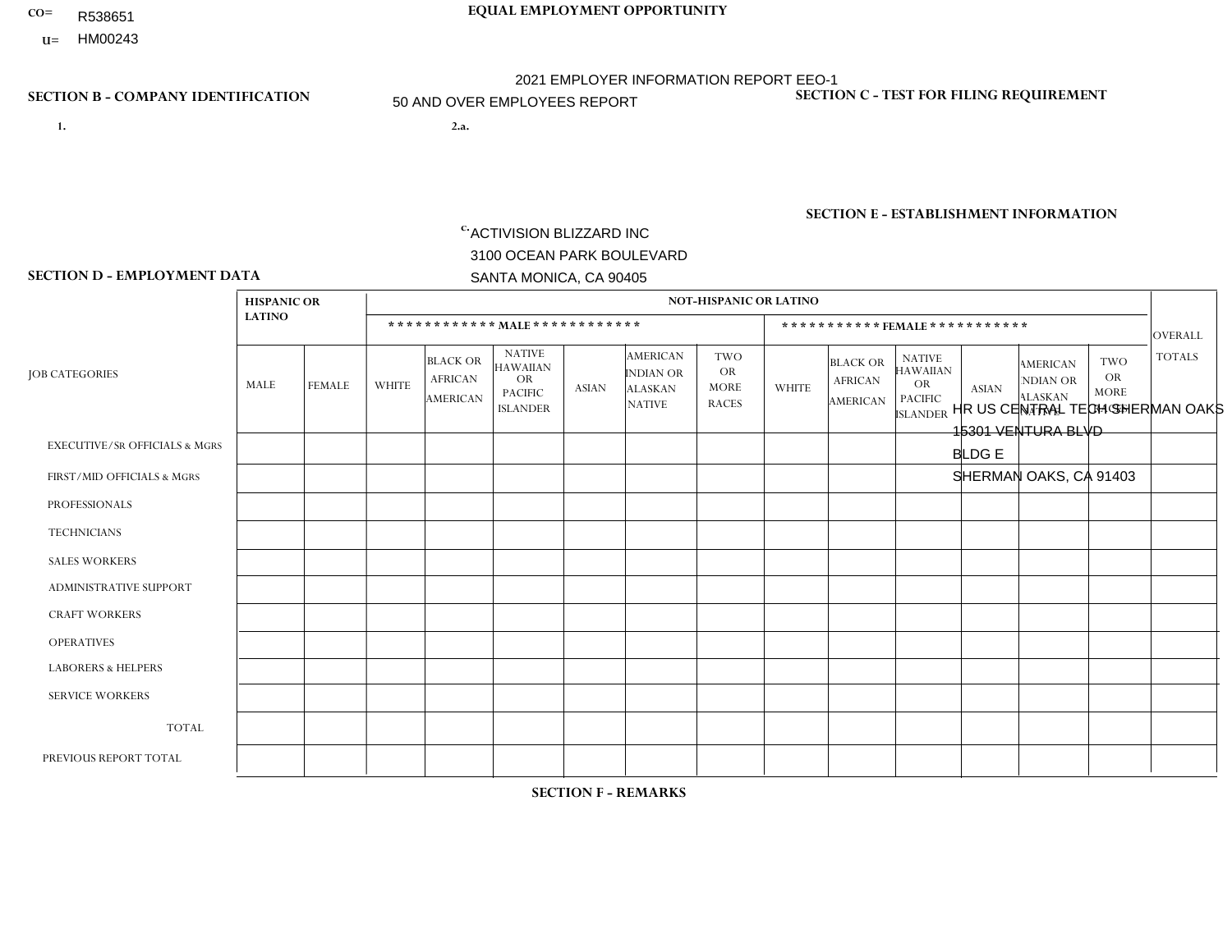- **CO= EQUAL EMPLOYMENT OPPORTUNITY** R538651
- **U=**

- **1. 2.a.** ACTIVISION BLIZZARD INC 3100 OCEAN PARK BOULEVARD SANTA MONICA, CA 90405
- 2.a. HR US CENTRAL TECH SHERMAN OAKS 15301 VENTURA BLVD BLDG E SHERMAN OAKS, CA 91403

2021 EMPLOYER INFORMATION REPORT EEO-1 50 AND OVER EMPLOYEES REPORT

EIN= 161465268

### **SECTION B - COMPANY IDENTIFICATION SECTION C - TEST FOR FILING REQUIREMENT**

1- Y 2- Y 3- Y DUNS= 098533342

## **SECTION E - ESTABLISHMENT INFORMATION c.** NAICS: 511210 - Software Publishers

### **SECTION D - EMPLOYMENT DATA**

|                                          | <b>HISPANIC OR</b> |                |                |                                                      |                                                                             |              |                                                                 | <b>NOT-HISPANIC OR LATINO</b>                          |                |                                                      |                                                                                    |              |                                                                       |                                                        |                |
|------------------------------------------|--------------------|----------------|----------------|------------------------------------------------------|-----------------------------------------------------------------------------|--------------|-----------------------------------------------------------------|--------------------------------------------------------|----------------|------------------------------------------------------|------------------------------------------------------------------------------------|--------------|-----------------------------------------------------------------------|--------------------------------------------------------|----------------|
|                                          | <b>LATINO</b>      |                |                |                                                      | ************ MALE ************                                              |              |                                                                 |                                                        |                |                                                      | *********** FEMALE ***********                                                     |              |                                                                       |                                                        | <b>OVERALL</b> |
| <b>JOB CATEGORIES</b>                    | MALE               | <b>FEMALE</b>  | <b>WHITE</b>   | <b>BLACK OR</b><br><b>AFRICAN</b><br><b>AMERICAN</b> | <b>NATIVE</b><br><b>HAWAIIAN</b><br>OR<br><b>PACIFIC</b><br><b>ISLANDER</b> | <b>ASIAN</b> | <b>AMERICAN</b><br>INDIAN OR<br><b>ALASKAN</b><br><b>NATIVE</b> | <b>TWO</b><br><b>OR</b><br><b>MORE</b><br><b>RACES</b> | <b>WHITE</b>   | <b>BLACK OR</b><br><b>AFRICAN</b><br><b>AMERICAN</b> | <b>NATIVE</b><br><b>HAWAIIAN</b><br><b>OR</b><br><b>PACIFIC</b><br><b>ISLANDER</b> | <b>ASIAN</b> | <b>AMERICAN</b><br><b>NDIAN OR</b><br><b>ALASKAN</b><br><b>NATIVE</b> | <b>TWO</b><br><b>OR</b><br><b>MORE</b><br><b>RACES</b> | <b>TOTALS</b>  |
| <b>EXECUTIVE/SR OFFICIALS &amp; MGRS</b> | $\mathbf 0$        | $\mathbf 0$    | 1              | $\mathbf 0$                                          | $\mathbf 0$                                                                 | $\mathbf 0$  | $\Omega$                                                        | $\mathbf{0}$                                           | $\Omega$       | $\Omega$                                             | $\Omega$                                                                           | $\mathbf 0$  | $\Omega$                                                              | $\Omega$                                               |                |
| FIRST/MID OFFICIALS & MGRS               | 0                  | $\mathbf{1}$   | 10             | $\mathbf 0$                                          | $\mathbf 0$                                                                 | 3            | $\mathbf{0}$                                                    | $\Omega$                                               | 3              | $\Omega$                                             | $\mathbf{0}$                                                                       | $\Omega$     | $\Omega$                                                              | $\Omega$                                               | 17             |
| <b>PROFESSIONALS</b>                     | $\overline{2}$     | $\overline{2}$ | 28             | $\overline{2}$                                       | $\mathbf 0$                                                                 | 12           | $\mathbf{0}$                                                    | $\Omega$                                               | 6              | 0                                                    | $\Omega$                                                                           | 1            | $\mathbf 0$                                                           | 2                                                      | 55             |
| <b>TECHNICIANS</b>                       | 0                  | $\mathbf{0}$   | $\mathbf 0$    | $\mathbf 0$                                          | $\Omega$                                                                    | $\Omega$     | $\Omega$                                                        | $\Omega$                                               | $\Omega$       | $\Omega$                                             | $\Omega$                                                                           | $\Omega$     | $\Omega$                                                              | $\Omega$                                               | $\overline{0}$ |
| <b>SALES WORKERS</b>                     | $\Omega$           | $\mathbf 0$    | $\mathbf 0$    | $\mathbf 0$                                          | $\mathbf 0$                                                                 | $\Omega$     | $\mathbf{0}$                                                    | $\Omega$                                               | $\Omega$       | $\Omega$                                             | $\mathbf{0}$                                                                       | $\Omega$     | $\mathbf{0}$                                                          | $\Omega$                                               | $\mathbf 0$    |
| <b>ADMINISTRATIVE SUPPORT</b>            | $\Omega$           | $\Omega$       | $\overline{1}$ | $\Omega$                                             | $\Omega$                                                                    | $\Omega$     | $\mathbf{0}$                                                    | $\Omega$                                               | $\Omega$       | $\Omega$                                             | $\mathbf{0}$                                                                       | $\mathbf{0}$ | $\Omega$                                                              | $\mathbf{0}$                                           | $\mathbf{1}$   |
| <b>CRAFT WORKERS</b>                     | 0                  | $\Omega$       | $\mathbf 0$    | $\mathbf 0$                                          | $\mathbf 0$                                                                 | $\Omega$     | $\Omega$                                                        | $\Omega$                                               | $\Omega$       | $\Omega$                                             | $\Omega$                                                                           | $\Omega$     | $\mathbf{0}$                                                          | $\mathbf{0}$                                           | $\Omega$       |
| <b>OPERATIVES</b>                        | 0                  | $\Omega$       | $\mathbf 0$    | $\mathbf 0$                                          | $\Omega$                                                                    | $\Omega$     | $\Omega$                                                        | $\Omega$                                               | $\Omega$       | $\Omega$                                             | $\Omega$                                                                           | $\Omega$     | $\Omega$                                                              | $\Omega$                                               | $\Omega$       |
| <b>LABORERS &amp; HELPERS</b>            | 0                  | $\Omega$       | $\mathbf 0$    | $\mathbf 0$                                          | $\mathbf{0}$                                                                | $\mathbf 0$  | $\Omega$                                                        | $\Omega$                                               | $\Omega$       | $\Omega$                                             | $\Omega$                                                                           | $\mathbf{0}$ | $\Omega$                                                              | $\Omega$                                               | $\overline{0}$ |
| <b>SERVICE WORKERS</b>                   | 0                  | $\Omega$       | $\mathbf 0$    | 0                                                    | $\mathbf 0$                                                                 | $\Omega$     | $\Omega$                                                        | $\Omega$                                               | $\Omega$       | $\Omega$                                             | $\Omega$                                                                           | $\Omega$     | $\Omega$                                                              | $\Omega$                                               | $\overline{0}$ |
| <b>TOTAL</b>                             | $\overline{2}$     | 3              | 40             | $\overline{2}$                                       | $\mathbf 0$                                                                 | 15           | $\Omega$                                                        | $\Omega$                                               | 9              | $\Omega$                                             | $\Omega$                                                                           | 1            | $\mathbf{0}$                                                          | 2                                                      | 74             |
| PREVIOUS REPORT TOTAL                    | 2                  | 3              | 31             | $\mathbf 0$                                          | $\mathbf 0$                                                                 | 11           | $\Omega$                                                        | $\mathbf 1$                                            | $\overline{7}$ | $\Omega$                                             | $\Omega$                                                                           | $\mathbf 0$  | $\Omega$                                                              | 0                                                      | 55             |

## **SECTION F - REMARKS**

1 non-binary gender employee in Job Category Professionals: Race/Ethnicity: White (Not Hispanic or Latino); 1 non-binary gender employee in Job Category Professionals: Race/Ethnicity: Black or African-American.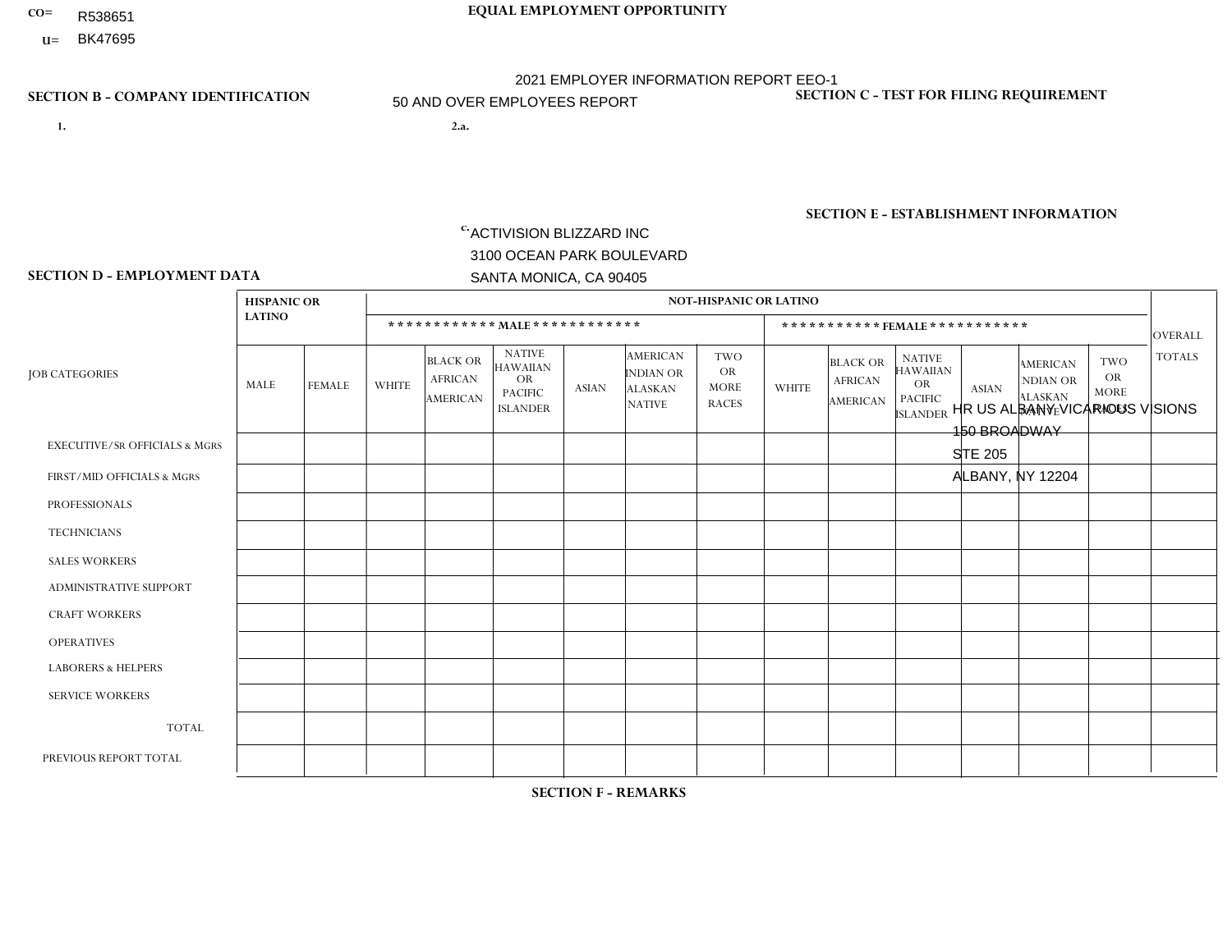- R538651
- **U=**

- **1. 2.a.** ACTIVISION BLIZZARD INC 3100 OCEAN PARK BOULEVARD SANTA MONICA, CA 90405
- 2.a. HR US ALBANY VICARIOUS VISIONS 150 BROADWAY STE 205 ALBANY, NY 12204
	- EIN= 161465268

# **SECTION B - COMPANY IDENTIFICATION SECTION C - TEST FOR FILING REQUIREMENT**

1- Y 2- Y 3- Y DUNS= 098533342

**SECTION E - ESTABLISHMENT INFORMATION c.** NAICS: 511210 - Software Publishers

### **SECTION D - EMPLOYMENT DATA**

|                                          | <b>HISPANIC OR</b> |                |                |                                                      |                                                                                    |              |                                                                        | <b>NOT-HISPANIC OR LATINO</b>                          |              |                                               |                                                                                    |              |                                                                       |                                                        |                |
|------------------------------------------|--------------------|----------------|----------------|------------------------------------------------------|------------------------------------------------------------------------------------|--------------|------------------------------------------------------------------------|--------------------------------------------------------|--------------|-----------------------------------------------|------------------------------------------------------------------------------------|--------------|-----------------------------------------------------------------------|--------------------------------------------------------|----------------|
|                                          | <b>LATINO</b>      |                |                |                                                      | ************ MALE************                                                      |              |                                                                        |                                                        |              | ***********FEMALE***********                  |                                                                                    |              |                                                                       |                                                        | <b>OVERALL</b> |
| <b>JOB CATEGORIES</b>                    | MALE               | FEMALE         | <b>WHITE</b>   | <b>BLACK OR</b><br><b>AFRICAN</b><br><b>AMERICAN</b> | <b>NATIVE</b><br><b>HAWAIIAN</b><br><b>OR</b><br><b>PACIFIC</b><br><b>ISLANDER</b> | <b>ASIAN</b> | <b>AMERICAN</b><br><b>INDIAN OR</b><br><b>ALASKAN</b><br><b>NATIVE</b> | <b>TWO</b><br><b>OR</b><br><b>MORE</b><br><b>RACES</b> | <b>WHITE</b> | <b>BLACK OR</b><br><b>AFRICAN</b><br>AMERICAN | <b>NATIVE</b><br><b>HAWAIIAN</b><br><b>OR</b><br><b>PACIFIC</b><br><b>ISLANDER</b> | <b>ASIAN</b> | <b>AMERICAN</b><br><b>NDIAN OR</b><br><b>ALASKAN</b><br><b>NATIVE</b> | <b>TWO</b><br><b>OR</b><br><b>MORE</b><br><b>RACES</b> | <b>TOTALS</b>  |
| <b>EXECUTIVE/SR OFFICIALS &amp; MGRS</b> | $\Omega$           | 0              | -1             | $\mathbf 0$                                          | 0                                                                                  | $\mathbf 0$  | $\Omega$                                                               | $\Omega$                                               | 0            | $\Omega$                                      | $\Omega$                                                                           | $\mathbf 0$  | $\Omega$                                                              | $\mathbf 0$                                            | $\mathbf{1}$   |
| FIRST/MID OFFICIALS & MGRS               | 0                  | $\Omega$       | 11             | $\overline{1}$                                       | $\Omega$                                                                           | $\Omega$     | $\Omega$                                                               |                                                        | 4            | $\Omega$                                      | $\Omega$                                                                           | $\Omega$     | $\Omega$                                                              | $\Omega$                                               | 17             |
| <b>PROFESSIONALS</b>                     | $\overline{7}$     | $\mathbf{1}$   | 104            | $\overline{2}$                                       | $\Omega$                                                                           | 9            | $\Omega$                                                               | 5                                                      | 16           | $\blacktriangleleft$                          | $\Omega$                                                                           | 3            | 1                                                                     | $\overline{2}$                                         | 151            |
| <b>TECHNICIANS</b>                       | 0                  | $\overline{2}$ | 14             | $\mathbf{1}$                                         | $\Omega$                                                                           | $\Omega$     | $\Omega$                                                               | $\Omega$                                               | 6            | $\Omega$                                      | $\Omega$                                                                           | $\mathbf{0}$ | $\Omega$                                                              | $\Omega$                                               | 23             |
| <b>SALES WORKERS</b>                     | $\Omega$           | $\mathbf{0}$   | $\Omega$       | $\mathbf 0$                                          | $\Omega$                                                                           | $\Omega$     | $\Omega$                                                               | $\Omega$                                               | $\Omega$     | $\Omega$                                      | $\Omega$                                                                           | $\Omega$     | $\Omega$                                                              | $\Omega$                                               | $\overline{0}$ |
| <b>ADMINISTRATIVE SUPPORT</b>            | 0                  | $\Omega$       | $\overline{c}$ | $\mathbf 0$                                          | $\Omega$                                                                           | $\Omega$     | $\Omega$                                                               | $\Omega$                                               | $\Omega$     | $\Omega$                                      | $\Omega$                                                                           | $\mathbf{1}$ | $\Omega$                                                              | $\Omega$                                               | $\mathbf{3}$   |
| <b>CRAFT WORKERS</b>                     | 0                  | $\Omega$       | $\Omega$       | $\Omega$                                             | $\Omega$                                                                           | $\Omega$     | $\Omega$                                                               | $\Omega$                                               | $\Omega$     | $\Omega$                                      | $\Omega$                                                                           | $\Omega$     | $\Omega$                                                              | $\Omega$                                               | $\mathbf 0$    |
| <b>OPERATIVES</b>                        | 0                  | 0              | $\mathbf 0$    | $\mathbf 0$                                          | 0                                                                                  | $\Omega$     | $\Omega$                                                               | $\Omega$                                               | $\Omega$     | $\Omega$                                      | $\Omega$                                                                           | $\Omega$     | $\Omega$                                                              | $\mathbf 0$                                            | 0              |
| <b>LABORERS &amp; HELPERS</b>            | 0                  | $\Omega$       | $\mathbf 0$    | 0                                                    | 0                                                                                  | $\Omega$     | $\Omega$                                                               | $\Omega$                                               | $\Omega$     | $\Omega$                                      | $\Omega$                                                                           | $\Omega$     | $\Omega$                                                              | $\Omega$                                               | $\overline{0}$ |
| <b>SERVICE WORKERS</b>                   | 0                  | $\Omega$       | $\Omega$       | 0                                                    | 0                                                                                  | $\Omega$     | $\Omega$                                                               | $\Omega$                                               | $\Omega$     | $\Omega$                                      | $\Omega$                                                                           | $\Omega$     | $\Omega$                                                              | $\Omega$                                               | $\overline{0}$ |
| <b>TOTAL</b>                             | $\overline{7}$     | 3              | 132            | 4                                                    | 0                                                                                  | 9            | $\Omega$                                                               | 6                                                      | 26           | $\mathbf{1}$                                  | $\Omega$                                                                           | 4            | 1                                                                     | 2                                                      | 195            |
| PREVIOUS REPORT TOTAL                    | 8                  | $\mathbf{1}$   | 138            | 3                                                    | 0                                                                                  | 10           | $\Omega$                                                               | $\overline{7}$                                         | 27           | $\Omega$                                      | $\Omega$                                                                           | 6            | 1                                                                     | $\mathbf 0$                                            | 201            |
|                                          |                    |                |                |                                                      |                                                                                    |              |                                                                        |                                                        |              |                                               |                                                                                    |              |                                                                       |                                                        |                |

## **SECTION F - REMARKS**

2 non-binary gender employees in Job Category Professionals; Race/Ethnicity: White (Not Hispanic or Latino). 1 non-binary gender

employee in Job Category Professionals: Race/Ethnicity: Asian. 1 non-binary gender employee in Job Category: Technician: Race/Ethnicity: White

# **CO= EQUAL EMPLOYMENT OPPORTUNITY** 2021 EMPLOYER INFORMATION REPORT EEO-1 50 AND OVER EMPLOYEES REPORT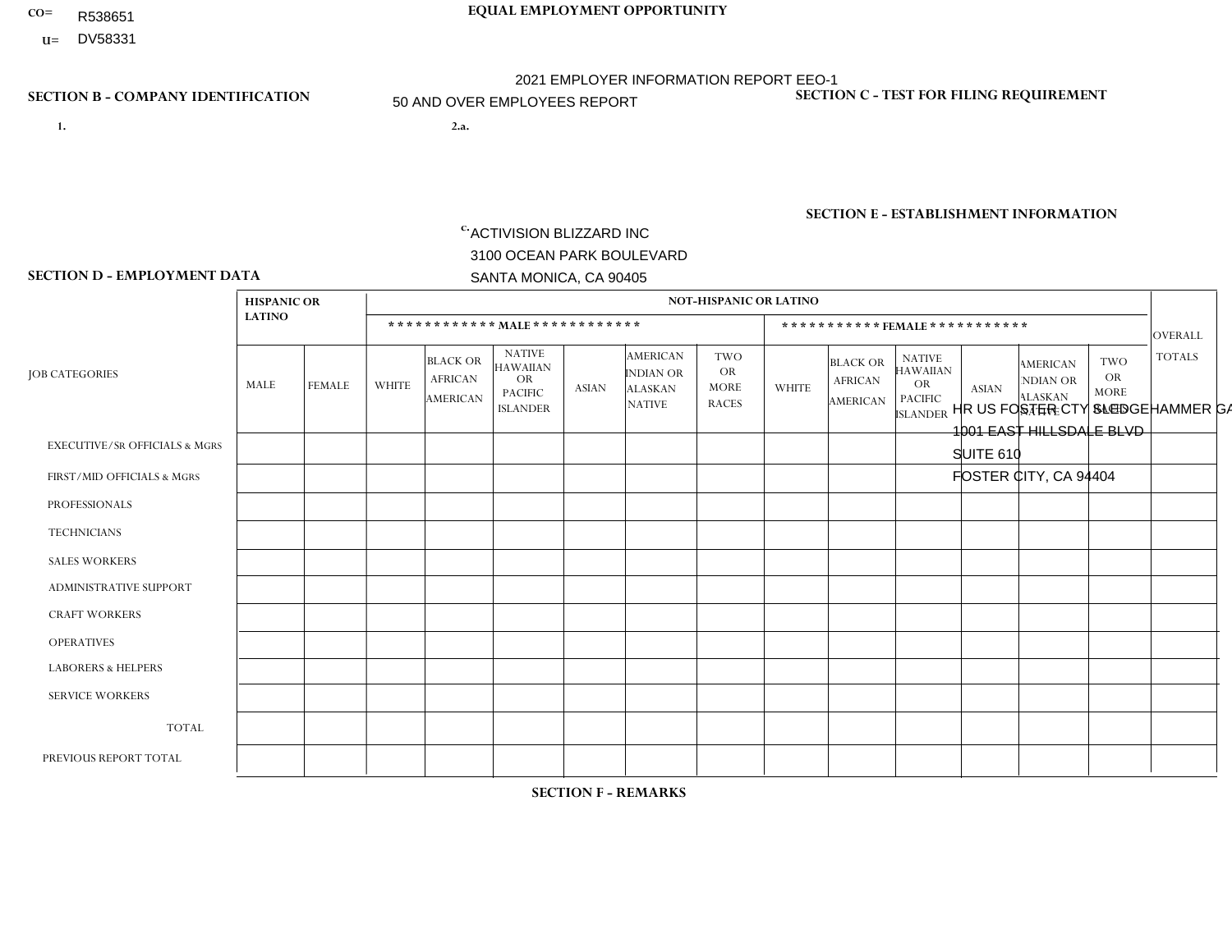- R538651
- **U=**

- **1. 2.a.** ACTIVISION BLIZZARD INC 3100 OCEAN PARK BOULEVARD SANTA MONICA, CA 90405
- HR US FOSTER CTY SLEDGEHAMMER GAMES 1- Y 2- Y 3- Y DUNS= 098533342 1001 EAST HILLSDALE BLVD SUITE 610 FOSTER CITY, CA 94404

EIN= 161465268

# **SECTION E - ESTABLISHMENT INFORMATION c.**

NAICS: 511210 - Software Publishers

### **SECTION D - EMPLOYMENT DATA**

|                                          | <b>HISPANIC OR</b> |                |                |                                               |                                                                                    |                |                                                                        | <b>NOT-HISPANIC OR LATINO</b>                          |                |                                                      |                                                                                    |                |                                                                       |                                                        |                |
|------------------------------------------|--------------------|----------------|----------------|-----------------------------------------------|------------------------------------------------------------------------------------|----------------|------------------------------------------------------------------------|--------------------------------------------------------|----------------|------------------------------------------------------|------------------------------------------------------------------------------------|----------------|-----------------------------------------------------------------------|--------------------------------------------------------|----------------|
|                                          | <b>LATINO</b>      |                |                |                                               | ************ MALE ************                                                     |                |                                                                        |                                                        |                | ***********FEMALE***********                         |                                                                                    |                |                                                                       |                                                        | <b>OVERALL</b> |
| <b>JOB CATEGORIES</b>                    | MALE               | <b>FEMALE</b>  | <b>WHITE</b>   | <b>BLACK OR</b><br><b>AFRICAN</b><br>AMERICAN | <b>NATIVE</b><br><b>HAWAIIAN</b><br><b>OR</b><br><b>PACIFIC</b><br><b>ISLANDER</b> | ASIAN          | <b>AMERICAN</b><br><b>INDIAN OR</b><br><b>ALASKAN</b><br><b>NATIVE</b> | <b>TWO</b><br><b>OR</b><br><b>MORE</b><br><b>RACES</b> | <b>WHITE</b>   | <b>BLACK OR</b><br><b>AFRICAN</b><br><b>AMERICAN</b> | <b>NATIVE</b><br><b>HAWAIIAN</b><br><b>OR</b><br><b>PACIFIC</b><br><b>ISLANDER</b> | <b>ASIAN</b>   | <b>AMERICAN</b><br><b>NDIAN OR</b><br><b>ALASKAN</b><br><b>NATIVE</b> | <b>TWO</b><br><b>OR</b><br><b>MORE</b><br><b>RACES</b> | <b>TOTALS</b>  |
| <b>EXECUTIVE/SR OFFICIALS &amp; MGRS</b> | $\Omega$           | $\mathbf 0$    | $\overline{2}$ | $\mathbf 0$                                   | $\mathbf 0$                                                                        | -1             | $\Omega$                                                               | $\Omega$                                               | 0              | $\Omega$                                             | $\Omega$                                                                           | $\mathbf 0$    | $\mathbf 0$                                                           | $\mathbf 0$                                            | 3              |
| FIRST/MID OFFICIALS & MGRS               | 4                  | $\Omega$       | 36             | $\Omega$                                      | $\Omega$                                                                           | 11             | $\Omega$                                                               | 3                                                      | 3              | $\Omega$                                             | $\Omega$                                                                           | $\overline{2}$ | $\Omega$                                                              | $\blacktriangleleft$                                   | 60             |
| <b>PROFESSIONALS</b>                     | 16                 | 3              | 119            | $\overline{7}$                                | $\overline{2}$                                                                     | 60             | $\Omega$                                                               | 6                                                      | 21             | $\Omega$                                             | $\Omega$                                                                           | 23             | $\Omega$                                                              | 5                                                      | 262            |
| <b>TECHNICIANS</b>                       | 1                  | $\mathbf{0}$   | 6              | $\overline{2}$                                | $\Omega$                                                                           | $\overline{2}$ | $\Omega$                                                               | $\overline{2}$                                         | $\overline{2}$ | $\mathbf{1}$                                         | $\Omega$                                                                           | $\Omega$       | 0                                                                     | $\mathbf{1}$                                           | 17             |
| <b>SALES WORKERS</b>                     | $\Omega$           | $\Omega$       | $\Omega$       | $\Omega$                                      | $\Omega$                                                                           | $\Omega$       | $\Omega$                                                               | $\Omega$                                               | $\overline{0}$ | $\Omega$                                             | $\Omega$                                                                           | $\Omega$       | $\Omega$                                                              | $\Omega$                                               | $\Omega$       |
| <b>ADMINISTRATIVE SUPPORT</b>            |                    | $\Omega$       | $\Omega$       | $\mathbf 0$                                   | $\Omega$                                                                           | -1             | $\Omega$                                                               | $\Omega$                                               |                | $\Omega$                                             | $\Omega$                                                                           |                | $\Omega$                                                              | $\Omega$                                               | $\overline{4}$ |
| <b>CRAFT WORKERS</b>                     | 0                  | $\Omega$       | $\Omega$       | $\mathbf 0$                                   | $\Omega$                                                                           | $\Omega$       | $\Omega$                                                               | $\Omega$                                               | 0              | $\Omega$                                             | $\Omega$                                                                           | $\Omega$       | $\Omega$                                                              | $\Omega$                                               | $\Omega$       |
| <b>OPERATIVES</b>                        | 0                  | $\overline{0}$ | $\mathbf 0$    | $\mathbf 0$                                   | $\mathbf 0$                                                                        | $\Omega$       | $\Omega$                                                               | $\Omega$                                               | $\overline{0}$ | $\Omega$                                             | $\Omega$                                                                           | $\mathbf 0$    | $\mathbf 0$                                                           | $\mathbf 0$                                            | $\mathbf 0$    |
| <b>LABORERS &amp; HELPERS</b>            | 0                  | $\Omega$       | $\Omega$       | $\mathbf 0$                                   | $\Omega$                                                                           | $\Omega$       | $\Omega$                                                               | $\Omega$                                               | $\Omega$       | $\Omega$                                             | $\Omega$                                                                           | $\Omega$       | $\Omega$                                                              | $\Omega$                                               | $\overline{0}$ |
| <b>SERVICE WORKERS</b>                   | 0                  | 0              | $\mathbf 0$    | $\mathbf 0$                                   | $\mathbf{0}$                                                                       | $\Omega$       | $\Omega$                                                               | $\Omega$                                               | $\Omega$       | $\Omega$                                             | $\Omega$                                                                           | $\Omega$       | 0                                                                     | $\mathbf 0$                                            | $\mathbf 0$    |
| <b>TOTAL</b>                             | 22                 | 3              | 163            | $\boldsymbol{9}$                              | $\overline{2}$                                                                     | 75             | $\Omega$                                                               | 11                                                     | 27             | 1                                                    | $\Omega$                                                                           | 26             | 0                                                                     | $\overline{7}$                                         | 346            |
| PREVIOUS REPORT TOTAL                    | 18                 | $\overline{4}$ | 153            | 9                                             | 3                                                                                  | 64             | $\Omega$                                                               | $\overline{7}$                                         | 19             |                                                      | $\Omega$                                                                           | 16             | $\Omega$                                                              | 3                                                      | 297            |

**SECTION F - REMARKS**

## **SECTION B - COMPANY IDENTIFICATION SECTION C - TEST FOR FILING REQUIREMENT**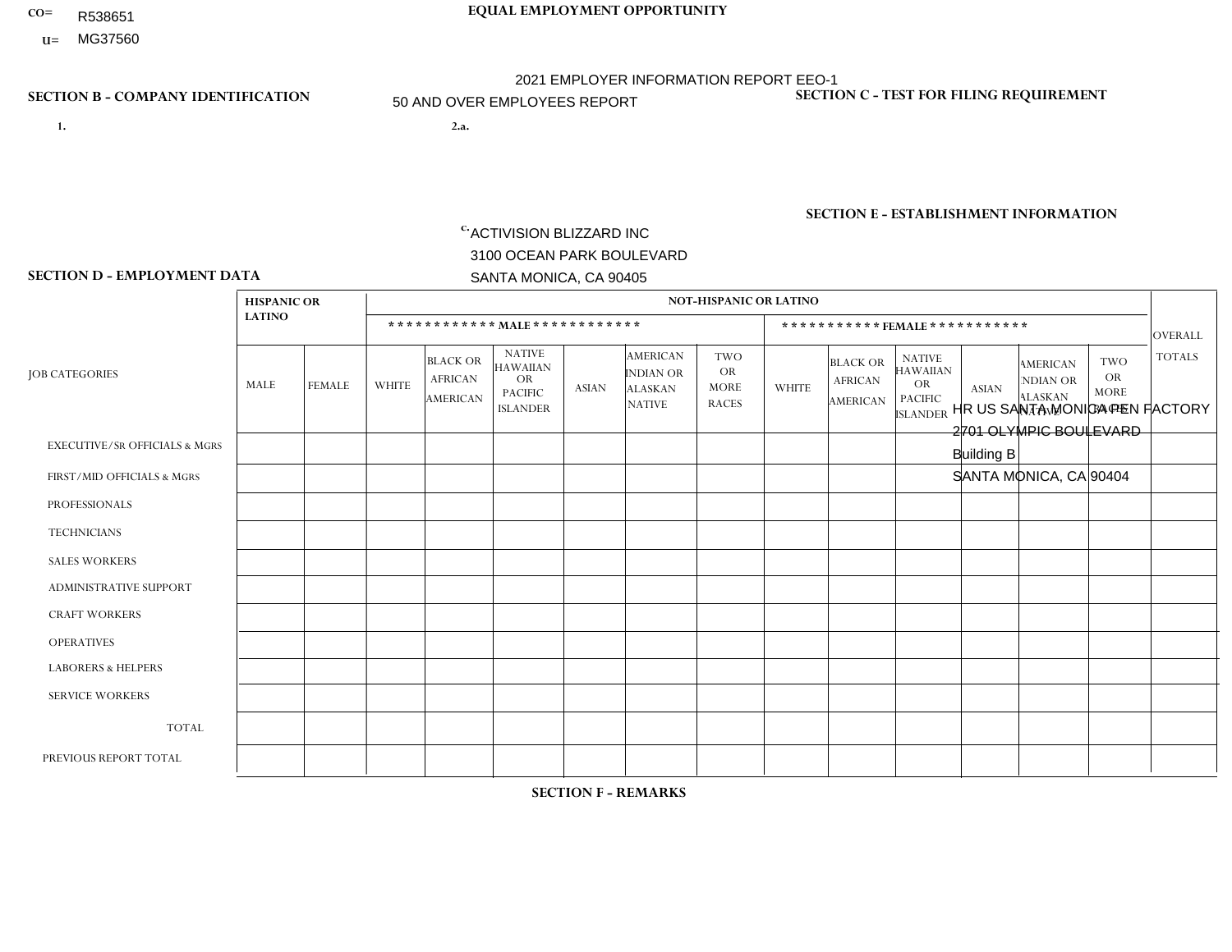- **CO= EQUAL EMPLOYMENT OPPORTUNITY** R538651
- **U=**

- **1. 2.a.** ACTIVISION BLIZZARD INC 3100 OCEAN PARK BOULEVARD SANTA MONICA, CA 90405
- 2.a. HR US SANTA MONICA PEN FACTORY 2701 OLYMPIC BOULEVARD Building B SANTA MONICA, CA 90404

2021 EMPLOYER INFORMATION REPORT EEO-1 50 AND OVER EMPLOYEES REPORT

 $c.$  EIN= 161465268

# **SECTION B - COMPANY IDENTIFICATION SECTION C - TEST FOR FILING REQUIREMENT**

1- Y 2- Y 3- Y DUNS= 098533342

**SECTION E - ESTABLISHMENT INFORMATION c.** NAICS: 511210 - Software Publishers

## **SECTION D - EMPLOYMENT DATA**

|                                          | <b>HISPANIC OR</b> |                |                |                                                      |                                                                                    |                |                                                                 | <b>NOT-HISPANIC OR LATINO</b>                          |                |                                                      |                                                                                    |                |                                                                       |                                                        |                |
|------------------------------------------|--------------------|----------------|----------------|------------------------------------------------------|------------------------------------------------------------------------------------|----------------|-----------------------------------------------------------------|--------------------------------------------------------|----------------|------------------------------------------------------|------------------------------------------------------------------------------------|----------------|-----------------------------------------------------------------------|--------------------------------------------------------|----------------|
|                                          | <b>LATINO</b>      |                |                |                                                      | ************ MALE ************                                                     |                |                                                                 |                                                        |                |                                                      | *********** FEMALE ***********                                                     |                |                                                                       |                                                        | <b>OVERALL</b> |
| <b>JOB CATEGORIES</b>                    | MALE               | <b>FEMALE</b>  | <b>WHITE</b>   | <b>BLACK OR</b><br><b>AFRICAN</b><br><b>AMERICAN</b> | <b>NATIVE</b><br><b>HAWAIIAN</b><br><b>OR</b><br><b>PACIFIC</b><br><b>ISLANDER</b> | <b>ASIAN</b>   | <b>AMERICAN</b><br>INDIAN OR<br><b>ALASKAN</b><br><b>NATIVE</b> | <b>TWO</b><br><b>OR</b><br><b>MORE</b><br><b>RACES</b> | <b>WHITE</b>   | <b>BLACK OR</b><br><b>AFRICAN</b><br><b>AMERICAN</b> | <b>NATIVE</b><br><b>HAWAIIAN</b><br><b>OR</b><br><b>PACIFIC</b><br><b>ISLANDER</b> | <b>ASIAN</b>   | <b>AMERICAN</b><br><b>NDIAN OR</b><br><b>ALASKAN</b><br><b>NATIVE</b> | <b>TWO</b><br><b>OR</b><br><b>MORE</b><br><b>RACES</b> | <b>TOTALS</b>  |
| <b>EXECUTIVE/SR OFFICIALS &amp; MGRS</b> | 1                  | $\overline{2}$ | 26             | $\mathbf 0$                                          | $\mathbf 0$                                                                        | $\mathbf{1}$   | $\Omega$                                                        | $\Omega$                                               | 3              | $\Omega$                                             | $\mathbf 0$                                                                        | $\overline{2}$ | $\mathbf 0$                                                           | $\overline{2}$                                         | 37             |
| FIRST/MID OFFICIALS & MGRS               | 11                 | $\mathbf{1}$   | 72             | $\overline{2}$                                       | $\mathbf{1}$                                                                       | 29             | $\Omega$                                                        | 5                                                      | 29             | 3                                                    | $\Omega$                                                                           | 13             | $\Omega$                                                              | 1                                                      | 167            |
| <b>PROFESSIONALS</b>                     | 8                  | 3              | 48             | $\overline{4}$                                       | $\mathbf 0$                                                                        | 24             | $\mathbf{0}$                                                    | 10                                                     | 21             | $\mathbf{1}$                                         | $\Omega$                                                                           | 16             | $\Omega$                                                              | 4                                                      | 139            |
| <b>TECHNICIANS</b>                       | 0                  | $\Omega$       | $\mathbf{1}$   | $\mathbf 0$                                          | $\Omega$                                                                           | $\Omega$       | $\mathbf{0}$                                                    | $\Omega$                                               | $\Omega$       | $\Omega$                                             | $\Omega$                                                                           | $\mathbf{0}$   | $\mathbf{0}$                                                          | $\Omega$                                               | $\mathbf{1}$   |
| <b>SALES WORKERS</b>                     | 0                  | $\mathbf 0$    | $\overline{7}$ | $\mathbf 0$                                          | $\mathbf 0$                                                                        | $\overline{7}$ | $\Omega$                                                        | $\overline{2}$                                         |                | $\Omega$                                             | $\Omega$                                                                           | $\mathbf{1}$   | $\Omega$                                                              | $\mathbf{0}$                                           | 18             |
| <b>ADMINISTRATIVE SUPPORT</b>            | 0                  | $\overline{2}$ | 6              | $\mathbf{1}$                                         | $\mathbf 0$                                                                        | $\mathbf{1}$   | $\mathbf{0}$                                                    | $\Omega$                                               | $\overline{4}$ | $\mathbf 0$                                          | $\mathbf{1}$                                                                       | 1              | $\mathbf 0$                                                           | $\overline{2}$                                         | 18             |
| <b>CRAFT WORKERS</b>                     | 0                  | $\Omega$       | $\mathbf 0$    | $\mathbf 0$                                          | $\mathbf 0$                                                                        | $\Omega$       | $\mathbf{0}$                                                    | $\Omega$                                               | $\Omega$       | $\Omega$                                             | $\mathbf{0}$                                                                       | $\mathbf{0}$   | $\Omega$                                                              | $\Omega$                                               | $\mathbf 0$    |
| <b>OPERATIVES</b>                        | 0                  | $\mathbf{0}$   | $\mathbf 0$    | $\mathbf 0$                                          | $\mathbf 0$                                                                        | $\mathbf 0$    | $\Omega$                                                        | $\Omega$                                               | $\Omega$       | $\Omega$                                             | $\Omega$                                                                           | $\mathbf{0}$   | $\Omega$                                                              | $\mathbf{0}$                                           | $\mathbf{0}$   |
| <b>LABORERS &amp; HELPERS</b>            | 0                  | $\Omega$       | 0              | 0                                                    | $\mathbf 0$                                                                        | $\Omega$       | $\Omega$                                                        | $\Omega$                                               | $\Omega$       | $\Omega$                                             | $\Omega$                                                                           | $\Omega$       | $\Omega$                                                              | $\mathbf{0}$                                           | $\mathbf{0}$   |
| <b>SERVICE WORKERS</b>                   | 0                  | $\mathbf{0}$   | $\mathbf 0$    | $\mathbf 0$                                          | $\mathbf 0$                                                                        | $\mathbf{0}$   | $\Omega$                                                        | $\Omega$                                               | $\Omega$       | $\Omega$                                             | $\Omega$                                                                           | $\Omega$       | $\Omega$                                                              | $\mathbf{0}$                                           | $\mathbf{0}$   |
| <b>TOTAL</b>                             | 20                 | 8              | 160            | $\overline{7}$                                       | $\mathbf{1}$                                                                       | 62             | $\Omega$                                                        | 17                                                     | 58             | $\overline{4}$                                       | -1                                                                                 | 33             | $\mathbf{0}$                                                          | 9                                                      | 380            |
| PREVIOUS REPORT TOTAL                    |                    |                |                |                                                      |                                                                                    |                |                                                                 |                                                        |                |                                                      |                                                                                    |                |                                                                       |                                                        |                |

## **SECTION F - REMARKS**

1 non-binary gender employee in Job Category Professionals: Race/Ethnicity: White (Not Hispanic or Latino). 1 non-binary gender employee in Job Category Professionals: Race/Ethnicity: Black or African-American.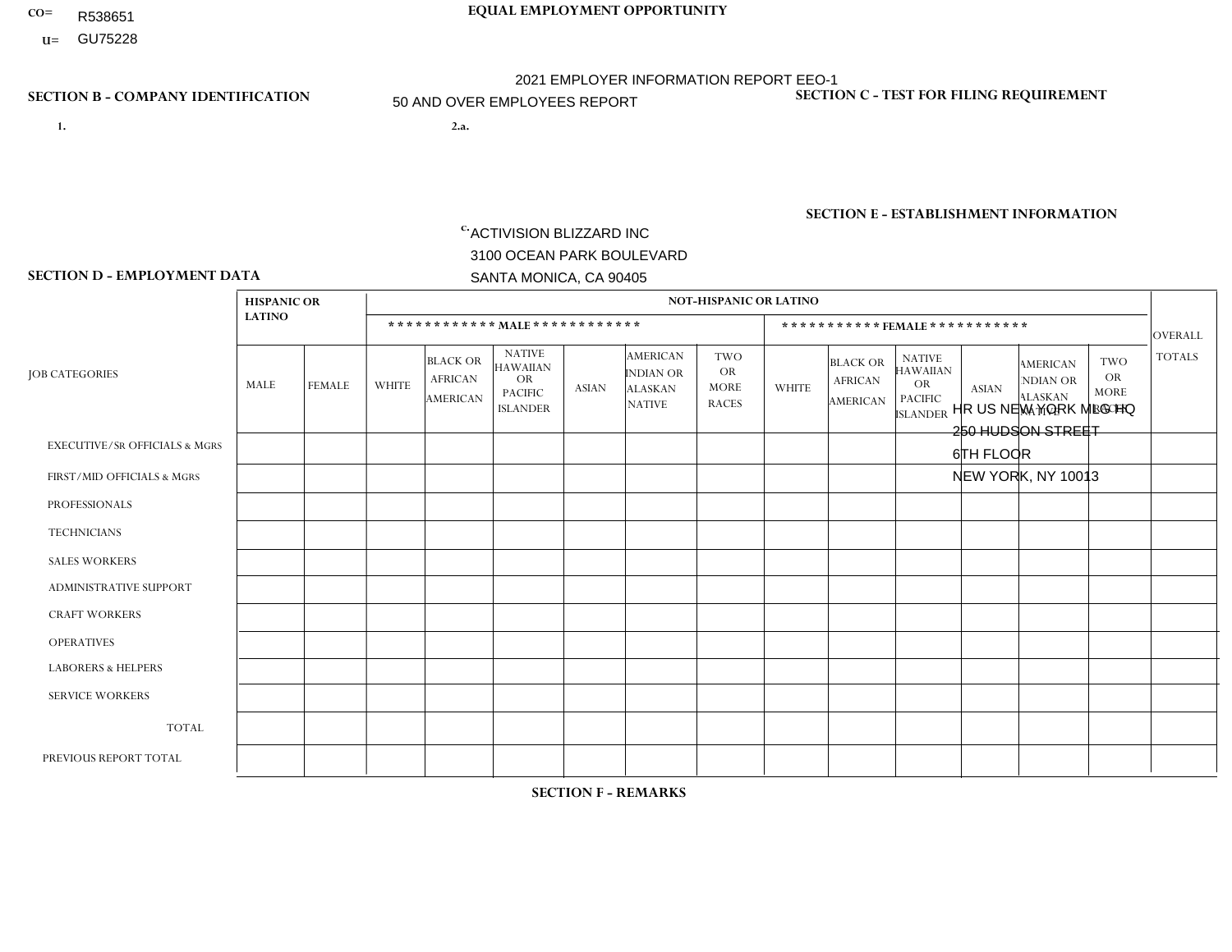- R538651
- **U=**

**1. 2.a.** ACTIVISION BLIZZARD INC 3100 OCEAN PARK BOULEVARD SANTA MONICA, CA 90405

2.a. HR US NEW YORK MLG HQ 250 HUDSON STREET 6TH FLOOR NEW YORK, NY 10013

EIN= 161465268

## **SECTION B - COMPANY IDENTIFICATION SECTION C - TEST FOR FILING REQUIREMENT**

1- Y 2- Y 3- Y DUNS= 098533342

**SECTION E - ESTABLISHMENT INFORMATION c.** NAICS: 511210 - Software Publishers

## **SECTION D - EMPLOYMENT DATA**

|                                          | <b>HISPANIC OR</b> |                |                |                                                      |                                                                                    |                |                                                                        | <b>NOT-HISPANIC OR LATINO</b>                          |                         |                                                      |                                                                                    |                |                                                                       |                                           |                |
|------------------------------------------|--------------------|----------------|----------------|------------------------------------------------------|------------------------------------------------------------------------------------|----------------|------------------------------------------------------------------------|--------------------------------------------------------|-------------------------|------------------------------------------------------|------------------------------------------------------------------------------------|----------------|-----------------------------------------------------------------------|-------------------------------------------|----------------|
|                                          | <b>LATINO</b>      |                |                |                                                      | ************ MALE ************                                                     |                |                                                                        |                                                        |                         |                                                      | ***********FEMALE ***********                                                      |                |                                                                       |                                           | OVERALL        |
| <b>JOB CATEGORIES</b>                    | MALE               | <b>FEMALE</b>  | <b>WHITE</b>   | <b>BLACK OR</b><br><b>AFRICAN</b><br><b>AMERICAN</b> | <b>NATIVE</b><br><b>HAWAIIAN</b><br><b>OR</b><br><b>PACIFIC</b><br><b>ISLANDER</b> | <b>ASIAN</b>   | <b>AMERICAN</b><br><b>INDIAN OR</b><br><b>ALASKAN</b><br><b>NATIVE</b> | <b>TWO</b><br><b>OR</b><br><b>MORE</b><br><b>RACES</b> | <b>WHITE</b>            | <b>BLACK OR</b><br><b>AFRICAN</b><br><b>AMERICAN</b> | <b>NATIVE</b><br><b>HAWAIIAN</b><br><b>OR</b><br><b>PACIFIC</b><br><b>ISLANDER</b> | <b>ASIAN</b>   | <b>AMERICAN</b><br><b>NDIAN OR</b><br><b>ALASKAN</b><br><b>NATIVE</b> | TWO<br>OR.<br><b>MORE</b><br><b>RACES</b> | <b>TOTALS</b>  |
| <b>EXECUTIVE/SR OFFICIALS &amp; MGRS</b> | $\Omega$           | $\Omega$       | 3              | $\mathbf 0$                                          | 0                                                                                  | $\mathbf 0$    | $\mathbf 0$                                                            | $\Omega$                                               | $\Omega$                | $\Omega$                                             | $\Omega$                                                                           | $\Omega$       | $\Omega$                                                              | $\Omega$                                  | 3              |
| FIRST/MID OFFICIALS & MGRS               | $\Omega$           | 0              | $\overline{7}$ | $\mathbf 0$                                          | 0                                                                                  | $\overline{2}$ | $\mathbf 0$                                                            | $\Omega$                                               | 5                       | 1                                                    | $\Omega$                                                                           |                | $\Omega$                                                              | $\Omega$                                  | 16             |
| <b>PROFESSIONALS</b>                     |                    | $\overline{0}$ | 5              | $\mathbf 0$                                          | $\mathbf 0$                                                                        | $\mathbf{1}$   | $\Omega$                                                               | $\Omega$                                               | $\overline{\mathbf{1}}$ | 3                                                    | $\Omega$                                                                           | $\overline{2}$ | $\Omega$                                                              |                                           | 14             |
| <b>TECHNICIANS</b>                       | $\Omega$           | 0              | $\mathbf 0$    | $\mathbf 0$                                          | 0                                                                                  | $\mathbf 0$    | $\mathbf 0$                                                            | $\mathbf 0$                                            | $\Omega$                | $\Omega$                                             | $\Omega$                                                                           | $\Omega$       | $\Omega$                                                              | $\mathbf 0$                               | $\mathbf{0}$   |
| <b>SALES WORKERS</b>                     | $\Omega$           | $\overline{2}$ | 12             | $\mathbf 0$                                          | 0                                                                                  | $\mathbf{1}$   | $\mathbf 0$                                                            | 1                                                      | 3                       | $\Omega$                                             | $\Omega$                                                                           |                | $\mathbf 0$                                                           | $\mathbf 0$                               | 20             |
| <b>ADMINISTRATIVE SUPPORT</b>            | $\Omega$           | 0              | $\mathbf 0$    | $\mathbf 0$                                          | 0                                                                                  | $\mathbf 0$    | $\mathbf 0$                                                            | $\Omega$                                               | $\overline{2}$          | $\mathbf 0$                                          | $\mathbf 0$                                                                        |                | $\mathbf 0$                                                           | $\mathbf 0$                               | $\mathbf{3}$   |
| <b>CRAFT WORKERS</b>                     | $\Omega$           | $\Omega$       | $\Omega$       | $\Omega$                                             | $\Omega$                                                                           | $\Omega$       | $\Omega$                                                               | $\Omega$                                               | $\Omega$                | $\Omega$                                             | $\Omega$                                                                           | $\Omega$       | $\Omega$                                                              | $\Omega$                                  | $\mathbf 0$    |
| <b>OPERATIVES</b>                        | $\Omega$           | $\Omega$       | $\mathbf 0$    | $\mathbf 0$                                          | 0                                                                                  | $\Omega$       | $\Omega$                                                               | $\Omega$                                               | $\Omega$                | $\Omega$                                             | $\Omega$                                                                           | $\Omega$       | $\Omega$                                                              | $\Omega$                                  | $\mathbf 0$    |
| <b>LABORERS &amp; HELPERS</b>            | $\Omega$           | $\Omega$       | $\mathbf 0$    | 0                                                    | 0                                                                                  | $\mathbf 0$    | $\Omega$                                                               | $\Omega$                                               | $\Omega$                | $\Omega$                                             | $\Omega$                                                                           | $\Omega$       | $\Omega$                                                              | $\Omega$                                  | $\mathbf 0$    |
| <b>SERVICE WORKERS</b>                   | $\Omega$           | $\Omega$       | $\Omega$       | $\mathbf 0$                                          | 0                                                                                  | $\mathbf 0$    | $\Omega$                                                               | $\Omega$                                               | $\Omega$                | $\Omega$                                             | $\Omega$                                                                           | $\Omega$       | $\Omega$                                                              | $\Omega$                                  | $\overline{0}$ |
| <b>TOTAL</b>                             |                    | $\overline{2}$ | 27             | $\mathbf 0$                                          | 0                                                                                  | 4              | $\mathbf 0$                                                            | $\mathbf{1}$                                           | 11                      | $\overline{4}$                                       | $\Omega$                                                                           | 5              | $\Omega$                                                              |                                           | 56             |
| PREVIOUS REPORT TOTAL                    |                    |                | 29             | $\mathbf 0$                                          | 0                                                                                  | $\overline{2}$ | $\mathbf 0$                                                            | $\mathbf 0$                                            | 11                      | 4                                                    | $\Omega$                                                                           | 6              | $\mathbf 0$                                                           |                                           | 55             |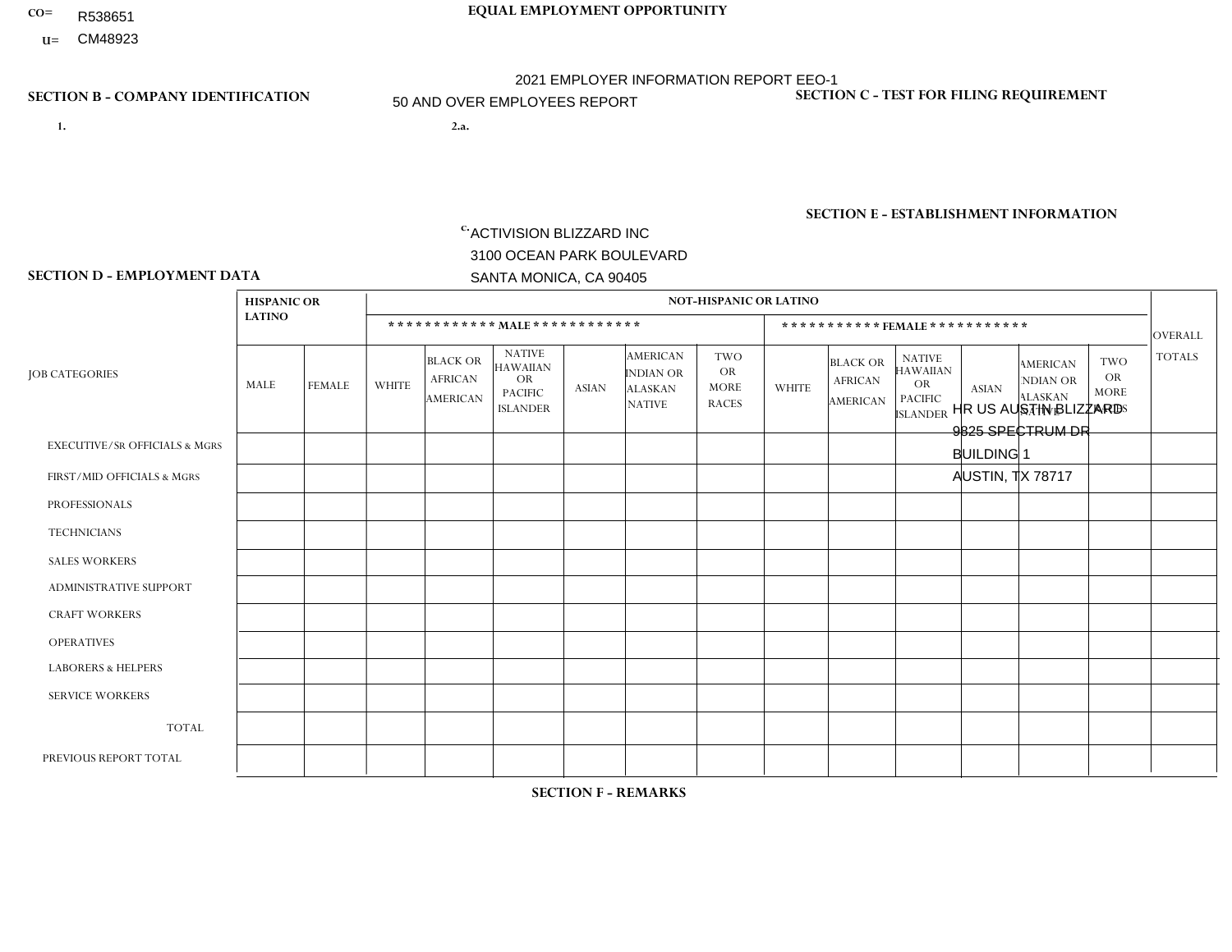- R538651
- **U=**

**1. 2.a.** ACTIVISION BLIZZARD INC 3100 OCEAN PARK BOULEVARD SANTA MONICA, CA 90405

2.a. HR US AUSTIN BLIZZARD 9825 SPECTRUM DR BUILDING 1 AUSTIN, TX 78717

EIN= 161465268

## **SECTION B - COMPANY IDENTIFICATION SECTION C - TEST FOR FILING REQUIREMENT**

1- Y 2- Y 3- Y DUNS= 098533342

**SECTION E - ESTABLISHMENT INFORMATION c.** NAICS: 511210 - Software Publishers

## **SECTION D - EMPLOYMENT DATA**

|                                          | <b>HISPANIC OR</b> |                |              |                                                      |                                                                                    |             |                                                                        | <b>NOT-HISPANIC OR LATINO</b>                          |                |                                                      |                                                                                    |                |                                                                       |                                           |                |
|------------------------------------------|--------------------|----------------|--------------|------------------------------------------------------|------------------------------------------------------------------------------------|-------------|------------------------------------------------------------------------|--------------------------------------------------------|----------------|------------------------------------------------------|------------------------------------------------------------------------------------|----------------|-----------------------------------------------------------------------|-------------------------------------------|----------------|
|                                          | <b>LATINO</b>      |                |              |                                                      | ************ MALE ************                                                     |             |                                                                        |                                                        |                | ***********FEMALE***********                         |                                                                                    |                |                                                                       |                                           | <b>OVERALL</b> |
| <b>JOB CATEGORIES</b>                    | MALE               | <b>FEMALE</b>  | <b>WHITE</b> | <b>BLACK OR</b><br><b>AFRICAN</b><br><b>AMERICAN</b> | <b>NATIVE</b><br><b>HAWAIIAN</b><br><b>OR</b><br><b>PACIFIC</b><br><b>ISLANDER</b> | ASIAN       | <b>AMERICAN</b><br><b>INDIAN OR</b><br><b>ALASKAN</b><br><b>NATIVE</b> | <b>TWO</b><br><b>OR</b><br><b>MORE</b><br><b>RACES</b> | <b>WHITE</b>   | <b>BLACK OR</b><br><b>AFRICAN</b><br><b>AMERICAN</b> | <b>NATIVE</b><br><b>HAWAIIAN</b><br><b>OR</b><br><b>PACIFIC</b><br><b>ISLANDER</b> | <b>ASIAN</b>   | <b>AMERICAN</b><br><b>NDIAN OR</b><br><b>ALASKAN</b><br><b>NATIVE</b> | TWO<br>OR.<br><b>MORE</b><br><b>RACES</b> | <b>TOTALS</b>  |
| <b>EXECUTIVE/SR OFFICIALS &amp; MGRS</b> | $\mathbf{1}$       | 0              | $\mathbf 0$  | $\mathbf 0$                                          | $\mathbf 0$                                                                        | $\mathbf 0$ | 1                                                                      | $\mathbf{0}$                                           | $\Omega$       | $\Omega$                                             | $\mathbf{0}$                                                                       | 0              | $\Omega$                                                              | $\Omega$                                  | $\overline{2}$ |
| FIRST/MID OFFICIALS & MGRS               | 6                  | $\Omega$       | 27           | $\Omega$                                             | $\Omega$                                                                           | 3           | $\Omega$                                                               | 2                                                      | $\overline{7}$ | $\Omega$                                             | $\Omega$                                                                           | $\Omega$       | $\Omega$                                                              | $\mathbf{1}$                              | 46             |
| <b>PROFESSIONALS</b>                     | 12                 | $\overline{4}$ | 68           | $\overline{4}$                                       | $\mathbf 0$                                                                        | 14          | $\Omega$                                                               | $\overline{1}$                                         | 15             | $\Omega$                                             | $\Omega$                                                                           | 4              | $\Omega$                                                              | $\overline{2}$                            | 124            |
| <b>TECHNICIANS</b>                       | 1                  | $\mathbf 0$    | $\mathbf 0$  | $\mathbf{1}$                                         | $\mathbf 0$                                                                        | $\mathbf 0$ | $\Omega$                                                               | $\overline{1}$                                         | $\mathbf{1}$   | $\Omega$                                             | $\Omega$                                                                           | $\overline{0}$ | $\Omega$                                                              | $\mathbf 0$                               | $\overline{4}$ |
| <b>SALES WORKERS</b>                     | 0                  | $\Omega$       | $\mathbf{0}$ | $\mathbf 0$                                          | $\mathbf 0$                                                                        | $\Omega$    | $\Omega$                                                               | $\Omega$                                               | $\Omega$       | $\Omega$                                             | $\Omega$                                                                           | $\Omega$       | $\Omega$                                                              | $\Omega$                                  | $\mathbf{0}$   |
| <b>ADMINISTRATIVE SUPPORT</b>            | 27                 | 10             | 65           | $\mathbf{1}$                                         | $\mathbf 0$                                                                        | 3           | $\Omega$                                                               | 5                                                      | 16             | $\overline{2}$                                       | $\Omega$                                                                           | 3              | $\Omega$                                                              | $\overline{2}$                            | 134            |
| <b>CRAFT WORKERS</b>                     | $\mathbf 0$        | $\Omega$       | $\mathbf 0$  | $\mathbf 0$                                          | $\mathbf 0$                                                                        | $\mathbf 0$ | $\Omega$                                                               | $\Omega$                                               | $\Omega$       | $\Omega$                                             | $\Omega$                                                                           | $\Omega$       | $\Omega$                                                              | $\Omega$                                  | $\mathbf 0$    |
| <b>OPERATIVES</b>                        | $\Omega$           | $\Omega$       | $\mathbf 0$  | $\mathbf 0$                                          | $\mathbf 0$                                                                        | $\Omega$    | $\Omega$                                                               | $\mathbf{0}$                                           | $\Omega$       | $\Omega$                                             | $\Omega$                                                                           | 0              | $\Omega$                                                              | $\Omega$                                  | $\mathbf 0$    |
| <b>LABORERS &amp; HELPERS</b>            | $\Omega$           | 0              | $\mathbf 0$  | $\mathbf 0$                                          | $\mathbf{0}$                                                                       | 0           | $\Omega$                                                               | $\Omega$                                               | $\Omega$       | $\Omega$                                             | $\Omega$                                                                           | $\Omega$       | $\Omega$                                                              | $\Omega$                                  | $\mathbf 0$    |
| <b>SERVICE WORKERS</b>                   | $\Omega$           | $\mathbf 0$    | $\mathbf 0$  | 0                                                    | 0                                                                                  | 0           | $\Omega$                                                               | $\Omega$                                               | $\Omega$       | $\Omega$                                             | $\mathbf{0}$                                                                       | $\Omega$       | $\Omega$                                                              | $\Omega$                                  | $\mathbf{0}$   |
| <b>TOTAL</b>                             | 47                 | 14             | 160          | 6                                                    | $\mathbf{0}$                                                                       | 20          | $\overline{1}$                                                         | 9                                                      | 39             | $\overline{2}$                                       | $\Omega$                                                                           | $\overline{7}$ | $\Omega$                                                              | 5                                         | 310            |
| PREVIOUS REPORT TOTAL                    | 49                 | 17             | 173          | 3                                                    | $\mathbf 0$                                                                        | 10          | $\overline{c}$                                                         | 11                                                     | 41             | 3                                                    | 0                                                                                  | $\overline{7}$ |                                                                       | $\overline{4}$                            | 321            |

## **SECTION F - REMARKS**

1 non-binary gender employee in Job Category First/Mid-Level Officials & Managers: Race/Ethnicity: White (Not Hispanic or Latino). 1

non-binary gender employee in Job Category Professionals: Race/Ethnicity: White (Not Hispanic or Latino). 1 non-binary gender employee in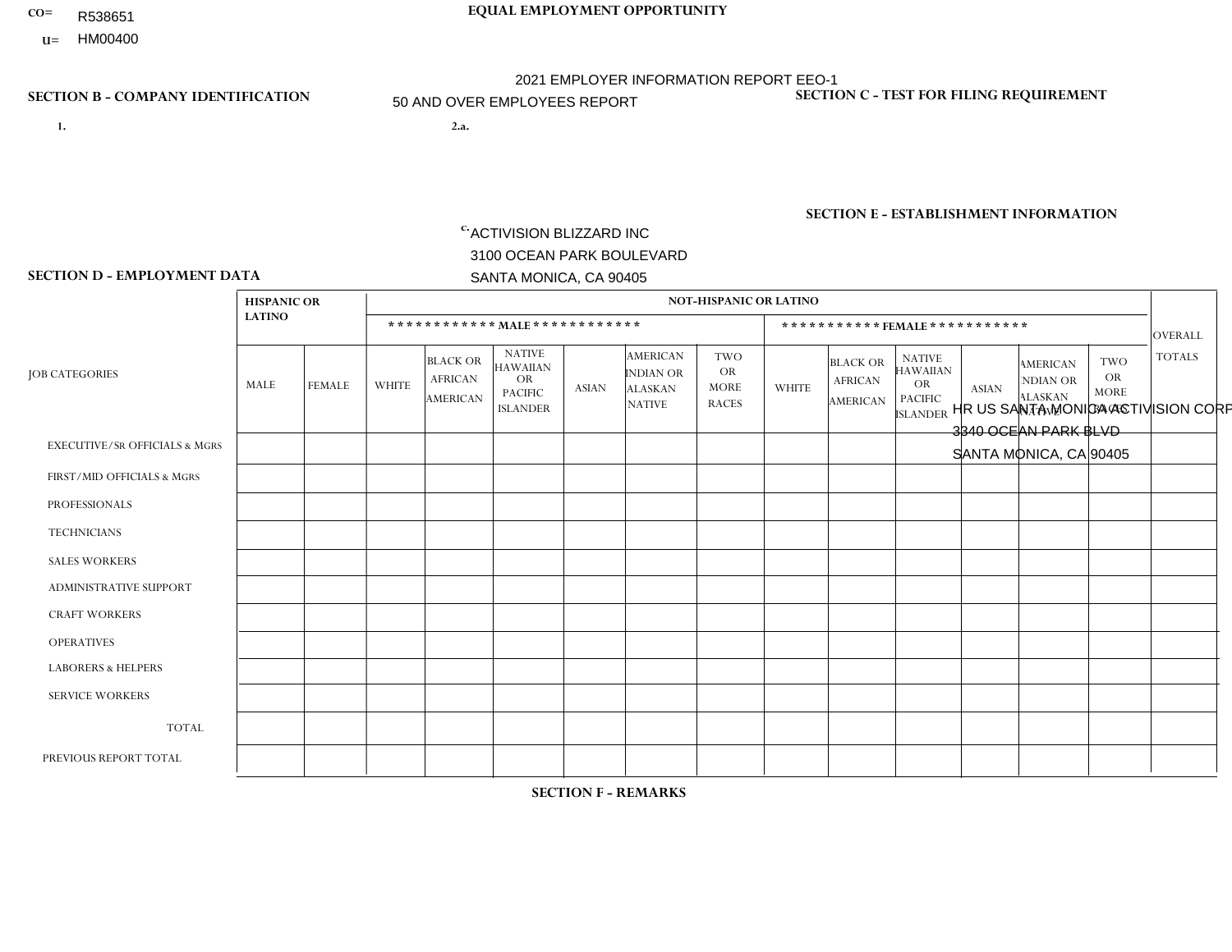- **CO= EQUAL EMPLOYMENT OPPORTUNITY** R538651
	- **U=**

- **1. 2.a.** ACTIVISION BLIZZARD INC 3100 OCEAN PARK BOULEVARD SANTA MONICA, CA 90405
- 2.a. HR US SANTA MONICA ACTIVISION CORP2 3340 OCEAN PARK BLVD SANTA MONICA, CA 90405

2021 EMPLOYER INFORMATION REPORT EEO-1 50 AND OVER EMPLOYEES REPORT

EIN= 161465268

## **SECTION B - COMPANY IDENTIFICATION SECTION C - TEST FOR FILING REQUIREMENT**

1- Y 2- Y 3- Y DUNS= 098533342

**SECTION E - ESTABLISHMENT INFORMATION c.** NAICS: 511210 - Software Publishers

### **SECTION D - EMPLOYMENT DATA**

|                                          | <b>HISPANIC OR</b> |               |              |                                                      |                                                                                    |              |                                                                 | <b>NOT-HISPANIC OR LATINO</b>                          |              |                                                      |                                                                             |                |                                                                       |                                                        |                |
|------------------------------------------|--------------------|---------------|--------------|------------------------------------------------------|------------------------------------------------------------------------------------|--------------|-----------------------------------------------------------------|--------------------------------------------------------|--------------|------------------------------------------------------|-----------------------------------------------------------------------------|----------------|-----------------------------------------------------------------------|--------------------------------------------------------|----------------|
|                                          | <b>LATINO</b>      |               |              |                                                      | ************ MAIE************                                                      |              |                                                                 |                                                        |              |                                                      | *********** FEMALE ***********                                              |                |                                                                       |                                                        | <b>OVERALL</b> |
| <b>JOB CATEGORIES</b>                    | MALE               | <b>FEMALE</b> | <b>WHITE</b> | <b>BLACK OR</b><br><b>AFRICAN</b><br><b>AMERICAN</b> | <b>NATIVE</b><br><b>HAWAIIAN</b><br><b>OR</b><br><b>PACIFIC</b><br><b>ISLANDER</b> | <b>ASIAN</b> | <b>AMERICAN</b><br>INDIAN OR<br><b>ALASKAN</b><br><b>NATIVE</b> | <b>TWO</b><br><b>OR</b><br><b>MORE</b><br><b>RACES</b> | <b>WHITE</b> | <b>BLACK OR</b><br><b>AFRICAN</b><br><b>AMERICAN</b> | <b>NATIVE</b><br><b>HAWAIIAN</b><br>OR<br><b>PACIFIC</b><br><b>ISLANDER</b> | <b>ASIAN</b>   | <b>AMERICAN</b><br><b>NDIAN OR</b><br><b>ALASKAN</b><br><b>NATIVE</b> | <b>TWO</b><br><b>OR</b><br><b>MORE</b><br><b>RACES</b> | <b>TOTALS</b>  |
| <b>EXECUTIVE/SR OFFICIALS &amp; MGRS</b> | $\Omega$           | $\Omega$      | $\mathbf 0$  | $\mathbf 0$                                          | $\mathbf{0}$                                                                       | 1            | $\Omega$                                                        | $\Omega$                                               | $\Omega$     | $\Omega$                                             | $\Omega$                                                                    | $\mathbf{0}$   | $\Omega$                                                              | $\Omega$                                               | $\mathbf 1$    |
| FIRST/MID OFFICIALS & MGRS               | 0                  | $\mathbf{0}$  | 3            | $\mathbf 0$                                          | $\mathbf 0$                                                                        | 9            | $\Omega$                                                        | $\Omega$                                               |              | $\Omega$                                             | $\Omega$                                                                    | $\overline{2}$ | $\mathbf{0}$                                                          | $\mathbf{0}$                                           | 15             |
| <b>PROFESSIONALS</b>                     | $\overline{2}$     | $\mathbf 0$   | 10           | $\mathbf{1}$                                         | $\mathbf 1$                                                                        | 16           | $\mathbf{0}$                                                    | $\Omega$                                               | $\Omega$     | $\Omega$                                             | $\Omega$                                                                    | 3              | $\Omega$                                                              | $\Omega$                                               | 33             |
| <b>TECHNICIANS</b>                       | 0                  | $\mathbf 0$   | $\mathbf 0$  | $\mathbf 0$                                          | $\mathbf 0$                                                                        | $\mathbf 0$  | $\Omega$                                                        | $\Omega$                                               | $\Omega$     | $\Omega$                                             | $\mathbf 0$                                                                 | $\Omega$       | $\Omega$                                                              | $\mathbf{0}$                                           | $\mathbf 0$    |
| <b>SALES WORKERS</b>                     | 0                  | $\Omega$      | $\mathbf 0$  | $\mathbf 0$                                          | $\mathbf 0$                                                                        | $\Omega$     | $\Omega$                                                        | $\Omega$                                               | $\Omega$     | $\Omega$                                             | $\Omega$                                                                    | $\Omega$       | $\Omega$                                                              | $\Omega$                                               | $\mathbf 0$    |
| <b>ADMINISTRATIVE SUPPORT</b>            |                    | $\Omega$      | $\mathbf 0$  | $\mathbf 0$                                          | $\mathbf 0$                                                                        | $\Omega$     | $\Omega$                                                        | $\Omega$                                               | $\Omega$     | $\Omega$                                             | $\Omega$                                                                    | $\Omega$       | $\mathbf{0}$                                                          | $\mathbf{0}$                                           | $\mathbf{1}$   |
| <b>CRAFT WORKERS</b>                     | 0                  | $\Omega$      | $\mathbf 0$  | $\mathbf 0$                                          | $\Omega$                                                                           | $\Omega$     | $\Omega$                                                        | $\Omega$                                               | $\Omega$     | $\Omega$                                             | $\Omega$                                                                    | $\Omega$       | $\mathbf{0}$                                                          | $\mathbf{0}$                                           | $\Omega$       |
| <b>OPERATIVES</b>                        | 0                  | $\mathbf 0$   | $\mathbf 0$  | $\mathbf 0$                                          | $\mathbf 0$                                                                        | $\mathbf 0$  | $\Omega$                                                        | $\Omega$                                               | $\Omega$     | $\Omega$                                             | $\Omega$                                                                    | $\Omega$       | $\Omega$                                                              | $\mathbf{0}$                                           | $\mathbf{0}$   |
| <b>LABORERS &amp; HELPERS</b>            | 0                  | $\Omega$      | $\mathbf 0$  | $\mathbf 0$                                          | $\mathbf 0$                                                                        | $\mathbf 0$  | $\Omega$                                                        | $\Omega$                                               | $\Omega$     | $\Omega$                                             | $\mathbf{0}$                                                                | $\mathbf{0}$   | $\Omega$                                                              | $\Omega$                                               | $\mathbf 0$    |
| <b>SERVICE WORKERS</b>                   | 0                  | $\Omega$      | $\mathbf 0$  | $\mathbf 0$                                          | $\mathbf 0$                                                                        | $\Omega$     | $\Omega$                                                        | $\Omega$                                               | $\Omega$     | $\Omega$                                             | $\Omega$                                                                    | $\mathbf{0}$   | $\mathbf{0}$                                                          | $\Omega$                                               | $\mathbf 0$    |
| <b>TOTAL</b>                             | 3                  | $\Omega$      | 13           | $\mathbf{1}$                                         | 1                                                                                  | 26           | $\Omega$                                                        | $\mathbf{0}$                                           |              | $\Omega$                                             | $\Omega$                                                                    | 5              | $\mathbf{0}$                                                          | $\Omega$                                               | 50             |
| PREVIOUS REPORT TOTAL                    | 4                  | $\mathbf 0$   | 11           | $\mathbf{1}$                                         | $\mathbf{1}$                                                                       | 32           | $\Omega$                                                        | $\Omega$                                               | $\mathbf 1$  | 0                                                    | $\Omega$                                                                    | 8              | $\Omega$                                                              | 0                                                      | 58             |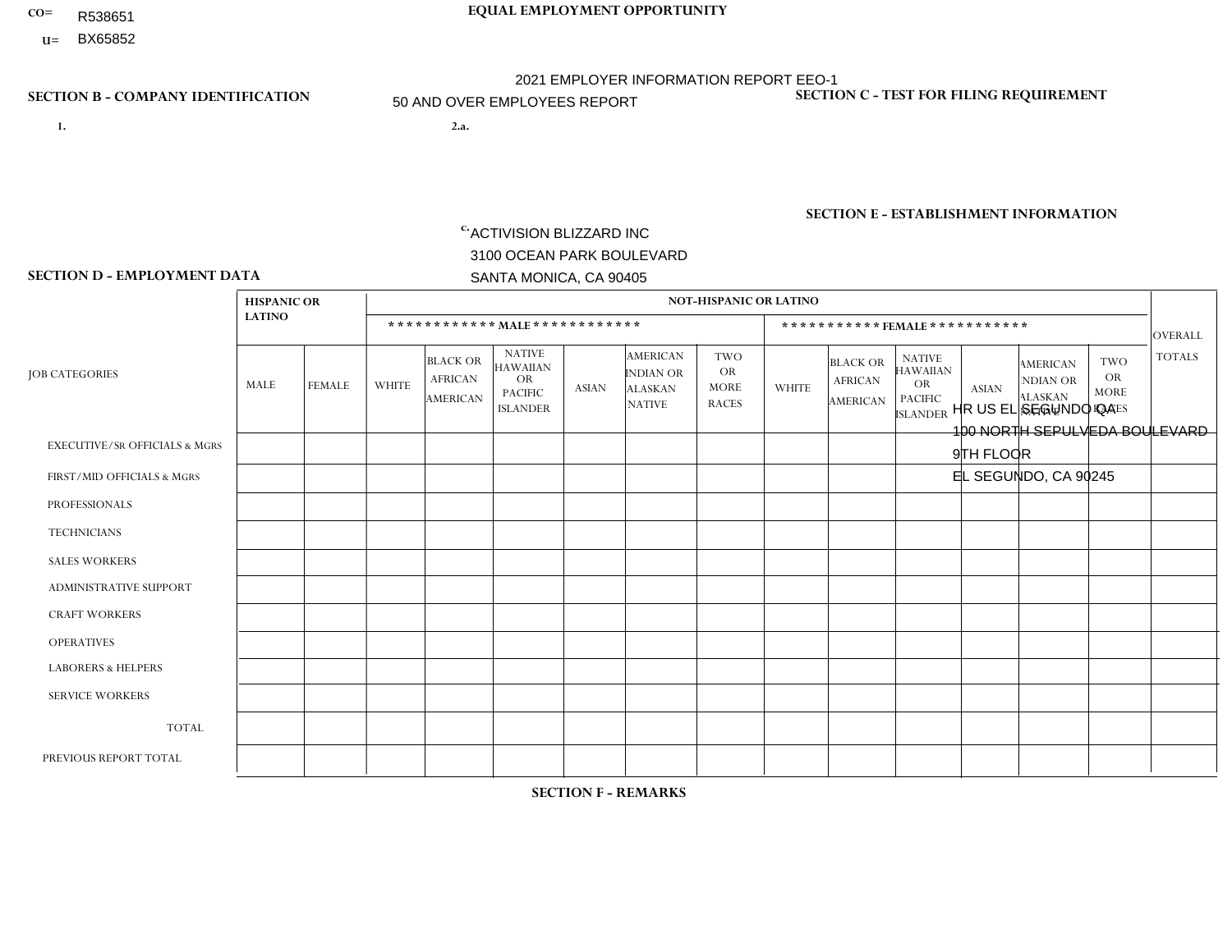- R538651
- **U=**

- **1. 2.a.** ACTIVISION BLIZZARD INC 3100 OCEAN PARK BOULEVARD SANTA MONICA, CA 90405
- 2.a. HR US EL SEGUNDO QA 100 NORTH SEPULVEDA BOULEVARD 9TH FLOOR EL SEGUNDO, CA 90245
	- EIN= 161465268

# **SECTION B - COMPANY IDENTIFICATION SECTION C - TEST FOR FILING REQUIREMENT**

1- Y 2- Y 3- Y DUNS= 098533342

**SECTION E - ESTABLISHMENT INFORMATION c.** NAICS: 511210 - Software Publishers

### **SECTION D - EMPLOYMENT DATA**

|                                          | <b>HISPANIC OR</b> |                |              |                                                      |                                                                                    |                |                                                                        | <b>NOT-HISPANIC OR LATINO</b>                   |              |                                               |                                                                                    |                      |                                                                       |                                                        |                |
|------------------------------------------|--------------------|----------------|--------------|------------------------------------------------------|------------------------------------------------------------------------------------|----------------|------------------------------------------------------------------------|-------------------------------------------------|--------------|-----------------------------------------------|------------------------------------------------------------------------------------|----------------------|-----------------------------------------------------------------------|--------------------------------------------------------|----------------|
|                                          | <b>LATINO</b>      |                |              |                                                      | ************ MALE ************                                                     |                |                                                                        |                                                 |              | ***********FEMALE***********                  |                                                                                    |                      |                                                                       |                                                        | <b>OVERALL</b> |
| <b>JOB CATEGORIES</b>                    | MALE               | <b>FEMALE</b>  | <b>WHITE</b> | <b>BLACK OR</b><br><b>AFRICAN</b><br><b>AMERICAN</b> | <b>NATIVE</b><br><b>HAWAIIAN</b><br><b>OR</b><br><b>PACIFIC</b><br><b>ISLANDER</b> | ASIAN          | <b>AMERICAN</b><br><b>INDIAN OR</b><br><b>ALASKAN</b><br><b>NATIVE</b> | TWO<br><b>OR</b><br><b>MORE</b><br><b>RACES</b> | <b>WHITE</b> | <b>BLACK OR</b><br><b>AFRICAN</b><br>AMERICAN | <b>NATIVE</b><br><b>HAWAIIAN</b><br><b>OR</b><br><b>PACIFIC</b><br><b>ISLANDER</b> | <b>ASIAN</b>         | <b>AMERICAN</b><br><b>NDIAN OR</b><br><b>ALASKAN</b><br><b>NATIVE</b> | <b>TWO</b><br><b>OR</b><br><b>MORE</b><br><b>RACES</b> | <b>TOTALS</b>  |
| <b>EXECUTIVE/SR OFFICIALS &amp; MGRS</b> | $\Omega$           | $\mathbf 0$    | $\mathbf 0$  | $\mathbf 0$                                          | $\mathbf 0$                                                                        | $\mathbf 0$    | $\Omega$                                                               | $\Omega$                                        | $\Omega$     | $\Omega$                                      | $\Omega$                                                                           | $\mathbf 0$          | $\mathbf 0$                                                           | $\mathbf 0$                                            | $\mathbf 0$    |
| FIRST/MID OFFICIALS & MGRS               | -1                 | $\Omega$       | 2            | 3                                                    | $\Omega$                                                                           | 2              | $\Omega$                                                               | $\Omega$                                        | 0            | $\overline{2}$                                | $\Omega$                                                                           | $\blacktriangleleft$ | $\Omega$                                                              | $\mathbf{0}$                                           | 11             |
| <b>PROFESSIONALS</b>                     | 3                  | 3              | 11           | $\mathbf 0$                                          |                                                                                    | 3              | $\Omega$                                                               |                                                 |              | $\Omega$                                      | $\Omega$                                                                           | 3                    | $\mathbf 0$                                                           | $\mathbf{1}$                                           | 27             |
| <b>TECHNICIANS</b>                       |                    | $\mathbf{1}$   | 12           | $\overline{2}$                                       | $\Omega$                                                                           | $\overline{7}$ | $\Omega$                                                               | $\overline{2}$                                  | $\Omega$     | 1                                             | $\Omega$                                                                           | $\Omega$             | $\Omega$                                                              | $\mathbf{1}$                                           | 27             |
| <b>SALES WORKERS</b>                     | $\Omega$           | $\Omega$       | $\Omega$     | $\mathbf 0$                                          | $\Omega$                                                                           | $\Omega$       | $\Omega$                                                               | $\Omega$                                        | $\Omega$     | $\Omega$                                      | $\Omega$                                                                           | $\Omega$             | $\Omega$                                                              | $\Omega$                                               | $\Omega$       |
| ADMINISTRATIVE SUPPORT                   | 1                  | $\Omega$       | $\Omega$     | $\Omega$                                             | $\Omega$                                                                           | $\Omega$       | $\Omega$                                                               | $\Omega$                                        | $\Omega$     | $\Omega$                                      | $\Omega$                                                                           | $\Omega$             | $\Omega$                                                              | $\Omega$                                               | $\mathbf{1}$   |
| <b>CRAFT WORKERS</b>                     | 0                  | $\Omega$       | $\Omega$     | $\mathbf 0$                                          | $\Omega$                                                                           | $\Omega$       | $\Omega$                                                               | $\Omega$                                        | $\Omega$     | $\Omega$                                      | $\Omega$                                                                           | $\Omega$             | $\Omega$                                                              | $\Omega$                                               | $\mathbf 0$    |
| <b>OPERATIVES</b>                        | 0                  | $\Omega$       | $\Omega$     | $\mathbf 0$                                          | $\Omega$                                                                           | $\Omega$       | $\Omega$                                                               | $\Omega$                                        | $\Omega$     | $\Omega$                                      | $\Omega$                                                                           | $\Omega$             | $\Omega$                                                              | $\Omega$                                               | $\mathbf 0$    |
| <b>LABORERS &amp; HELPERS</b>            | 0                  | $\Omega$       | $\Omega$     | $\mathbf 0$                                          | $\Omega$                                                                           | $\Omega$       | $\Omega$                                                               | $\Omega$                                        | $\Omega$     | $\Omega$                                      | $\Omega$                                                                           | $\Omega$             | $\Omega$                                                              | $\Omega$                                               | $\overline{0}$ |
| <b>SERVICE WORKERS</b>                   | 0                  | 0              | $\Omega$     | 0                                                    | $\mathbf{0}$                                                                       | $\Omega$       | $\Omega$                                                               | $\Omega$                                        | $\Omega$     | $\Omega$                                      | $\Omega$                                                                           | $\Omega$             | $\Omega$                                                              | $\Omega$                                               | 0              |
| <b>TOTAL</b>                             | 6                  | $\overline{4}$ | 25           | 5                                                    |                                                                                    | 12             | $\Omega$                                                               | 3                                               |              | 3                                             | $\Omega$                                                                           | $\overline{4}$       | 0                                                                     | 2                                                      | 66             |
| PREVIOUS REPORT TOTAL                    | 8                  | 2              | 23           | 6                                                    | 1                                                                                  | 12             | $\Omega$                                                               | 5                                               | 1            | 4                                             | $\Omega$                                                                           | 3                    | 0                                                                     | $\mathbf 1$                                            | 66             |

**SECTION F - REMARKS**

1 non-binary gender employee in Job Category Technicians: Race/Ethnicity: Hispanic or Latino.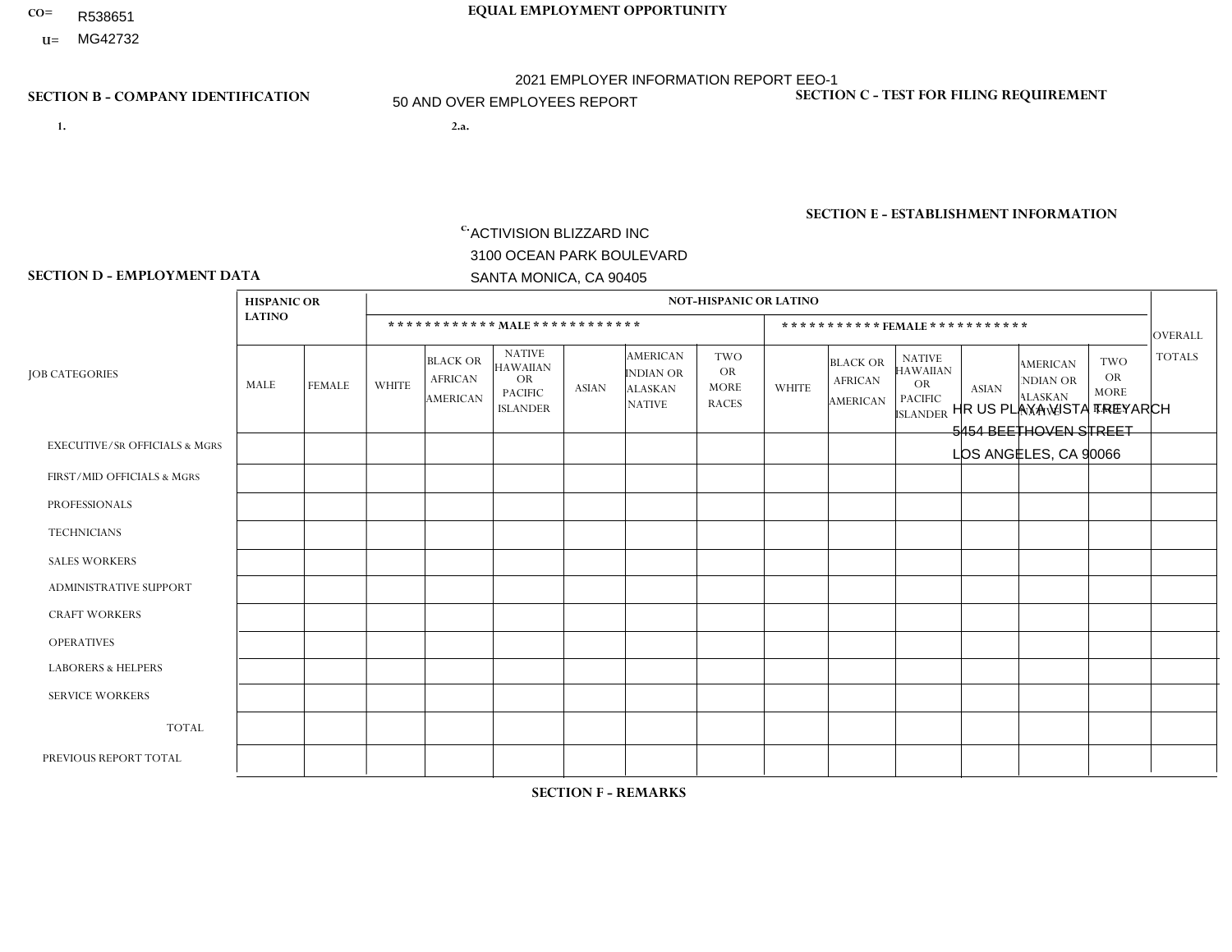- R538651
- **U=**

- **1. 2.a.** ACTIVISION BLIZZARD INC 3100 OCEAN PARK BOULEVARD SANTA MONICA, CA 90405
- 2.a. HR US PLAYA VISTA TREYARCH 5454 BEETHOVEN STREET LOS ANGELES, CA 90066

EIN= 161465268

## **SECTION B - COMPANY IDENTIFICATION SECTION C - TEST FOR FILING REQUIREMENT**

1- Y 2- Y 3- Y DUNS= 098533342

**SECTION E - ESTABLISHMENT INFORMATION c.** NAICS: 511210 - Software Publishers

### **SECTION D - EMPLOYMENT DATA**

|                                          | <b>HISPANIC OR</b> |               |              |                                                      |                                                                                    |              |                                                                 | <b>NOT-HISPANIC OR LATINO</b>                          |              |                                               |                                                                             |              |                                                                       |                                                        |                |
|------------------------------------------|--------------------|---------------|--------------|------------------------------------------------------|------------------------------------------------------------------------------------|--------------|-----------------------------------------------------------------|--------------------------------------------------------|--------------|-----------------------------------------------|-----------------------------------------------------------------------------|--------------|-----------------------------------------------------------------------|--------------------------------------------------------|----------------|
|                                          | <b>LATINO</b>      |               |              |                                                      | ************ MALE ************                                                     |              |                                                                 |                                                        |              | ***********FEMALE***********                  |                                                                             |              |                                                                       |                                                        | <b>OVERALL</b> |
| <b>JOB CATEGORIES</b>                    | MALE               | <b>FEMALE</b> | <b>WHITE</b> | <b>BLACK OR</b><br><b>AFRICAN</b><br><b>AMERICAN</b> | <b>NATIVE</b><br><b>HAWAIIAN</b><br><b>OR</b><br><b>PACIFIC</b><br><b>ISLANDER</b> | <b>ASIAN</b> | AMERICAN<br><b>INDIAN OR</b><br><b>ALASKAN</b><br><b>NATIVE</b> | <b>TWO</b><br><b>OR</b><br><b>MORE</b><br><b>RACES</b> | <b>WHITE</b> | <b>BLACK OR</b><br><b>AFRICAN</b><br>AMERICAN | <b>NATIVE</b><br><b>HAWAIIAN</b><br>OR<br><b>PACIFIC</b><br><b>ISLANDER</b> | <b>ASIAN</b> | <b>AMERICAN</b><br><b>NDIAN OR</b><br><b>ALASKAN</b><br><b>NATIVE</b> | <b>TWO</b><br><b>OR</b><br><b>MORE</b><br><b>RACES</b> | <b>TOTALS</b>  |
| <b>EXECUTIVE/SR OFFICIALS &amp; MGRS</b> | $\Omega$           | $\Omega$      | 4            | $\Omega$                                             | $\Omega$                                                                           | $\mathbf{0}$ | $\Omega$                                                        | $\Omega$                                               | 0            | $\Omega$                                      | $\Omega$                                                                    | $\Omega$     | $\Omega$                                                              | $\Omega$                                               | $\mathbf{1}$   |
| FIRST/MID OFFICIALS & MGRS               | 8                  | $\mathbf{1}$  | 55           | $\overline{4}$                                       | $\Omega$                                                                           | 8            | $\Omega$                                                        | 4                                                      |              | $\Omega$                                      | $\Omega$                                                                    | $\mathbf{0}$ | $\Omega$                                                              | $\mathbf{1}$                                           | 82             |
| <b>PROFESSIONALS</b>                     | 16                 | 3             | 133          | $\overline{4}$                                       | $\Omega$                                                                           | 44           | $\Omega$                                                        | 10                                                     | 10           | $\overline{2}$                                | 1                                                                           | 9            | 1                                                                     | $\mathbf{1}$                                           | 234            |
| <b>TECHNICIANS</b>                       | $\Omega$           | $\mathbf 0$   | $\Omega$     | $\mathbf 0$                                          | $\Omega$                                                                           | $\Omega$     | $\Omega$                                                        | $\Omega$                                               | $\Omega$     | $\Omega$                                      | $\Omega$                                                                    | $\Omega$     | $\Omega$                                                              | $\Omega$                                               | $\overline{0}$ |
| <b>SALES WORKERS</b>                     | 0                  | $\Omega$      | $\Omega$     | $\mathbf 0$                                          | $\Omega$                                                                           | $\Omega$     | $\Omega$                                                        | $\Omega$                                               | $\Omega$     | $\Omega$                                      | $\Omega$                                                                    | $\Omega$     | $\Omega$                                                              | $\Omega$                                               | $\mathbf 0$    |
| <b>ADMINISTRATIVE SUPPORT</b>            | $\Omega$           | $\Omega$      | -1           | $\mathbf 0$                                          | $\Omega$                                                                           | $\Omega$     | $\Omega$                                                        |                                                        | $\Omega$     | $\Omega$                                      | $\Omega$                                                                    | $\Omega$     | $\Omega$                                                              | $\Omega$                                               | $\overline{2}$ |
| <b>CRAFT WORKERS</b>                     | 0                  | $\Omega$      | $\Omega$     | $\mathbf 0$                                          | $\Omega$                                                                           | $\mathbf{0}$ | $\mathbf{0}$                                                    | $\Omega$                                               | $\Omega$     | $\Omega$                                      | $\Omega$                                                                    | $\Omega$     | $\mathbf{0}$                                                          | $\Omega$                                               | $\mathbf{0}$   |
| <b>OPERATIVES</b>                        | 0                  | $\Omega$      | $\Omega$     | $\mathbf 0$                                          | $\Omega$                                                                           | $\Omega$     | $\Omega$                                                        | $\Omega$                                               | 0            | $\Omega$                                      | $\Omega$                                                                    | $\Omega$     | $\Omega$                                                              | $\Omega$                                               | $\mathbf 0$    |
| <b>LABORERS &amp; HELPERS</b>            | 0                  | $\Omega$      | $\mathbf 0$  | $\mathbf 0$                                          | 0                                                                                  | $\Omega$     | $\Omega$                                                        | $\Omega$                                               | $\Omega$     | $\Omega$                                      | $\Omega$                                                                    | $\Omega$     | $\Omega$                                                              | $\Omega$                                               | 0              |
| <b>SERVICE WORKERS</b>                   | 0                  | $\Omega$      | $\Omega$     | $\mathbf 0$                                          | 0                                                                                  | $\Omega$     | $\Omega$                                                        | $\Omega$                                               | 0            | $\Omega$                                      | $\Omega$                                                                    | $\Omega$     | $\Omega$                                                              | $\Omega$                                               | $\mathbf 0$    |
| <b>TOTAL</b>                             | 24                 | 4             | 190          | 8                                                    | 0                                                                                  | 52           | $\Omega$                                                        | 15                                                     | 11           | $\overline{2}$                                | $\overline{1}$                                                              | 9            | 1                                                                     | 2                                                      | 319            |
| PREVIOUS REPORT TOTAL                    |                    |               |              |                                                      |                                                                                    |              |                                                                 |                                                        |              |                                               |                                                                             |              |                                                                       |                                                        |                |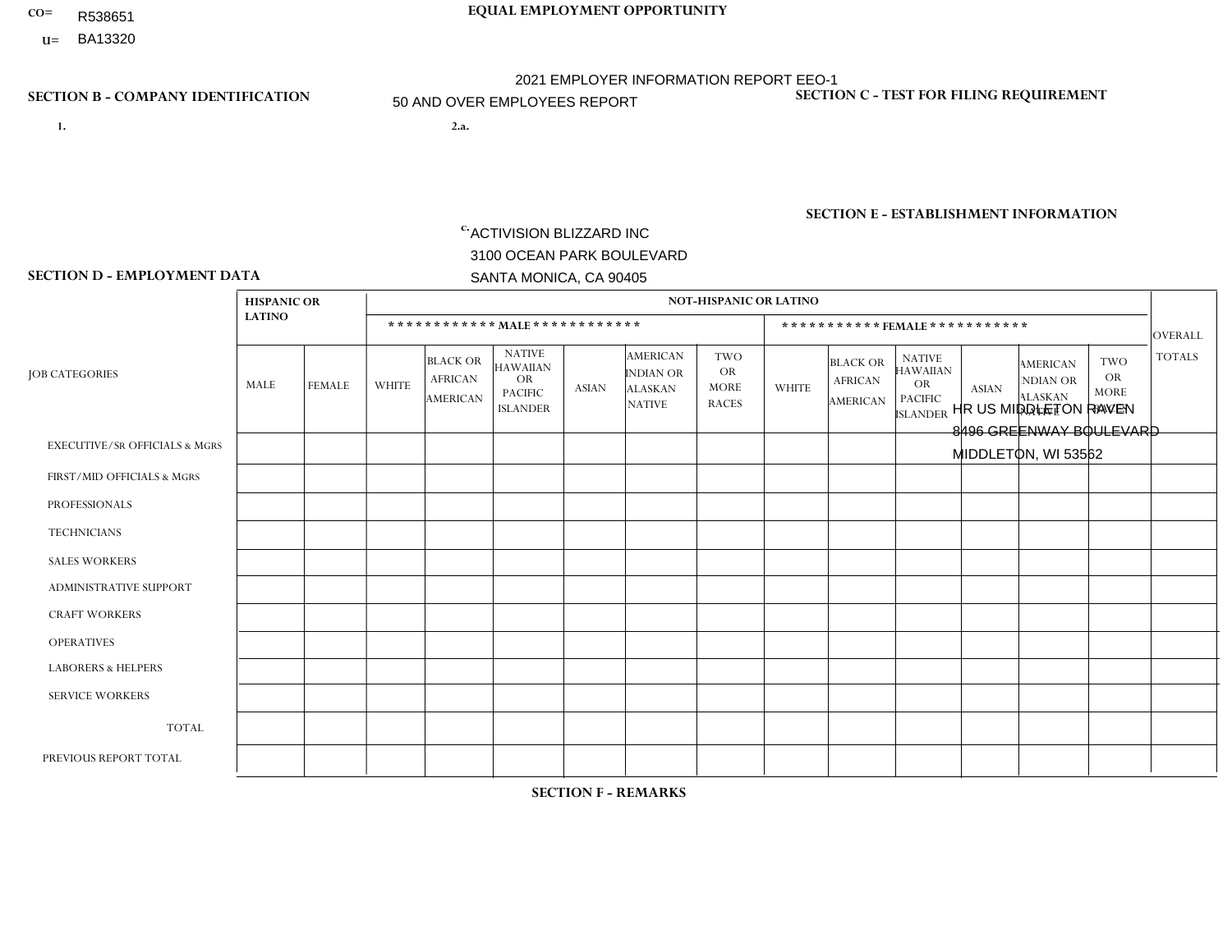- R538651
- **U=**

- **1. 2.a.** ACTIVISION BLIZZARD INC 3100 OCEAN PARK BOULEVARD SANTA MONICA, CA 90405
- 2.a. HR US MIDDLETON RAVEN 8496 GREENWAY BOULEVARD MIDDLETON, WI 53562

EIN= 161465268

## **SECTION B - COMPANY IDENTIFICATION SECTION C - TEST FOR FILING REQUIREMENT**

1- Y 2- Y 3- Y DUNS= 098533342

**SECTION E - ESTABLISHMENT INFORMATION c.** NAICS: 511210 - Software Publishers

### **SECTION D - EMPLOYMENT DATA**

|                                          | <b>HISPANIC OR</b> |                |                |                                               |                                                                                    |              |                                                                        | <b>NOT-HISPANIC OR LATINO</b>                          |              |                                               |                                                                             |                |                                                                       |                                                        |                |
|------------------------------------------|--------------------|----------------|----------------|-----------------------------------------------|------------------------------------------------------------------------------------|--------------|------------------------------------------------------------------------|--------------------------------------------------------|--------------|-----------------------------------------------|-----------------------------------------------------------------------------|----------------|-----------------------------------------------------------------------|--------------------------------------------------------|----------------|
|                                          | <b>LATINO</b>      |                |                |                                               | ************ MAIE************                                                      |              |                                                                        |                                                        |              | ***********FEMALE***********                  |                                                                             |                |                                                                       |                                                        | <b>OVERALL</b> |
| <b>JOB CATEGORIES</b>                    | MALE               | <b>FEMALE</b>  | <b>WHITE</b>   | <b>BLACK OR</b><br><b>AFRICAN</b><br>AMERICAN | <b>NATIVE</b><br><b>HAWAIIAN</b><br><b>OR</b><br><b>PACIFIC</b><br><b>ISLANDER</b> | <b>ASIAN</b> | <b>AMERICAN</b><br><b>INDIAN OR</b><br><b>ALASKAN</b><br><b>NATIVE</b> | <b>TWO</b><br><b>OR</b><br><b>MORE</b><br><b>RACES</b> | <b>WHITE</b> | <b>BLACK OR</b><br><b>AFRICAN</b><br>AMERICAN | <b>NATIVE</b><br><b>HAWAIIAN</b><br>OR<br><b>PACIFIC</b><br><b>ISLANDER</b> | <b>ASIAN</b>   | <b>AMERICAN</b><br><b>NDIAN OR</b><br><b>ALASKAN</b><br><b>NATIVE</b> | <b>TWO</b><br><b>OR</b><br><b>MORE</b><br><b>RACES</b> | <b>TOTALS</b>  |
| <b>EXECUTIVE/SR OFFICIALS &amp; MGRS</b> | $\Omega$           | $\Omega$       | $\overline{ }$ | $\mathbf 0$                                   | $\Omega$                                                                           | $\Omega$     | $\Omega$                                                               | $\Omega$                                               | $\Omega$     | $\Omega$                                      | $\Omega$                                                                    | $\mathbf{0}$   | $\Omega$                                                              | $\mathbf{0}$                                           | $\mathbf{1}$   |
| FIRST/MID OFFICIALS & MGRS               |                    | $\Omega$       | 48             | $\mathbf 0$                                   | $\Omega$                                                                           | $\mathbf{0}$ | $\Omega$                                                               |                                                        | 6            | $\Omega$                                      | $\Omega$                                                                    | $\Omega$       | $\Omega$                                                              | $\Omega$                                               | 56             |
| <b>PROFESSIONALS</b>                     | $\overline{7}$     | $\overline{2}$ | 183            | $\overline{2}$                                | $\mathbf{0}$                                                                       | 18           | $\Omega$                                                               | 5                                                      | 24           | 1                                             | $\Omega$                                                                    | $\overline{2}$ | 0                                                                     | $\mathbf{1}$                                           | 245            |
| <b>TECHNICIANS</b>                       | 0                  | $\mathbf 0$    | 22             | $\mathbf 0$                                   | $\mathbf 0$                                                                        | $\Omega$     | $\Omega$                                                               |                                                        | 10           | $\Omega$                                      | $\Omega$                                                                    | $\mathbf{0}$   | $\mathbf 0$                                                           | $\mathbf{1}$                                           | 34             |
| <b>SALES WORKERS</b>                     | $\Omega$           | $\Omega$       | $\Omega$       | $\Omega$                                      | $\Omega$                                                                           | $\Omega$     | $\Omega$                                                               | $\Omega$                                               | $\Omega$     | $\Omega$                                      | $\Omega$                                                                    | $\Omega$       | $\Omega$                                                              | $\Omega$                                               | $\mathbf 0$    |
| ADMINISTRATIVE SUPPORT                   | 0                  | $\Omega$       |                | $\mathbf 0$                                   | $\Omega$                                                                           | $\Omega$     | $\Omega$                                                               | $\Omega$                                               | $\Omega$     | $\Omega$                                      | $\Omega$                                                                    | $\Omega$       | $\Omega$                                                              | $\Omega$                                               | $\mathbf{1}$   |
| <b>CRAFT WORKERS</b>                     | 0                  | $\Omega$       | $\Omega$       | $\Omega$                                      | $\Omega$                                                                           | $\Omega$     | $\Omega$                                                               | $\Omega$                                               | 0            | $\Omega$                                      | $\Omega$                                                                    | $\Omega$       | $\Omega$                                                              | $\Omega$                                               | $\Omega$       |
| <b>OPERATIVES</b>                        | 0                  | $\Omega$       | $\mathbf 0$    | $\mathbf 0$                                   | $\Omega$                                                                           | $\Omega$     | $\Omega$                                                               | $\Omega$                                               | $\Omega$     | $\Omega$                                      | $\Omega$                                                                    | $\Omega$       | $\Omega$                                                              | $\Omega$                                               | $\mathbf 0$    |
| <b>LABORERS &amp; HELPERS</b>            | 0                  | $\Omega$       | $\Omega$       | 0                                             | $\Omega$                                                                           | $\Omega$     | $\Omega$                                                               | $\Omega$                                               | $\Omega$     | $\Omega$                                      | $\Omega$                                                                    | $\Omega$       | $\Omega$                                                              | $\Omega$                                               | $\mathbf 0$    |
| <b>SERVICE WORKERS</b>                   | 0                  | $\Omega$       | $\Omega$       | 0                                             | $\Omega$                                                                           | $\Omega$     | $\Omega$                                                               | $\Omega$                                               | $\Omega$     | $\Omega$                                      | $\Omega$                                                                    | $\Omega$       | $\Omega$                                                              | $\Omega$                                               | $\mathbf 0$    |
| <b>TOTAL</b>                             | 8                  | $\overline{2}$ | 255            | $\overline{2}$                                | $\Omega$                                                                           | 18           | $\Omega$                                                               | $\overline{7}$                                         | 40           | 1                                             | $\Omega$                                                                    | 2              | $\Omega$                                                              | 2                                                      | 337            |
| PREVIOUS REPORT TOTAL                    | $\overline{7}$     | $\overline{2}$ | 207            | $\mathbf{1}$                                  | 1                                                                                  | 12           | $\Omega$                                                               | 4                                                      | 28           | 1                                             | $\Omega$                                                                    | 1              | 0                                                                     | $\mathbf{1}$                                           | 265            |
|                                          |                    |                |                |                                               |                                                                                    |              |                                                                        |                                                        |              |                                               |                                                                             |                |                                                                       |                                                        |                |

# **SECTION F - REMARKS**

1 non-binary gender employees in Job Category Professionals: Race/Ethnicity: White (Not Hispanic or Latino). 1 non-binary gender

employees in Job Category Professionals: Race/Ethnicity: Hispanic or Latino. 1 non-binary gender employees in Job Category Technicians:

# **CO= EQUAL EMPLOYMENT OPPORTUNITY** 2021 EMPLOYER INFORMATION REPORT EEO-1 50 AND OVER EMPLOYEES REPORT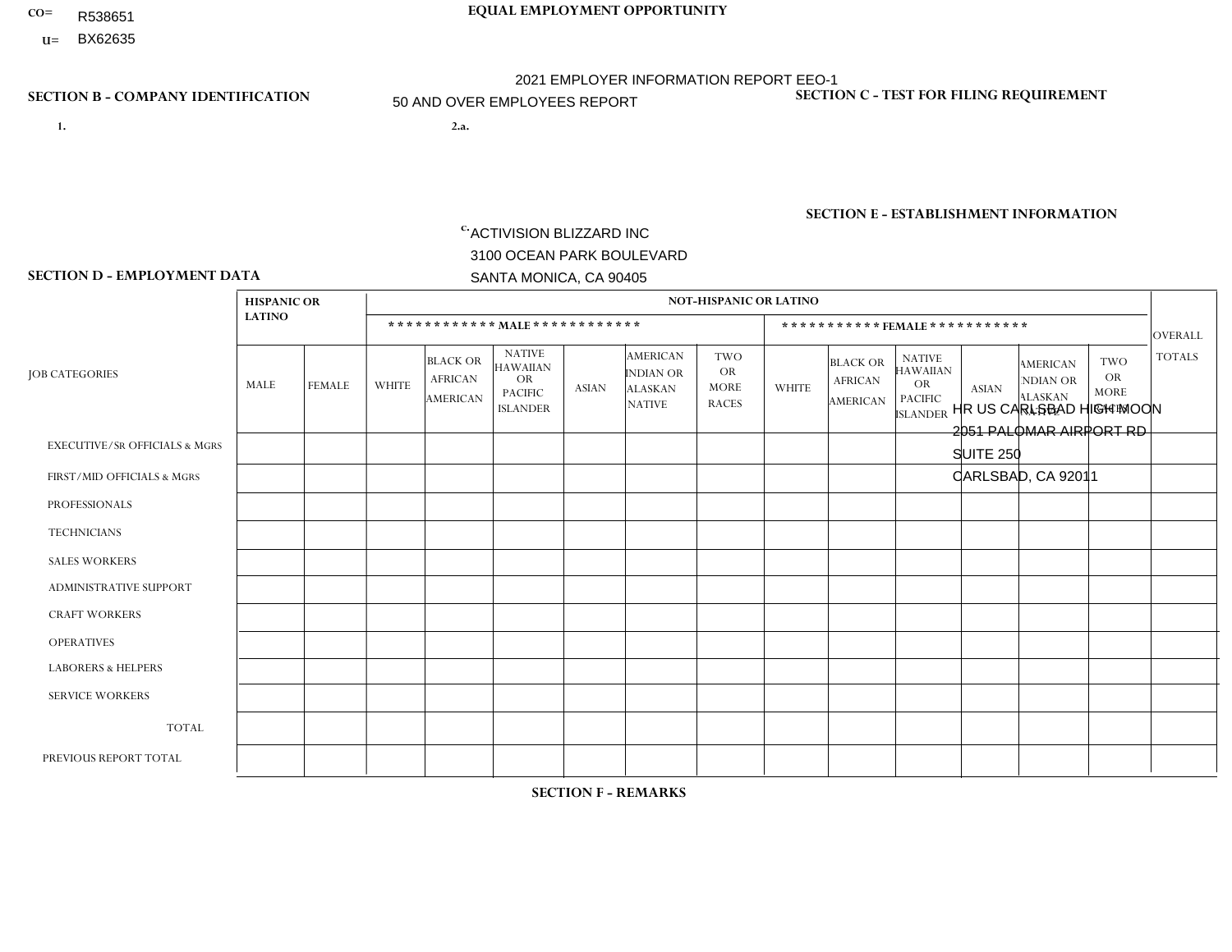- R538651
- **U=**

- **1. 2.a.** ACTIVISION BLIZZARD INC 3100 OCEAN PARK BOULEVARD SANTA MONICA, CA 90405
- 2.a. HR US CARLSBAD HIGH MOON 2051 PALOMAR AIRPORT RD SUITE 250 CARLSBAD, CA 92011
	- EIN= 161465268

## **SECTION B - COMPANY IDENTIFICATION SECTION C - TEST FOR FILING REQUIREMENT**

1- Y 2- Y 3- Y DUNS= 098533342

**SECTION E - ESTABLISHMENT INFORMATION c.** NAICS: 511210 - Software Publishers

## **SECTION D - EMPLOYMENT DATA**

|                                          | <b>HISPANIC OR</b> |                |                |                                                      |                                                                                    |              |                                                                 | NOT-HISPANIC OR LATINO                                 |              |                                                      |                                                                                    |                |                                                                       |                                                        |                |
|------------------------------------------|--------------------|----------------|----------------|------------------------------------------------------|------------------------------------------------------------------------------------|--------------|-----------------------------------------------------------------|--------------------------------------------------------|--------------|------------------------------------------------------|------------------------------------------------------------------------------------|----------------|-----------------------------------------------------------------------|--------------------------------------------------------|----------------|
|                                          | <b>LATINO</b>      |                |                |                                                      | ************ MALE ************                                                     |              |                                                                 |                                                        |              |                                                      | ***********FEMALE***********                                                       |                |                                                                       |                                                        | <b>OVERALL</b> |
| <b>JOB CATEGORIES</b>                    | <b>MALE</b>        | <b>FEMALE</b>  | <b>WHITE</b>   | <b>BLACK OR</b><br><b>AFRICAN</b><br><b>AMERICAN</b> | <b>NATIVE</b><br><b>HAWAIIAN</b><br><b>OR</b><br><b>PACIFIC</b><br><b>ISLANDER</b> | <b>ASIAN</b> | <b>AMERICAN</b><br>INDIAN OR<br><b>ALASKAN</b><br><b>NATIVE</b> | <b>TWO</b><br><b>OR</b><br><b>MORE</b><br><b>RACES</b> | <b>WHITE</b> | <b>BLACK OR</b><br><b>AFRICAN</b><br><b>AMERICAN</b> | <b>NATIVE</b><br><b>HAWAIIAN</b><br><b>OR</b><br><b>PACIFIC</b><br><b>ISLANDER</b> | <b>ASIAN</b>   | <b>AMERICAN</b><br><b>NDIAN OR</b><br><b>ALASKAN</b><br><b>NATIVE</b> | <b>TWO</b><br><b>OR</b><br><b>MORE</b><br><b>RACES</b> | <b>TOTALS</b>  |
| <b>EXECUTIVE/SR OFFICIALS &amp; MGRS</b> | $\Omega$           | $\Omega$       | $\overline{1}$ | 0                                                    | $\mathbf 0$                                                                        | $\mathbf 0$  | $\Omega$                                                        | $\Omega$                                               | $\Omega$     | $\Omega$                                             | $\Omega$                                                                           | $\Omega$       | $\Omega$                                                              | $\Omega$                                               | $\mathbf{1}$   |
| FIRST/MID OFFICIALS & MGRS               | $\overline{4}$     | $\Omega$       | 18             | $\mathbf 0$                                          | $\mathbf 0$                                                                        | $\mathbf{1}$ | $\mathbf{0}$                                                    | $\Omega$                                               | $\Omega$     | $\Omega$                                             | $\mathbf{0}$                                                                       | $\Omega$       | $\mathbf{0}$                                                          | $\Omega$                                               | 23             |
| <b>PROFESSIONALS</b>                     | 11                 | $\overline{2}$ | 74             | $\overline{7}$                                       | $\mathbf 0$                                                                        | 19           | -1                                                              | 5                                                      | 6            | $\Omega$                                             | $\mathbf{0}$                                                                       | 9              | $\Omega$                                                              | 1                                                      | 135            |
| <b>TECHNICIANS</b>                       |                    | $\mathbf 0$    | 6              | $\mathbf{1}$                                         | 1                                                                                  | $\mathbf{1}$ | $\mathbf{0}$                                                    | $\overline{2}$                                         | $\Omega$     | $\Omega$                                             | $\Omega$                                                                           | $\mathbf{0}$   | $\Omega$                                                              | $\mathbf{0}$                                           | 12             |
| <b>SALES WORKERS</b>                     | 0                  | $\mathbf 0$    | $\mathbf 0$    | $\mathbf 0$                                          | $\Omega$                                                                           | $\Omega$     | $\Omega$                                                        | $\Omega$                                               | $\Omega$     | $\Omega$                                             | $\Omega$                                                                           | $\Omega$       | $\Omega$                                                              | $\Omega$                                               | $\mathbf 0$    |
| <b>ADMINISTRATIVE SUPPORT</b>            | 0                  | $\mathbf{1}$   | $\mathbf 0$    | $\mathbf 0$                                          | $\mathbf 0$                                                                        | $\mathbf 0$  | $\mathbf{0}$                                                    | $\Omega$                                               | $\Omega$     | $\Omega$                                             | $\Omega$                                                                           | $\Omega$       | $\Omega$                                                              | $\mathbf{0}$                                           | $\mathbf{1}$   |
| <b>CRAFT WORKERS</b>                     | 0                  | $\Omega$       | $\mathbf 0$    | $\mathbf 0$                                          | $\mathbf 0$                                                                        | $\Omega$     | $\mathbf{0}$                                                    | $\Omega$                                               | $\Omega$     | $\Omega$                                             | $\Omega$                                                                           | $\mathbf{0}$   | $\Omega$                                                              | $\mathbf{0}$                                           | $\mathbf 0$    |
| <b>OPERATIVES</b>                        | 0                  | $\Omega$       | $\mathbf 0$    | $\mathbf 0$                                          | $\mathbf 0$                                                                        | $\Omega$     | $\Omega$                                                        | $\Omega$                                               | $\Omega$     | $\Omega$                                             | $\Omega$                                                                           | $\Omega$       | $\Omega$                                                              | $\mathbf{0}$                                           | $\overline{0}$ |
| <b>LABORERS &amp; HELPERS</b>            | 0                  | $\Omega$       | $\mathbf 0$    | $\mathbf 0$                                          | $\mathbf 0$                                                                        | $\Omega$     | $\Omega$                                                        | $\Omega$                                               | $\Omega$     | $\Omega$                                             | $\Omega$                                                                           | $\Omega$       | $\Omega$                                                              | $\Omega$                                               | $\mathbf 0$    |
| <b>SERVICE WORKERS</b>                   | 0                  | $\Omega$       | $\mathbf 0$    | 0                                                    | $\mathbf 0$                                                                        | $\Omega$     | $\Omega$                                                        | $\Omega$                                               | $\Omega$     | $\Omega$                                             | $\Omega$                                                                           | $\Omega$       | $\mathbf{0}$                                                          | $\Omega$                                               | $\overline{0}$ |
| <b>TOTAL</b>                             | 16                 | 3              | 99             | 8                                                    | $\mathbf{1}$                                                                       | 21           | $\overline{1}$                                                  | $\overline{7}$                                         | 6            | $\Omega$                                             | $\Omega$                                                                           | 9              | $\Omega$                                                              | 1                                                      | 172            |
| PREVIOUS REPORT TOTAL                    | 14                 | $\overline{4}$ | 88             | $\overline{4}$                                       | $\overline{2}$                                                                     | 18           |                                                                 | 5                                                      | 6            | 0                                                    | $\mathbf 0$                                                                        | $\overline{7}$ | $\mathbf 0$                                                           | 1                                                      | 150            |

**SECTION F - REMARKS**

1 Other gender employee in Job Category Professionals: Race/Ethnicity: Two or More Races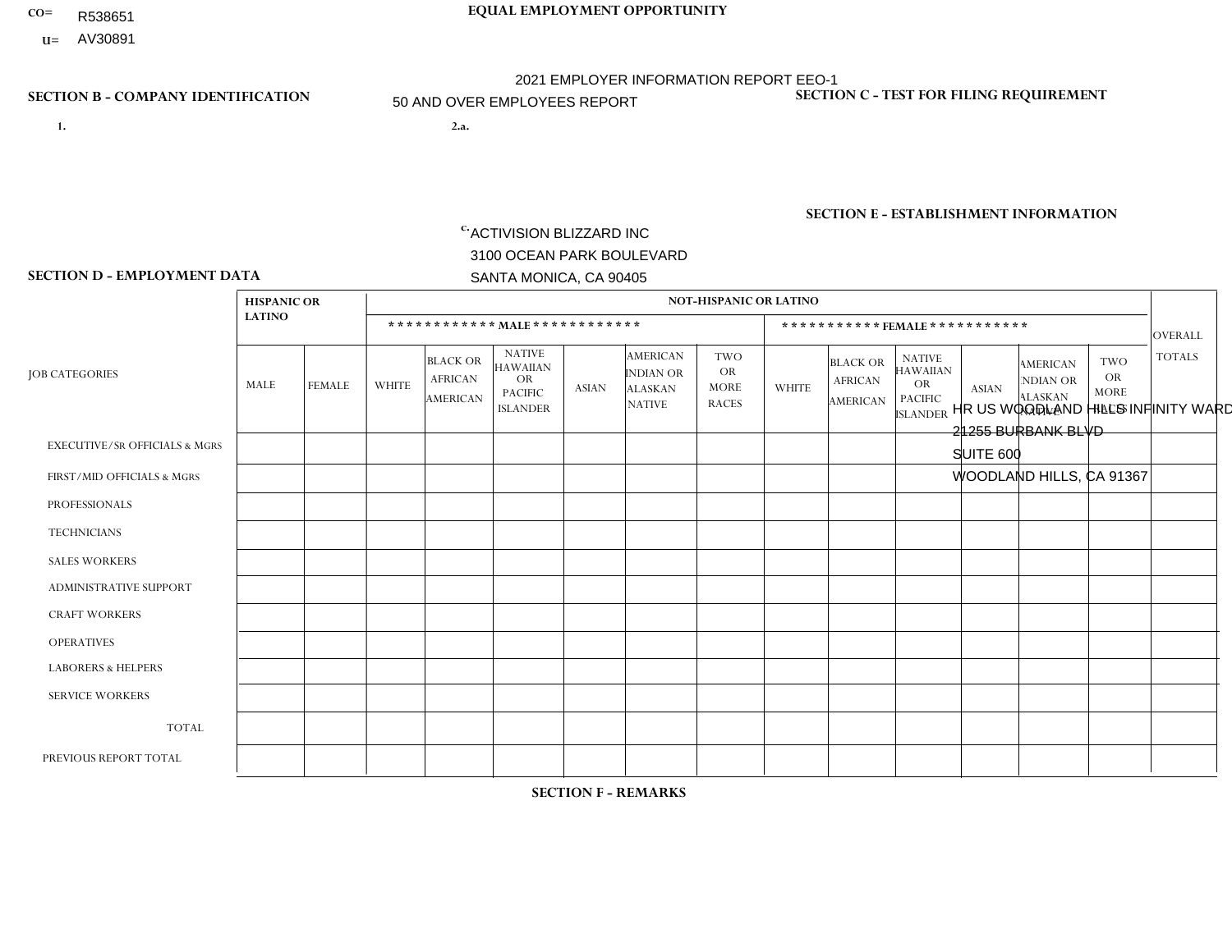- **CO= EQUAL EMPLOYMENT OPPORTUNITY** R538651
	- **U=**

- **1. 2.a.** ACTIVISION BLIZZARD INC 3100 OCEAN PARK BOULEVARD SANTA MONICA, CA 90405
- 2.a. HR US WOODLAND HILLS INFINITY WARD 21255 BURBANK BLVD SUITE 600 WOODLAND HILLS, CA 91367

2021 EMPLOYER INFORMATION REPORT EEO-1 50 AND OVER EMPLOYEES REPORT

EIN= 161465268

# **SECTION B - COMPANY IDENTIFICATION SECTION C - TEST FOR FILING REQUIREMENT**

1- Y 2- Y 3- Y DUNS= 098533342

**SECTION E - ESTABLISHMENT INFORMATION c.** NAICS: 511210 - Software Publishers

### **SECTION D - EMPLOYMENT DATA**

|                                          | <b>HISPANIC OR</b> |                |              |                                               |                                                                                    |              |                                                                        | <b>NOT-HISPANIC OR LATINO</b>                          |                |                                               |                                                                             |              |                                                                       |                                                        |                |
|------------------------------------------|--------------------|----------------|--------------|-----------------------------------------------|------------------------------------------------------------------------------------|--------------|------------------------------------------------------------------------|--------------------------------------------------------|----------------|-----------------------------------------------|-----------------------------------------------------------------------------|--------------|-----------------------------------------------------------------------|--------------------------------------------------------|----------------|
|                                          | <b>LATINO</b>      |                |              |                                               | ************ MAIE************                                                      |              |                                                                        |                                                        |                | ***********FEMALE***********                  |                                                                             |              |                                                                       |                                                        | <b>OVERALL</b> |
| <b>JOB CATEGORIES</b>                    | MALE               | <b>FEMALE</b>  | <b>WHITE</b> | <b>BLACK OR</b><br><b>AFRICAN</b><br>AMERICAN | <b>NATIVE</b><br><b>HAWAIIAN</b><br><b>OR</b><br><b>PACIFIC</b><br><b>ISLANDER</b> | <b>ASIAN</b> | <b>AMERICAN</b><br><b>INDIAN OR</b><br><b>ALASKAN</b><br><b>NATIVE</b> | <b>TWO</b><br><b>OR</b><br><b>MORE</b><br><b>RACES</b> | <b>WHITE</b>   | <b>BLACK OR</b><br><b>AFRICAN</b><br>AMERICAN | <b>NATIVE</b><br><b>HAWAIIAN</b><br>OR<br><b>PACIFIC</b><br><b>ISLANDER</b> | <b>ASIAN</b> | <b>AMERICAN</b><br><b>NDIAN OR</b><br><b>ALASKAN</b><br><b>NATIVE</b> | <b>TWO</b><br><b>OR</b><br><b>MORE</b><br><b>RACES</b> | <b>TOTALS</b>  |
| <b>EXECUTIVE/SR OFFICIALS &amp; MGRS</b> | $\Omega$           | $\Omega$       | $\Omega$     | $\mathbf 0$                                   | $\Omega$                                                                           | $\Omega$     | $\Omega$                                                               | $\Omega$                                               | $\Omega$       | $\Omega$                                      | $\Omega$                                                                    | $\Omega$     | $\Omega$                                                              | $\Omega$                                               | $\mathbf 0$    |
| FIRST/MID OFFICIALS & MGRS               | 6                  | $\overline{2}$ | 46           | 4                                             | $\Omega$                                                                           | 10           | $\overline{\phantom{a}}$                                               | $\overline{2}$                                         | 6              | $\overline{2}$                                | $\Omega$                                                                    |              | $\Omega$                                                              | $\Omega$                                               | 80             |
| <b>PROFESSIONALS</b>                     | 21                 | 3              | 137          | 8                                             |                                                                                    | 35           | $\Omega$                                                               | $\overline{7}$                                         | $\overline{7}$ | 0                                             | $\Omega$                                                                    | 9            | 0                                                                     | 3                                                      | 231            |
| <b>TECHNICIANS</b>                       | $\Omega$           | $\mathbf 0$    | $\Omega$     | $\mathbf 0$                                   | $\Omega$                                                                           | $\Omega$     | $\Omega$                                                               | $\Omega$                                               | $\Omega$       | $\Omega$                                      | $\Omega$                                                                    | $\Omega$     | $\Omega$                                                              | $\Omega$                                               | $\mathbf 0$    |
| <b>SALES WORKERS</b>                     | $\Omega$           | $\Omega$       | $\Omega$     | $\Omega$                                      | $\Omega$                                                                           | $\Omega$     | $\Omega$                                                               | $\Omega$                                               | $\Omega$       | $\Omega$                                      | $\Omega$                                                                    | $\Omega$     | $\Omega$                                                              | $\Omega$                                               | $\mathbf 0$    |
| ADMINISTRATIVE SUPPORT                   |                    | $\Omega$       |              | $\mathbf 0$                                   |                                                                                    | $\Omega$     | $\Omega$                                                               | $\Omega$                                               | $\Omega$       | $\Omega$                                      | $\Omega$                                                                    |              | $\Omega$                                                              | $\Omega$                                               | $\overline{4}$ |
| <b>CRAFT WORKERS</b>                     | 0                  | $\Omega$       | $\Omega$     | $\Omega$                                      | $\Omega$                                                                           | $\Omega$     | $\Omega$                                                               | $\Omega$                                               | 0              | $\Omega$                                      | $\Omega$                                                                    | $\Omega$     | $\Omega$                                                              | $\Omega$                                               | $\Omega$       |
| <b>OPERATIVES</b>                        | 0                  | $\Omega$       | $\mathbf 0$  | $\mathbf 0$                                   | $\Omega$                                                                           | $\Omega$     | $\Omega$                                                               | $\Omega$                                               | $\Omega$       | $\Omega$                                      | $\Omega$                                                                    | $\Omega$     | $\Omega$                                                              | $\Omega$                                               | $\mathbf 0$    |
| <b>LABORERS &amp; HELPERS</b>            | 0                  | $\Omega$       | $\Omega$     | $\mathbf 0$                                   | $\Omega$                                                                           | $\Omega$     | $\Omega$                                                               | $\Omega$                                               | $\Omega$       | $\Omega$                                      | $\Omega$                                                                    | $\Omega$     | $\Omega$                                                              | $\Omega$                                               | $\mathbf 0$    |
| <b>SERVICE WORKERS</b>                   | 0                  | $\Omega$       | $\Omega$     | $\mathbf 0$                                   | $\Omega$                                                                           | $\Omega$     | $\Omega$                                                               | $\Omega$                                               | $\Omega$       | $\Omega$                                      | $\Omega$                                                                    | $\Omega$     | $\Omega$                                                              | $\Omega$                                               | $\mathbf 0$    |
| <b>TOTAL</b>                             | 28                 | 5              | 184          | 12                                            | $\overline{c}$                                                                     | 45           | -1                                                                     | 9                                                      | 13             | $\overline{2}$                                | $\Omega$                                                                    | 11           | $\Omega$                                                              | 3                                                      | 315            |
| PREVIOUS REPORT TOTAL                    | 24                 | 3              | 173          | 8                                             | 1                                                                                  | 37           | 2                                                                      | 6                                                      | 11             | 1                                             | $\Omega$                                                                    | 12           | 0                                                                     | $\overline{2}$                                         | 280            |
|                                          |                    |                |              |                                               |                                                                                    |              |                                                                        |                                                        |                |                                               |                                                                             |              |                                                                       |                                                        |                |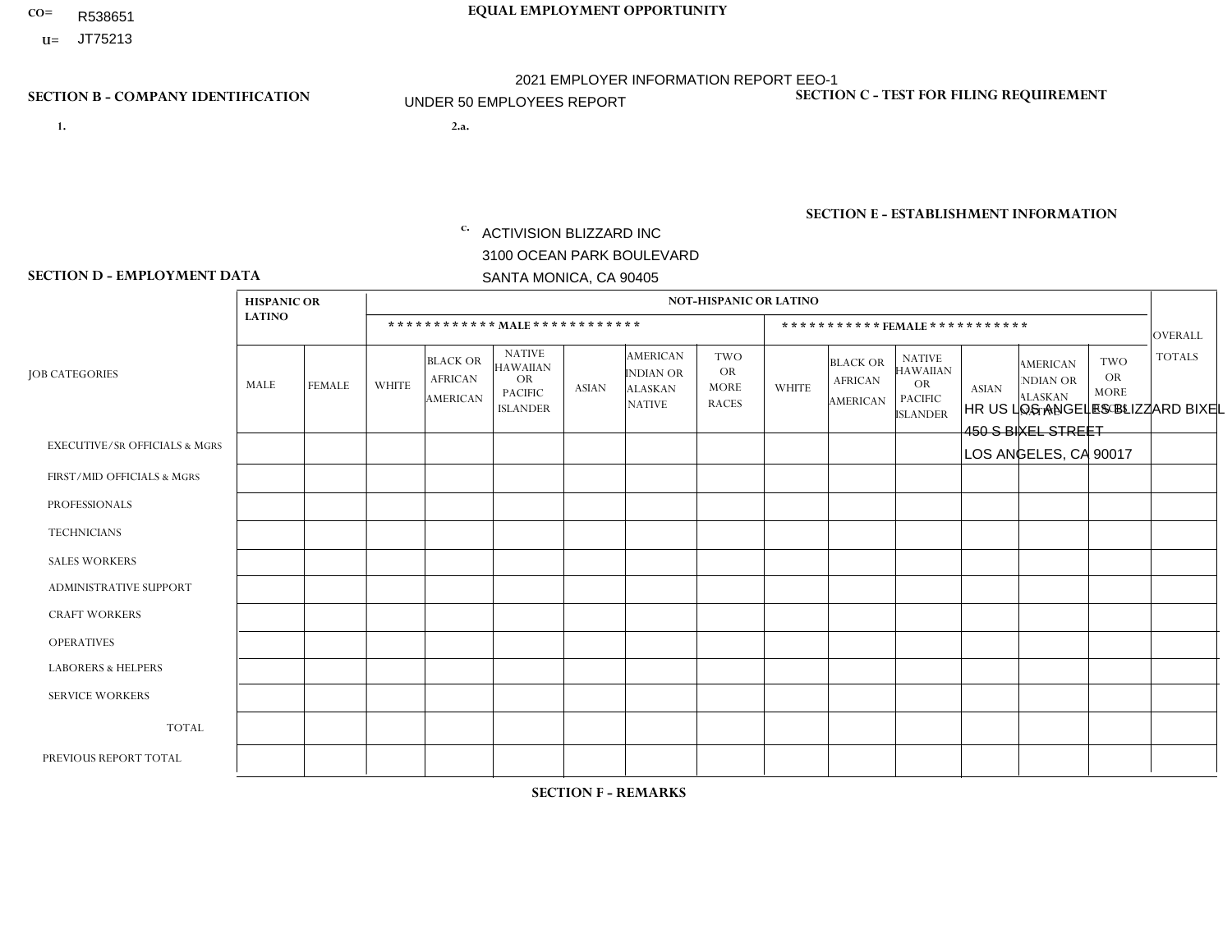- R538651
- **U=**

# **SECTION B - COMPANY IDENTIFICATION SECTION C - TEST FOR FILING REQUIREMENT**

**1. 2.a.** ACTIVISION BLIZZARD INC 3100 OCEAN PARK BOULEVARD SANTA MONICA, CA 90405

2.a. HR US LOS ANGELES BLIZZARD BIXEL 450 S BIXEL STREET LOS ANGELES, CA 90017

EIN= 161465268

1- Y 2- Y 3- Y DUNS= 098533342

**SECTION E - ESTABLISHMENT INFORMATION c.** NAICS: 511210 - Software Publishers

### **SECTION D - EMPLOYMENT DATA**

|                                          | <b>HISPANIC OR</b> |             |              |                                                      |                                                                                    |                |                                                                 | <b>NOT-HISPANIC OR LATINO</b>                   |              |                                               |                                                                                    |              |                                                                       |                                                        |                |
|------------------------------------------|--------------------|-------------|--------------|------------------------------------------------------|------------------------------------------------------------------------------------|----------------|-----------------------------------------------------------------|-------------------------------------------------|--------------|-----------------------------------------------|------------------------------------------------------------------------------------|--------------|-----------------------------------------------------------------------|--------------------------------------------------------|----------------|
|                                          | <b>LATINO</b>      |             |              | ************ MALE ************                       |                                                                                    |                |                                                                 |                                                 |              |                                               | *********** FEMALE ***********                                                     |              |                                                                       |                                                        | <b>OVERALL</b> |
| <b>JOB CATEGORIES</b>                    | <b>MALE</b>        | FEMALE      | <b>WHITE</b> | <b>BLACK OR</b><br><b>AFRICAN</b><br><b>AMERICAN</b> | <b>NATIVE</b><br><b>HAWAIIAN</b><br><b>OR</b><br><b>PACIFIC</b><br><b>ISLANDER</b> | <b>ASIAN</b>   | <b>AMERICAN</b><br>INDIAN OR<br><b>ALASKAN</b><br><b>NATIVE</b> | TWO<br><b>OR</b><br><b>MORE</b><br><b>RACES</b> | <b>WHITE</b> | <b>BLACK OR</b><br><b>AFRICAN</b><br>AMERICAN | <b>NATIVE</b><br><b>HAWAIIAN</b><br><b>OR</b><br><b>PACIFIC</b><br><b>ISLANDER</b> | <b>ASIAN</b> | <b>AMERICAN</b><br><b>NDIAN OR</b><br><b>ALASKAN</b><br><b>NATIVE</b> | <b>TWO</b><br><b>OR</b><br><b>MORE</b><br><b>RACES</b> | <b>TOTALS</b>  |
| <b>EXECUTIVE/SR OFFICIALS &amp; MGRS</b> | $\Omega$           | $\Omega$    | $\Omega$     | $\mathbf 0$                                          | $\Omega$                                                                           | $\Omega$       | $\Omega$                                                        | $\Omega$                                        | $\Omega$     | $\Omega$                                      | $\Omega$                                                                           | $\mathbf 0$  | $\Omega$                                                              | $\Omega$                                               | $\mathbf 0$    |
| FIRST/MID OFFICIALS & MGRS               | и                  | $\Omega$    | 4            | $\Omega$                                             | $\Omega$                                                                           | $\Omega$       | $\Omega$                                                        | $\Omega$                                        | 1            | $\Omega$                                      | 0                                                                                  | $\Omega$     | $\Omega$                                                              | $\Omega$                                               | 6              |
| <b>PROFESSIONALS</b>                     | $\Omega$           | $\mathbf 0$ | 13           | $\mathbf{1}$                                         | 1                                                                                  | $\overline{2}$ | $\Omega$                                                        | $\overline{1}$                                  | 4            | $\Omega$                                      | 0                                                                                  | 0            | $\Omega$                                                              | $\mathbf 1$                                            | 23             |
| <b>TECHNICIANS</b>                       | $\Omega$           | $\mathbf 0$ | $\Omega$     | $\mathbf 0$                                          | $\mathbf 0$                                                                        | $\Omega$       | $\Omega$                                                        | $\Omega$                                        | 0            | $\Omega$                                      | 0                                                                                  | $\mathbf 0$  | $\Omega$                                                              | $\mathbf 0$                                            | $\mathbf{0}$   |
| <b>SALES WORKERS</b>                     | $\Omega$           | $\Omega$    | $\Omega$     | $\mathbf 0$                                          | $\Omega$                                                                           | $\Omega$       | $\Omega$                                                        | $\Omega$                                        | 0            | $\Omega$                                      | $\Omega$                                                                           | $\Omega$     | $\Omega$                                                              | $\Omega$                                               | $\mathbf 0$    |
| <b>ADMINISTRATIVE SUPPORT</b>            | $\Omega$           | $\Omega$    | $\Omega$     | $\mathbf 0$                                          | $\mathbf 0$                                                                        | $\Omega$       | $\Omega$                                                        | $\Omega$                                        | 0            | $\Omega$                                      | 0                                                                                  | $\mathbf 0$  | 0                                                                     | $\mathbf 0$                                            | $\mathbf 0$    |
| <b>CRAFT WORKERS</b>                     | $\Omega$           | $\mathbf 0$ | $\mathbf 0$  | $\mathbf 0$                                          | $\mathbf 0$                                                                        | $\mathbf 0$    | $\Omega$                                                        | $\Omega$                                        | $\Omega$     | $\Omega$                                      | $\Omega$                                                                           | $\mathbf 0$  | $\Omega$                                                              | $\mathbf 0$                                            | $\mathbf 0$    |
| <b>OPERATIVES</b>                        | $\Omega$           | $\Omega$    | $\mathbf{0}$ | $\mathbf 0$                                          | $\Omega$                                                                           | $\Omega$       | $\Omega$                                                        | $\Omega$                                        | $\Omega$     | $\Omega$                                      | 0                                                                                  | $\Omega$     | $\Omega$                                                              | $\Omega$                                               | $\mathbf 0$    |
| <b>LABORERS &amp; HELPERS</b>            | $\Omega$           | $\Omega$    | $\mathbf{0}$ | $\mathbf 0$                                          | $\Omega$                                                                           | $\Omega$       | $\Omega$                                                        | $\Omega$                                        | 0            | $\Omega$                                      | 0                                                                                  | $\Omega$     | $\Omega$                                                              | $\Omega$                                               | $\overline{0}$ |
| <b>SERVICE WORKERS</b>                   | $\Omega$           | $\Omega$    | $\mathbf{0}$ | 0                                                    | 0                                                                                  | $\Omega$       | $\Omega$                                                        | $\Omega$                                        | $\Omega$     | $\Omega$                                      | 0                                                                                  | $\mathbf 0$  | $\Omega$                                                              | $\mathbf 0$                                            | $\mathbf 0$    |
| <b>TOTAL</b>                             |                    | $\mathbf 0$ | 17           | $\overline{ }$                                       |                                                                                    | $\overline{2}$ | $\Omega$                                                        | 1                                               | 5            | $\Omega$                                      | $\Omega$                                                                           | $\mathbf 0$  | $\mathbf 0$                                                           |                                                        | 29             |
| PREVIOUS REPORT TOTAL                    | 5                  | $\Omega$    | 31           | $\overline{1}$                                       | $\Omega$                                                                           | 5              | $\Omega$                                                        | 3                                               | 9            | $\Omega$                                      | 0                                                                                  | $\Omega$     | $\Omega$                                                              | $\mathbf 0$                                            | 54             |
|                                          |                    |             |              |                                                      |                                                                                    |                |                                                                 |                                                 |              |                                               |                                                                                    |              |                                                                       |                                                        |                |

**SECTION F - REMARKS**

Downsizing this location.

# **CO= EQUAL EMPLOYMENT OPPORTUNITY** 2021 EMPLOYER INFORMATION REPORT EEO-1 UNDER 50 EMPLOYEES REPORT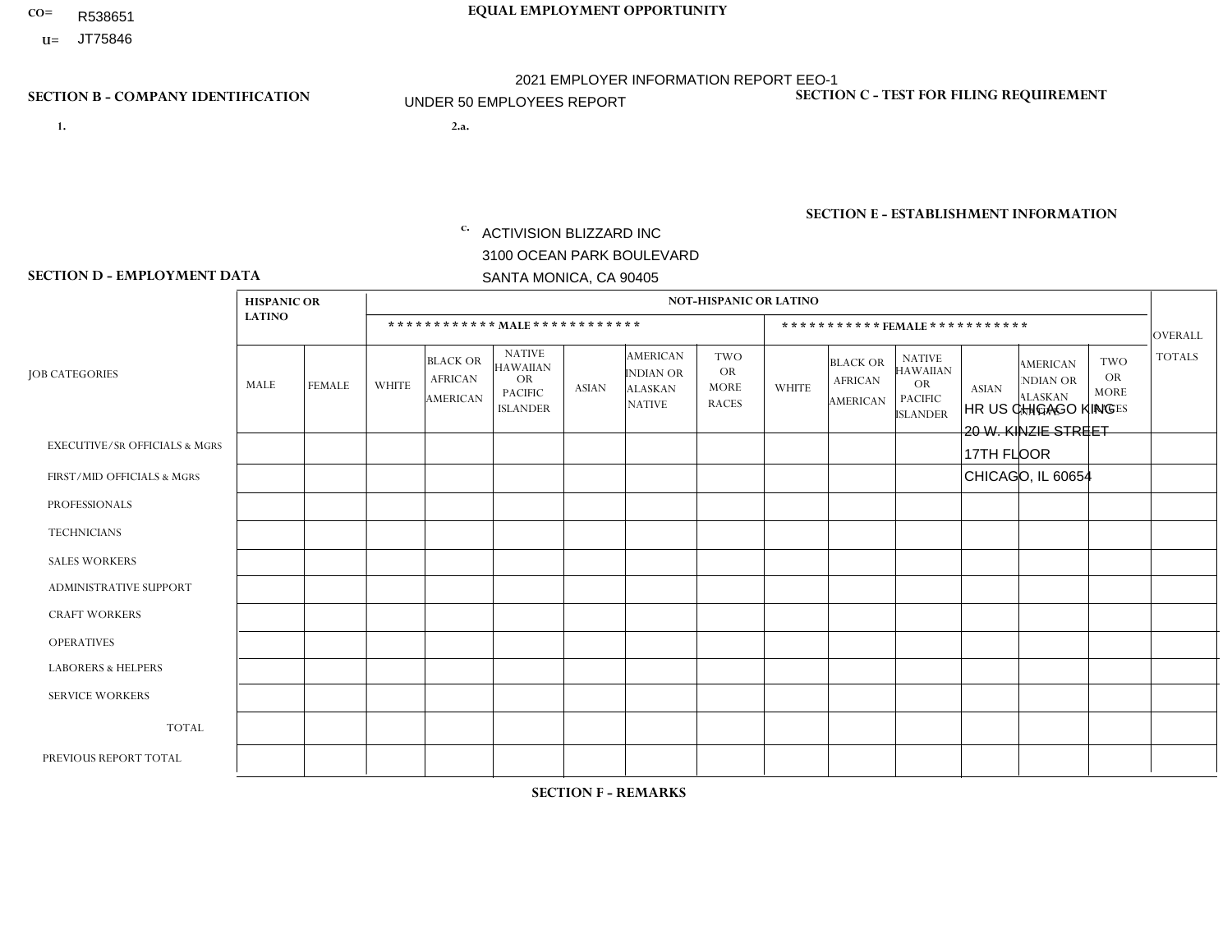- R538651
- **U=**

**1. 2.a.** ACTIVISION BLIZZARD INC 3100 OCEAN PARK BOULEVARD SANTA MONICA, CA 90405

2.a. HR US CHICAGO KING 20 W. KINZIE STREET 17TH FLOOR CHICAGO, IL 60654

EIN= 161465268

## **SECTION B - COMPANY IDENTIFICATION SECTION C - TEST FOR FILING REQUIREMENT**

1- Y 2- Y 3- Y DUNS= 098533342

**SECTION E - ESTABLISHMENT INFORMATION c.** NAICS: 511210 - Software Publishers

### **SECTION D - EMPLOYMENT DATA**

|                                          | <b>HISPANIC OR</b> |               |                |                                                      |                                                                                    |              |                                                                        | <b>NOT-HISPANIC OR LATINO</b>                          |              |                                               |                                                                             |              |                                                                       |                                                        |                |
|------------------------------------------|--------------------|---------------|----------------|------------------------------------------------------|------------------------------------------------------------------------------------|--------------|------------------------------------------------------------------------|--------------------------------------------------------|--------------|-----------------------------------------------|-----------------------------------------------------------------------------|--------------|-----------------------------------------------------------------------|--------------------------------------------------------|----------------|
|                                          | <b>LATINO</b>      |               |                |                                                      | ************ MAIE************                                                      |              |                                                                        |                                                        |              |                                               | ***********FEMALE ***********                                               |              |                                                                       |                                                        | <b>OVERALL</b> |
| <b>JOB CATEGORIES</b>                    | <b>MALE</b>        | <b>FEMALE</b> | <b>WHITE</b>   | <b>BLACK OR</b><br><b>AFRICAN</b><br><b>AMERICAN</b> | <b>NATIVE</b><br><b>HAWAIIAN</b><br><b>OR</b><br><b>PACIFIC</b><br><b>ISLANDER</b> | <b>ASIAN</b> | <b>AMERICAN</b><br><b>INDIAN OR</b><br><b>ALASKAN</b><br><b>NATIVE</b> | <b>TWO</b><br><b>OR</b><br><b>MORE</b><br><b>RACES</b> | <b>WHITE</b> | <b>BLACK OR</b><br><b>AFRICAN</b><br>AMERICAN | <b>NATIVE</b><br><b>HAWAIIAN</b><br>OR<br><b>PACIFIC</b><br><b>ISLANDER</b> | <b>ASIAN</b> | <b>AMERICAN</b><br><b>NDIAN OR</b><br><b>ALASKAN</b><br><b>NATIVE</b> | <b>TWO</b><br><b>OR</b><br><b>MORE</b><br><b>RACES</b> | <b>TOTALS</b>  |
| <b>EXECUTIVE/SR OFFICIALS &amp; MGRS</b> | $\mathbf 0$        | 0             | $\mathbf 0$    | $\mathbf 0$                                          | $\Omega$                                                                           | $\mathbf 0$  | $\Omega$                                                               | $\Omega$                                               | $\mathbf 0$  | $\Omega$                                      | $\mathbf 0$                                                                 | $\Omega$     | $\Omega$                                                              | $\mathbf 0$                                            | $\mathbf 0$    |
| FIRST/MID OFFICIALS & MGRS               | $\Omega$           | $\Omega$      | $\Omega$       | $\Omega$                                             | $\Omega$                                                                           | $\Omega$     | $\Omega$                                                               | $\Omega$                                               | $\Omega$     | $\Omega$                                      | $\Omega$                                                                    | $\Omega$     | $\Omega$                                                              | $\Omega$                                               | $\Omega$       |
| <b>PROFESSIONALS</b>                     | $\mathbf 0$        | $\mathbf 0$   | $\overline{ }$ | $\mathbf 0$                                          | $\mathbf{0}$                                                                       | $\Omega$     | $\Omega$                                                               | $\Omega$                                               | $\Omega$     | $\Omega$                                      | $\Omega$                                                                    | $\Omega$     | $\Omega$                                                              | $\mathbf 0$                                            | $\mathbf{1}$   |
| <b>TECHNICIANS</b>                       | $\Omega$           | $\Omega$      | $\Omega$       | $\Omega$                                             | $\mathbf{0}$                                                                       | $\Omega$     | $\Omega$                                                               | $\Omega$                                               | $\Omega$     | $\Omega$                                      | $\Omega$                                                                    | $\Omega$     | $\Omega$                                                              | $\Omega$                                               | $\Omega$       |
| <b>SALES WORKERS</b>                     | $\mathbf 0$        | $\mathbf 0$   | $\mathbf 0$    | $\mathbf 0$                                          | $\Omega$                                                                           | $\Omega$     | $\Omega$                                                               | $\Omega$                                               | 3            | $\Omega$                                      | $\Omega$                                                                    | $\Omega$     | $\Omega$                                                              | $\Omega$                                               | 3              |
| <b>ADMINISTRATIVE SUPPORT</b>            | $\mathbf 0$        | $\mathbf 0$   | $\mathbf 0$    | $\mathbf 0$                                          | $\mathbf 0$                                                                        | $\mathbf 0$  | $\Omega$                                                               | $\Omega$                                               | $\mathbf 0$  | $\Omega$                                      | $\mathbf 0$                                                                 | $\mathbf 0$  | 0                                                                     | $\mathbf 0$                                            | $\mathbf 0$    |
| <b>CRAFT WORKERS</b>                     | $\mathbf 0$        | $\mathbf 0$   | $\Omega$       | $\mathbf 0$                                          | $\Omega$                                                                           | $\Omega$     | $\Omega$                                                               | $\Omega$                                               | $\Omega$     | $\Omega$                                      | $\Omega$                                                                    | $\Omega$     | $\Omega$                                                              | $\Omega$                                               | $\mathbf 0$    |
| <b>OPERATIVES</b>                        | 0                  | 0             | $\mathbf 0$    | $\mathbf 0$                                          | 0                                                                                  | $\Omega$     | $\Omega$                                                               | $\Omega$                                               | $\Omega$     | $\Omega$                                      | $\Omega$                                                                    | $\Omega$     | $\Omega$                                                              | $\mathbf{0}$                                           | $\mathbf 0$    |
| <b>LABORERS &amp; HELPERS</b>            | $\Omega$           | $\Omega$      | 0              | $\mathbf 0$                                          | $\Omega$                                                                           | $\Omega$     | $\Omega$                                                               | $\Omega$                                               | $\Omega$     | $\Omega$                                      | $\Omega$                                                                    | $\Omega$     | $\Omega$                                                              | $\Omega$                                               | $\Omega$       |
| <b>SERVICE WORKERS</b>                   | 0                  | 0             | $\mathbf 0$    | $\mathbf 0$                                          | 0                                                                                  | $\mathbf 0$  | $\Omega$                                                               | $\Omega$                                               | $\Omega$     | $\Omega$                                      | $\Omega$                                                                    | $\Omega$     | $\Omega$                                                              | $\mathbf 0$                                            | $\mathbf 0$    |
| <b>TOTAL</b>                             | $\Omega$           | 0             |                | $\Omega$                                             | $\Omega$                                                                           | $\Omega$     | $\Omega$                                                               | $\Omega$                                               | 3            | $\Omega$                                      | $\Omega$                                                                    | $\Omega$     | $\Omega$                                                              | $\Omega$                                               | 4              |
| PREVIOUS REPORT TOTAL                    | $\mathbf 0$        | 0             | $\overline{A}$ | $\mathbf 0$                                          | $\mathbf 0$                                                                        | $\mathbf 0$  | $\Omega$                                                               | $\Omega$                                               | 3            | $\Omega$                                      | 0                                                                           | $\Omega$     | $\Omega$                                                              | 0                                                      | 4              |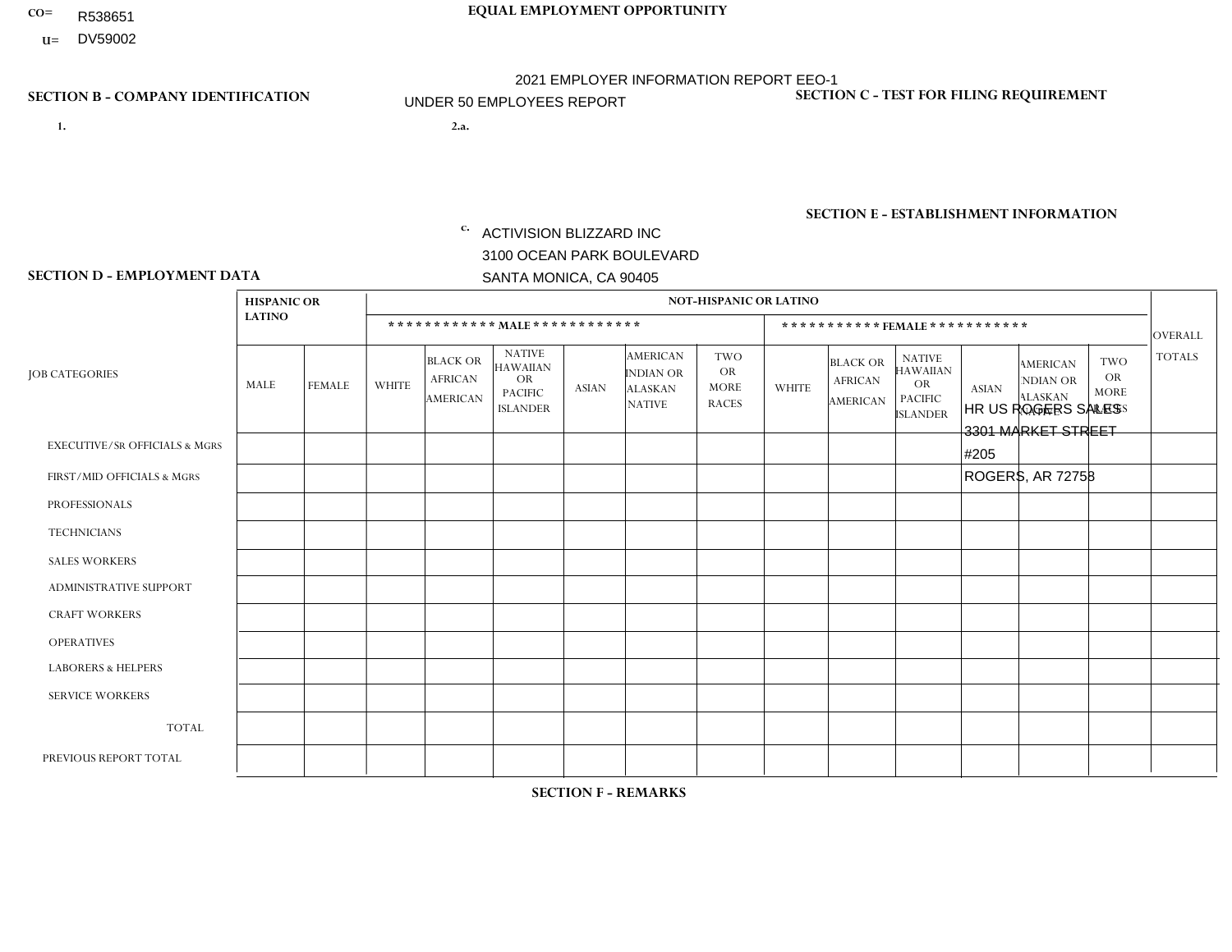- R538651
- **U=** DV59002

**1. 2.a.** ACTIVISION BLIZZARD INC 3100 OCEAN PARK BOULEVARD SANTA MONICA, CA 90405

2.a. HR US ROGERS SALES 3301 MARKET STREET #205 ROGERS, AR 72758

EIN= 161465268

## **SECTION B - COMPANY IDENTIFICATION SECTION C - TEST FOR FILING REQUIREMENT**

1- Y 2- Y 3- Y DUNS= 098533342

## **SECTION E - ESTABLISHMENT INFORMATION c.** NAICS: 511210 - Software Publishers

### **SECTION D - EMPLOYMENT DATA**

|                                          | <b>HISPANIC OR</b> |               |                |                                                      |                                                                                    |              |                                                                        | <b>NOT-HISPANIC OR LATINO</b>                          |              |                                               |                                                                             |              |                                                                       |                                                        |                |
|------------------------------------------|--------------------|---------------|----------------|------------------------------------------------------|------------------------------------------------------------------------------------|--------------|------------------------------------------------------------------------|--------------------------------------------------------|--------------|-----------------------------------------------|-----------------------------------------------------------------------------|--------------|-----------------------------------------------------------------------|--------------------------------------------------------|----------------|
|                                          | <b>LATINO</b>      |               |                |                                                      | ************ MALE ************                                                     |              |                                                                        |                                                        |              |                                               | ***********FEMALE***********                                                |              |                                                                       |                                                        | <b>OVERALL</b> |
| <b>JOB CATEGORIES</b>                    | MALE               | <b>FEMALE</b> | <b>WHITE</b>   | <b>BLACK OR</b><br><b>AFRICAN</b><br><b>AMERICAN</b> | <b>NATIVE</b><br><b>HAWAIIAN</b><br><b>OR</b><br><b>PACIFIC</b><br><b>ISLANDER</b> | <b>ASIAN</b> | <b>AMERICAN</b><br><b>INDIAN OR</b><br><b>ALASKAN</b><br><b>NATIVE</b> | <b>TWO</b><br><b>OR</b><br><b>MORE</b><br><b>RACES</b> | <b>WHITE</b> | <b>BLACK OR</b><br><b>AFRICAN</b><br>AMERICAN | <b>NATIVE</b><br><b>HAWAIIAN</b><br>OR<br><b>PACIFIC</b><br><b>ISLANDER</b> | <b>ASIAN</b> | <b>AMERICAN</b><br><b>NDIAN OR</b><br><b>ALASKAN</b><br><b>NATIVE</b> | <b>TWO</b><br><b>OR</b><br><b>MORE</b><br><b>RACES</b> | <b>TOTALS</b>  |
| <b>EXECUTIVE/SR OFFICIALS &amp; MGRS</b> | $\Omega$           | $\mathbf 0$   | $\mathbf 0$    | 0                                                    | $\Omega$                                                                           | $\Omega$     | $\Omega$                                                               | $\Omega$                                               | $\Omega$     | $\Omega$                                      | $\mathbf 0$                                                                 | $\mathbf 0$  | $\Omega$                                                              | $\Omega$                                               | $\mathbf 0$    |
| FIRST/MID OFFICIALS & MGRS               | $\mathbf 0$        | $\mathbf 0$   | $\mathbf 0$    | $\mathbf 0$                                          | $\Omega$                                                                           | $\Omega$     | $\Omega$                                                               | $\Omega$                                               | $\Omega$     | $\Omega$                                      | $\Omega$                                                                    | $\Omega$     | $\Omega$                                                              | $\Omega$                                               | $\mathbf 0$    |
| <b>PROFESSIONALS</b>                     | $\mathbf 0$        | $\mathbf 0$   | $\mathbf 0$    | $\mathbf 0$                                          | $\Omega$                                                                           | $\Omega$     | $\Omega$                                                               | $\Omega$                                               | $\Omega$     | $\Omega$                                      | $\Omega$                                                                    | $\Omega$     | $\Omega$                                                              | $\Omega$                                               | $\mathbf 0$    |
| <b>TECHNICIANS</b>                       | $\mathbf 0$        | $\mathbf 0$   | $\mathbf 0$    | $\mathbf 0$                                          | $\Omega$                                                                           | $\Omega$     | $\Omega$                                                               | $\Omega$                                               | $\Omega$     | $\Omega$                                      | $\Omega$                                                                    | $\Omega$     | $\Omega$                                                              | $\Omega$                                               | $\mathbf 0$    |
| <b>SALES WORKERS</b>                     | $\mathbf 0$        | $\mathbf 0$   | $\overline{2}$ | 0                                                    | $\Omega$                                                                           | $\Omega$     | $\Omega$                                                               | $\Omega$                                               | $\mathbf{1}$ | $\Omega$                                      | $\Omega$                                                                    | $\Omega$     | $\Omega$                                                              | $\Omega$                                               | 3              |
| <b>ADMINISTRATIVE SUPPORT</b>            | $\mathbf 0$        | $\mathbf 0$   | $\mathbf 0$    | $\mathbf 0$                                          | $\Omega$                                                                           | $\Omega$     | $\Omega$                                                               | $\Omega$                                               | $\Omega$     | $\Omega$                                      | $\Omega$                                                                    | $\Omega$     | $\Omega$                                                              | $\Omega$                                               | $\mathbf 0$    |
| <b>CRAFT WORKERS</b>                     | $\mathbf 0$        | $\mathbf 0$   | $\mathbf 0$    | $\mathbf 0$                                          | $\mathbf 0$                                                                        | $\Omega$     | $\Omega$                                                               | $\Omega$                                               | $\Omega$     | $\Omega$                                      | $\Omega$                                                                    | $\Omega$     | $\Omega$                                                              | $\Omega$                                               | $\mathbf 0$    |
| <b>OPERATIVES</b>                        | $\mathbf{0}$       | $\mathbf 0$   | $\mathbf 0$    | $\mathbf 0$                                          | $\Omega$                                                                           | $\Omega$     | $\Omega$                                                               | $\Omega$                                               | $\Omega$     | $\Omega$                                      | $\Omega$                                                                    | $\Omega$     | $\Omega$                                                              | $\Omega$                                               | $\mathbf 0$    |
| <b>LABORERS &amp; HELPERS</b>            | $\mathbf{0}$       | $\mathbf 0$   | $\mathbf 0$    | $\mathbf 0$                                          | $\Omega$                                                                           | $\Omega$     | $\Omega$                                                               | $\Omega$                                               | $\Omega$     | $\Omega$                                      | $\Omega$                                                                    | $\Omega$     | $\Omega$                                                              | $\Omega$                                               | $\mathbf 0$    |
| <b>SERVICE WORKERS</b>                   | $\mathbf{0}$       | $\mathbf 0$   | $\mathbf 0$    | $\mathbf 0$                                          | $\Omega$                                                                           | $\Omega$     | $\Omega$                                                               | $\Omega$                                               | $\Omega$     | $\Omega$                                      | $\Omega$                                                                    | $\Omega$     | $\Omega$                                                              | $\Omega$                                               | $\mathbf 0$    |
| <b>TOTAL</b>                             | $\mathbf 0$        | 0             | $\overline{2}$ | 0                                                    | $\mathbf 0$                                                                        | $\Omega$     | $\Omega$                                                               | $\Omega$                                               | 1            | $\Omega$                                      | $\mathbf 0$                                                                 | $\mathbf 0$  | $\Omega$                                                              | $\mathbf 0$                                            | 3              |
| PREVIOUS REPORT TOTAL                    | $\mathbf 0$        | $\mathbf 0$   | 3              | $\mathbf 0$                                          | $\Omega$                                                                           | $\Omega$     | $\Omega$                                                               | $\Omega$                                               | 1            | $\mathbf 0$                                   | $\mathbf 0$                                                                 | $\Omega$     | $\Omega$                                                              | $\mathbf 0$                                            | $\overline{4}$ |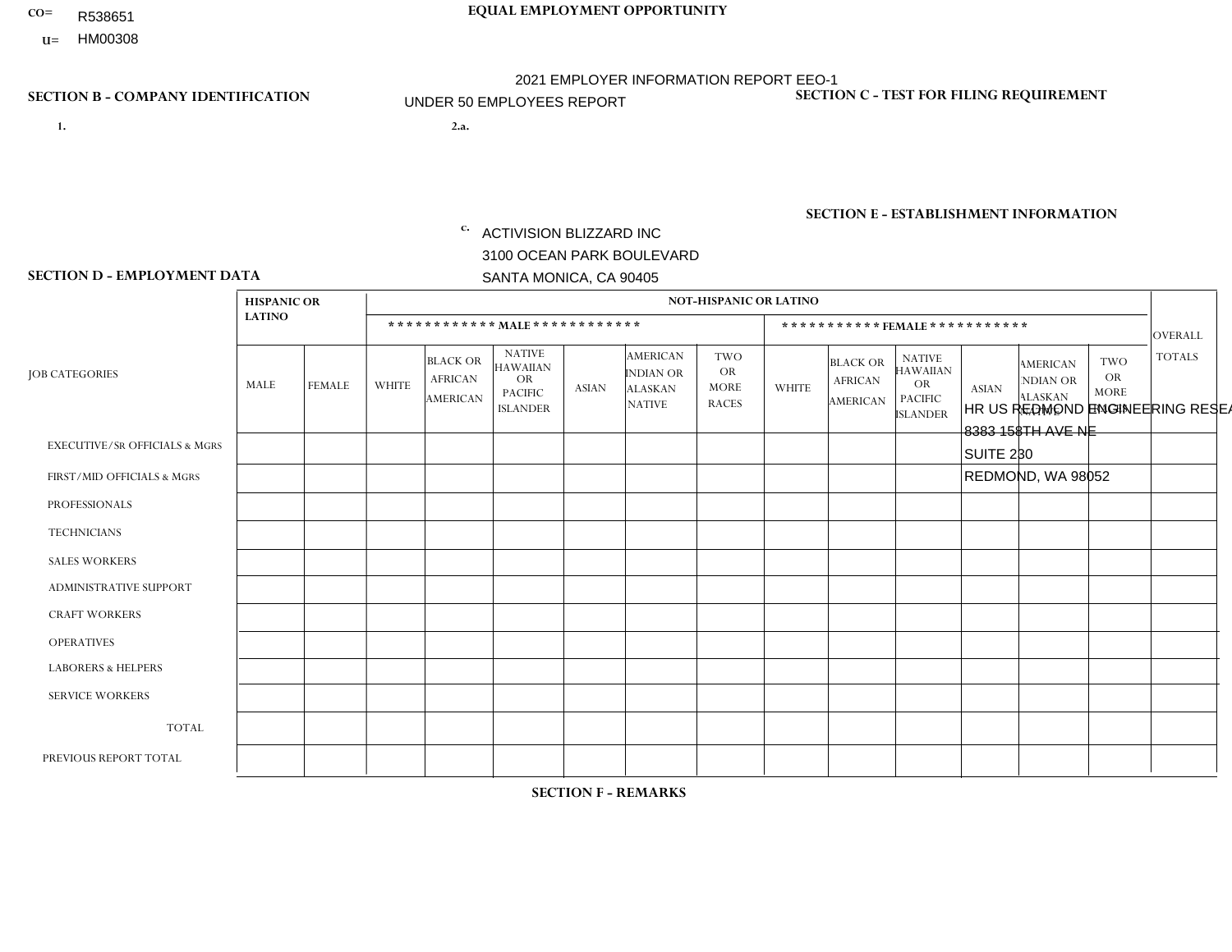- R538651
- **U=**

- **1. 2.a.** ACTIVISION BLIZZARD INC 3100 OCEAN PARK BOULEVARD SANTA MONICA, CA 90405
- HR US REDMOND ENGINEERING RESEARCH 1- Y 2- Y 3- Y DUNS= 098533342 8383 158TH AVE NE SUITE 230 REDMOND, WA 98052

EIN= 161465268

# **SECTION B - COMPANY IDENTIFICATION SECTION C - TEST FOR FILING REQUIREMENT**

**SECTION E - ESTABLISHMENT INFORMATION c.** NAICS: 511210 - Software Publishers

**SECTION D - EMPLOYMENT DATA**

|                                          | <b>HISPANIC OR</b> |               |              |                                                      |                                                                                    |              |                                                                 | <b>NOT-HISPANIC OR LATINO</b>                   |                |                                                      |                                                                                    |              |                                                                       |                                                        |                |
|------------------------------------------|--------------------|---------------|--------------|------------------------------------------------------|------------------------------------------------------------------------------------|--------------|-----------------------------------------------------------------|-------------------------------------------------|----------------|------------------------------------------------------|------------------------------------------------------------------------------------|--------------|-----------------------------------------------------------------------|--------------------------------------------------------|----------------|
|                                          | <b>LATINO</b>      |               |              |                                                      | ************ MALE ************                                                     |              |                                                                 |                                                 |                |                                                      | *********** FEMALE ***********                                                     |              |                                                                       |                                                        | <b>OVERALL</b> |
| <b>JOB CATEGORIES</b>                    | MALE               | <b>FEMALE</b> | <b>WHITE</b> | <b>BLACK OR</b><br><b>AFRICAN</b><br><b>AMERICAN</b> | <b>NATIVE</b><br><b>HAWAIIAN</b><br><b>OR</b><br><b>PACIFIC</b><br><b>ISLANDER</b> | <b>ASIAN</b> | AMERICAN<br><b>INDIAN OR</b><br><b>ALASKAN</b><br><b>NATIVE</b> | TWO<br><b>OR</b><br><b>MORE</b><br><b>RACES</b> | <b>WHITE</b>   | <b>BLACK OR</b><br><b>AFRICAN</b><br><b>AMERICAN</b> | <b>NATIVE</b><br><b>HAWAIIAN</b><br><b>OR</b><br><b>PACIFIC</b><br><b>ISLANDER</b> | <b>ASIAN</b> | <b>AMERICAN</b><br><b>NDIAN OR</b><br><b>ALASKAN</b><br><b>NATIVE</b> | <b>TWO</b><br><b>OR</b><br><b>MORE</b><br><b>RACES</b> | <b>TOTALS</b>  |
| <b>EXECUTIVE/SR OFFICIALS &amp; MGRS</b> | $\Omega$           | $\Omega$      | $\Omega$     | $\Omega$                                             | $\Omega$                                                                           | $\Omega$     | $\Omega$                                                        | 0                                               | $\Omega$       | $\Omega$                                             | $\Omega$                                                                           | $\Omega$     | $\Omega$                                                              | $\Omega$                                               | $\mathbf 0$    |
| FIRST/MID OFFICIALS & MGRS               | $\mathbf 0$        | $\mathbf 0$   | $\mathbf 0$  | $\mathbf 0$                                          | $\mathbf 0$                                                                        | $\mathbf{0}$ | $\Omega$                                                        | 0                                               | $\Omega$       | $\Omega$                                             | $\Omega$                                                                           | $\Omega$     | $\Omega$                                                              | $\mathbf 0$                                            | 0              |
| <b>PROFESSIONALS</b>                     | $\mathbf 0$        | $\mathbf 0$   | 13           | $\mathbf{1}$                                         | $\mathbf{0}$                                                                       | $\Omega$     | $\Omega$                                                        | 0                                               | $\overline{2}$ | $\Omega$                                             | $\mathbf 0$                                                                        | 1            | $\Omega$                                                              | $\mathbf 0$                                            | 17             |
| <b>TECHNICIANS</b>                       | $\mathbf 0$        | $\mathbf 0$   | $\mathbf 0$  | $\mathbf 0$                                          | $\Omega$                                                                           | $\Omega$     | $\Omega$                                                        | 0                                               | $\mathbf 0$    | $\Omega$                                             | $\Omega$                                                                           | $\mathbf 0$  | $\Omega$                                                              | $\Omega$                                               | $\mathbf 0$    |
| <b>SALES WORKERS</b>                     | 0                  | $\mathbf 0$   | $\mathbf 0$  | $\Omega$                                             | $\Omega$                                                                           | $\Omega$     | $\Omega$                                                        | 0                                               | $\Omega$       | $\Omega$                                             | $\Omega$                                                                           | $\Omega$     | $\Omega$                                                              | $\Omega$                                               | $\mathbf 0$    |
| <b>ADMINISTRATIVE SUPPORT</b>            | $\mathbf 0$        | $\mathbf 0$   | $\mathbf 0$  | $\mathbf 0$                                          | $\mathbf{0}$                                                                       | $\Omega$     | $\Omega$                                                        | 0                                               | $\Omega$       | $\Omega$                                             | $\Omega$                                                                           | $\Omega$     | $\Omega$                                                              | $\Omega$                                               | $\mathbf 0$    |
| <b>CRAFT WORKERS</b>                     | $\Omega$           | $\mathbf 0$   | $\mathbf 0$  | $\Omega$                                             | $\mathbf{0}$                                                                       | $\Omega$     | $\Omega$                                                        | $\Omega$                                        | $\Omega$       | $\Omega$                                             | $\Omega$                                                                           | $\Omega$     | $\Omega$                                                              | $\Omega$                                               | $\mathbf 0$    |
| <b>OPERATIVES</b>                        | $\mathbf 0$        | $\mathbf{0}$  | $\mathbf 0$  | $\Omega$                                             | $\mathbf{0}$                                                                       | $\Omega$     | $\Omega$                                                        | 0                                               | $\Omega$       | $\Omega$                                             | $\Omega$                                                                           | $\Omega$     | $\Omega$                                                              | $\Omega$                                               | $\mathbf{0}$   |
| <b>LABORERS &amp; HELPERS</b>            | $\Omega$           | $\Omega$      | $\mathbf 0$  | $\Omega$                                             | $\Omega$                                                                           | $\Omega$     | $\Omega$                                                        | $\Omega$                                        | $\Omega$       | $\Omega$                                             | $\Omega$                                                                           | $\Omega$     | $\Omega$                                                              | $\Omega$                                               | 0              |
| <b>SERVICE WORKERS</b>                   | $\mathbf 0$        | 0             | 0            | 0                                                    | $\mathbf 0$                                                                        | $\mathbf{0}$ | $\Omega$                                                        | 0                                               | $\Omega$       | $\Omega$                                             | $\Omega$                                                                           | $\Omega$     | $\Omega$                                                              | $\Omega$                                               | 0              |
| <b>TOTAL</b>                             | $\mathbf 0$        | 0             | 13           | 1                                                    | $\mathbf{0}$                                                                       | $\mathbf{0}$ | $\Omega$                                                        | 0                                               | 2              | $\Omega$                                             | $\Omega$                                                                           |              | $\Omega$                                                              | $\Omega$                                               | 17             |
| PREVIOUS REPORT TOTAL                    | $\Omega$           | $\mathbf{0}$  | 11           | $\mathbf{0}$                                         | $\mathbf{0}$                                                                       | $\Omega$     | $\Omega$                                                        | 0                                               | $\overline{ }$ | $\Omega$                                             | $\Omega$                                                                           | $\Omega$     | $\Omega$                                                              | $\Omega$                                               | 12             |

## **SECTION F - REMARKS**

Increase of only 5 employees at this location from previous year.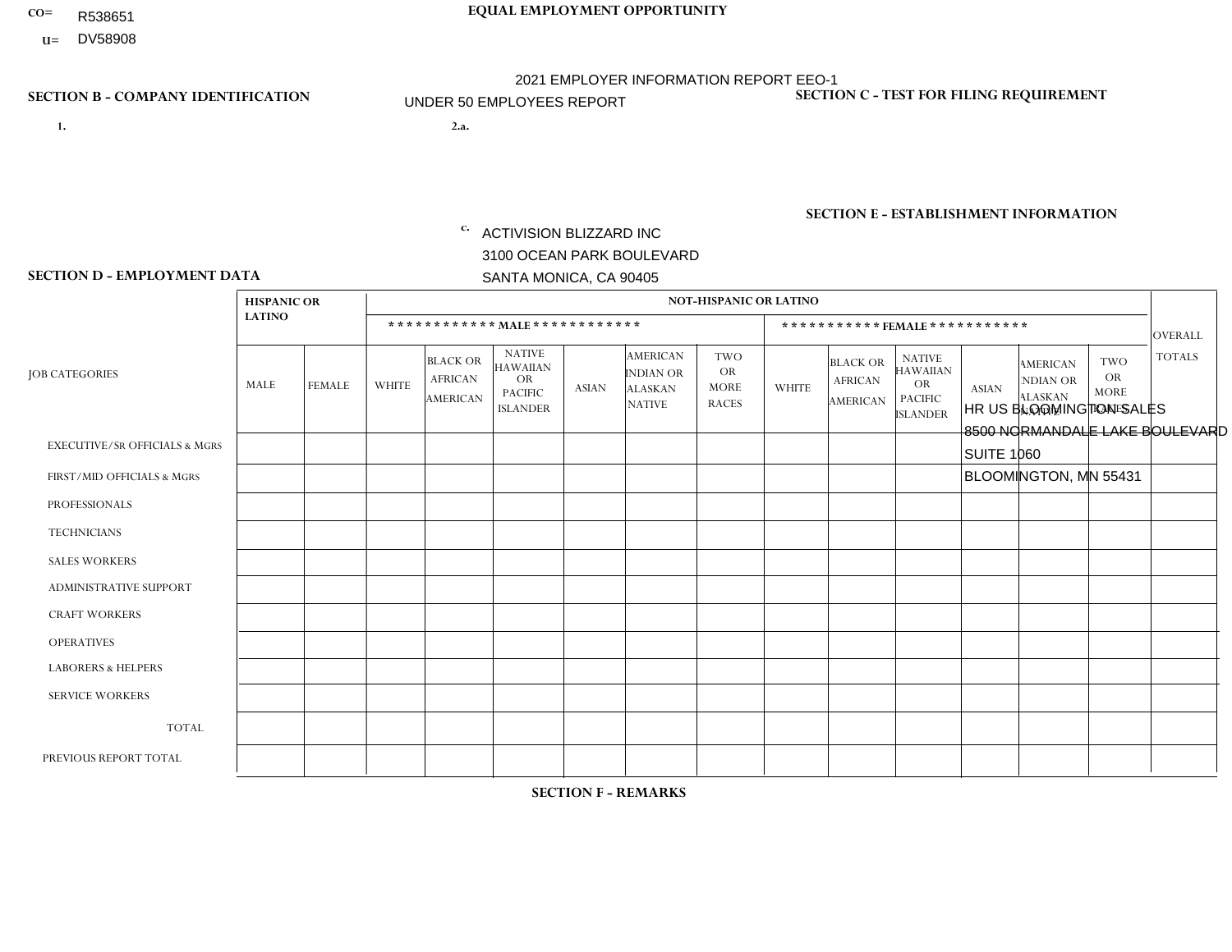- R538651
- **U=** DV58908

- **1. 2.a.** ACTIVISION BLIZZARD INC 3100 OCEAN PARK BOULEVARD SANTA MONICA, CA 90405
- 2.a. HR US BLOOMINGTON SALES 8500 NORMANDALE LAKE BOULEVARD SUITE 1060 BLOOMINGTON, MN 55431
	- EIN= 161465268

## **SECTION B - COMPANY IDENTIFICATION SECTION C - TEST FOR FILING REQUIREMENT**

1- Y 2- Y 3- Y DUNS= 098533342

**SECTION E - ESTABLISHMENT INFORMATION c.** NAICS: 511210 - Software Publishers

## **SECTION D - EMPLOYMENT DATA**

|                                          | <b>HISPANIC OR</b> |               |              |                                                      |                                                                             |              |                                                                        | <b>NOT-HISPANIC OR LATINO</b>                          |                |                                               |                                                                                    |              |                                                                |                                                        |                |
|------------------------------------------|--------------------|---------------|--------------|------------------------------------------------------|-----------------------------------------------------------------------------|--------------|------------------------------------------------------------------------|--------------------------------------------------------|----------------|-----------------------------------------------|------------------------------------------------------------------------------------|--------------|----------------------------------------------------------------|--------------------------------------------------------|----------------|
|                                          | <b>LATINO</b>      |               |              | ************ MALE ************                       |                                                                             |              |                                                                        |                                                        |                |                                               | *********** FEMALE ***********                                                     |              |                                                                |                                                        | <b>OVERALL</b> |
| <b>JOB CATEGORIES</b>                    | <b>MALE</b>        | <b>FEMALE</b> | <b>WHITE</b> | <b>BLACK OR</b><br><b>AFRICAN</b><br><b>AMERICAN</b> | <b>NATIVE</b><br>HAWAIIAN<br><b>OR</b><br><b>PACIFIC</b><br><b>ISLANDER</b> | <b>ASIAN</b> | <b>AMERICAN</b><br><b>INDIAN OR</b><br><b>ALASKAN</b><br><b>NATIVE</b> | <b>TWO</b><br><b>OR</b><br><b>MORE</b><br><b>RACES</b> | <b>WHITE</b>   | <b>BLACK OR</b><br><b>AFRICAN</b><br>AMERICAN | <b>NATIVE</b><br><b>HAWAIIAN</b><br><b>OR</b><br><b>PACIFIC</b><br><b>ISLANDER</b> | <b>ASIAN</b> | <b>AMERICAN</b><br>NDIAN OR<br><b>ALASKAN</b><br><b>NATIVE</b> | <b>TWO</b><br><b>OR</b><br><b>MORE</b><br><b>RACES</b> | <b>TOTALS</b>  |
| <b>EXECUTIVE/SR OFFICIALS &amp; MGRS</b> | $\Omega$           | $\Omega$      | $\mathbf{0}$ | $\mathbf 0$                                          | 0                                                                           | $\Omega$     | $\Omega$                                                               | $\Omega$                                               | 0              | $\Omega$                                      | 0                                                                                  | $\mathbf 0$  | $\Omega$                                                       | 0                                                      | $\mathbf 0$    |
| FIRST/MID OFFICIALS & MGRS               | $\Omega$           | $\Omega$      | $\mathbf{0}$ | $\Omega$                                             | $\Omega$                                                                    | $\Omega$     | $\Omega$                                                               | $\Omega$                                               | $\mathbf{1}$   | $\Omega$                                      | 0                                                                                  | $\Omega$     | $\Omega$                                                       | $\Omega$                                               | $\mathbf 1$    |
| <b>PROFESSIONALS</b>                     | $\Omega$           | $\mathbf 0$   | 1            | $\mathbf 0$                                          | 0                                                                           | $\mathbf{0}$ | $\Omega$                                                               | $\Omega$                                               | 0              | $\Omega$                                      | 0                                                                                  | $\mathbf 0$  | 0                                                              | $\mathbf 0$                                            | $\mathbf{1}$   |
| <b>TECHNICIANS</b>                       | $\Omega$           | $\Omega$      | $\mathbf 0$  | $\mathbf 0$                                          | $\Omega$                                                                    | $\Omega$     | $\Omega$                                                               | $\Omega$                                               | 0              | $\Omega$                                      | 0                                                                                  | $\mathbf 0$  | $\Omega$                                                       | $\mathbf 0$                                            | $\mathbf{0}$   |
| <b>SALES WORKERS</b>                     | 0                  | $\mathbf 0$   | 2            | $\mathbf 0$                                          | $\mathbf 0$                                                                 | $\Omega$     | $\Omega$                                                               | $\Omega$                                               | 0              | $\mathbf{0}$                                  | $\mathbf{0}$                                                                       | $\mathbf 0$  | $\Omega$                                                       | $\mathbf 0$                                            | $\overline{2}$ |
| ADMINISTRATIVE SUPPORT                   | $\Omega$           | $\Omega$      | $\Omega$     | $\mathbf 0$                                          | $\Omega$                                                                    | $\Omega$     | $\Omega$                                                               | $\Omega$                                               | $\overline{0}$ | $\Omega$                                      | $\Omega$                                                                           | $\Omega$     | $\Omega$                                                       | $\Omega$                                               | $\mathbf 0$    |
| <b>CRAFT WORKERS</b>                     | $\Omega$           | $\Omega$      | $\mathbf{0}$ | $\Omega$                                             | $\Omega$                                                                    | $\Omega$     | $\Omega$                                                               | $\Omega$                                               | 0              | $\Omega$                                      | $\Omega$                                                                           | $\Omega$     | $\Omega$                                                       | $\Omega$                                               | $\mathbf 0$    |
| <b>OPERATIVES</b>                        | $\Omega$           | $\Omega$      | $\mathbf{0}$ | $\Omega$                                             | $\Omega$                                                                    | $\Omega$     | $\Omega$                                                               | $\Omega$                                               | 0              | $\Omega$                                      | 0                                                                                  | $\Omega$     | $\Omega$                                                       | $\Omega$                                               | $\Omega$       |
| <b>LABORERS &amp; HELPERS</b>            | $\Omega$           | $\Omega$      | $\mathbf{0}$ | $\mathbf 0$                                          | $\Omega$                                                                    | $\Omega$     | $\Omega$                                                               | $\Omega$                                               | $\Omega$       | $\Omega$                                      | $\Omega$                                                                           | $\Omega$     | $\Omega$                                                       | $\Omega$                                               | $\mathbf 0$    |
| <b>SERVICE WORKERS</b>                   | $\Omega$           | $\Omega$      | $\mathbf 0$  | $\mathbf 0$                                          | $\mathbf 0$                                                                 | 0            | $\Omega$                                                               | $\Omega$                                               | 0              | $\Omega$                                      | 0                                                                                  | $\mathbf 0$  | $\Omega$                                                       | $\Omega$                                               | $\mathbf 0$    |
| <b>TOTAL</b>                             | $\Omega$           | $\mathbf 0$   | 3            | $\mathbf 0$                                          | $\mathbf 0$                                                                 | $\mathbf{0}$ | $\Omega$                                                               | $\Omega$                                               | $\mathbf{1}$   | $\Omega$                                      | $\Omega$                                                                           | $\mathbf 0$  | 0                                                              | $\mathbf 0$                                            | $\overline{4}$ |
| PREVIOUS REPORT TOTAL                    | $\Omega$           | $\mathbf 0$   | 3            | $\mathbf 0$                                          | $\mathbf 0$                                                                 | $\Omega$     | $\Omega$                                                               | $\Omega$                                               | 4              | $\mathbf 0$                                   | 0                                                                                  | $\mathbf 0$  | 0                                                              | $\mathbf 0$                                            | $\overline{7}$ |

**SECTION F - REMARKS**

Decrease is minimal from 7 employees to 4 employees.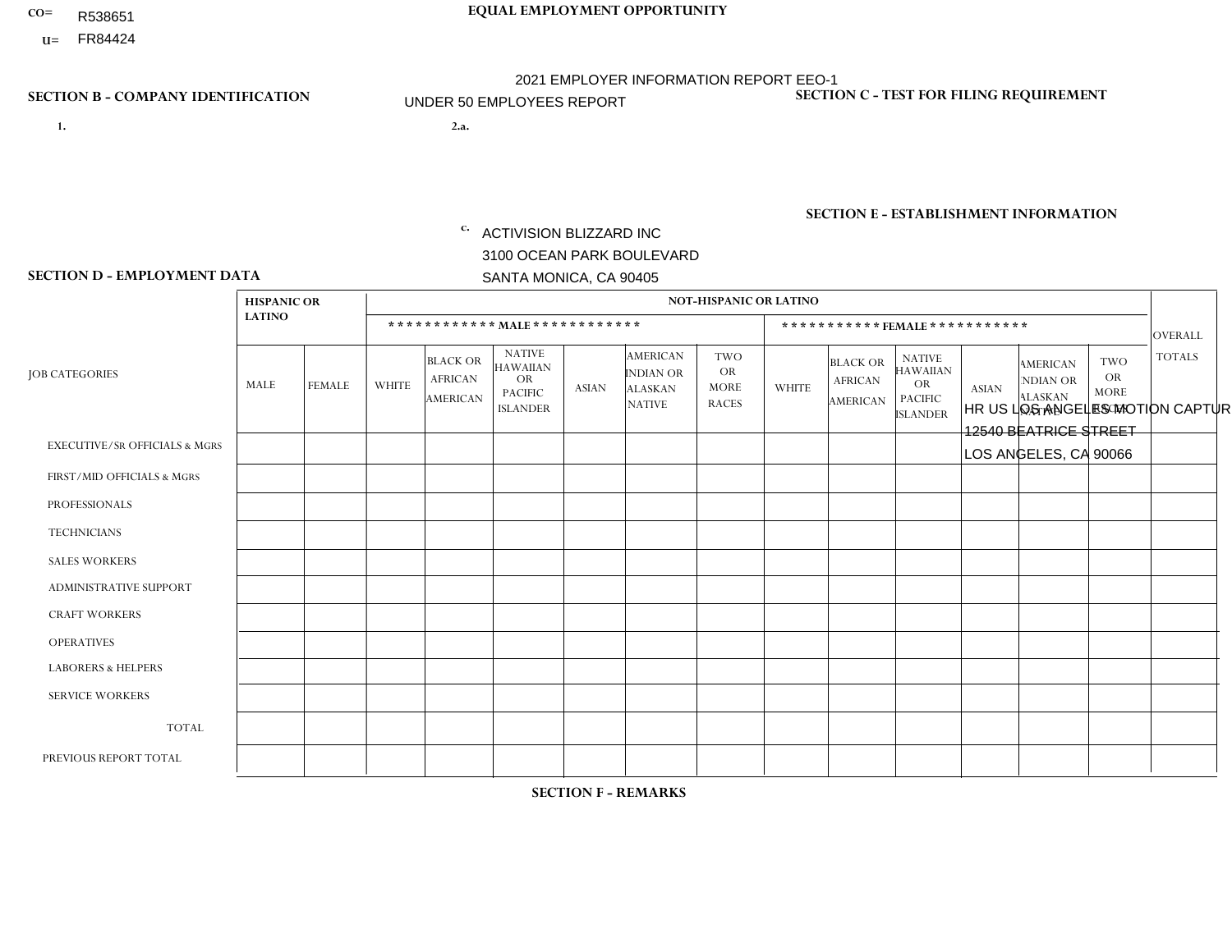- R538651
- **U=**

**1. 2.a.** ACTIVISION BLIZZARD INC 3100 OCEAN PARK BOULEVARD SANTA MONICA, CA 90405

2.a. HR US LOS ANGELES MOTION CAPTURE 12540 BEATRICE STREET LOS ANGELES, CA 90066

EIN= 161465268

## **SECTION B - COMPANY IDENTIFICATION SECTION C - TEST FOR FILING REQUIREMENT**

1- Y 2- Y 3- Y DUNS= 098533342

**SECTION E - ESTABLISHMENT INFORMATION c.** NAICS: 511210 - Software Publishers

### **SECTION D - EMPLOYMENT DATA**

|                                          |                                     |               |                |                                                      |                                                                                    |                |                                                                        | NOT-HISPANIC OR LATINO                                 |              |                                                      |                                                                                    |              |                                                                       |                                                        |                |
|------------------------------------------|-------------------------------------|---------------|----------------|------------------------------------------------------|------------------------------------------------------------------------------------|----------------|------------------------------------------------------------------------|--------------------------------------------------------|--------------|------------------------------------------------------|------------------------------------------------------------------------------------|--------------|-----------------------------------------------------------------------|--------------------------------------------------------|----------------|
|                                          | <b>HISPANIC OR</b><br><b>LATINO</b> |               |                |                                                      |                                                                                    |                |                                                                        |                                                        |              |                                                      |                                                                                    |              |                                                                       |                                                        |                |
|                                          |                                     |               |                |                                                      | ************ MAIE************                                                      |                |                                                                        |                                                        |              | ***********FEMALE***********                         |                                                                                    |              |                                                                       |                                                        | <b>OVERALL</b> |
| <b>JOB CATEGORIES</b>                    | MALE                                | <b>FEMALE</b> | <b>WHITE</b>   | <b>BLACK OR</b><br><b>AFRICAN</b><br><b>AMERICAN</b> | <b>NATIVE</b><br><b>HAWAIIAN</b><br><b>OR</b><br><b>PACIFIC</b><br><b>ISLANDER</b> | <b>ASIAN</b>   | <b>AMERICAN</b><br><b>INDIAN OR</b><br><b>ALASKAN</b><br><b>NATIVE</b> | <b>TWO</b><br><b>OR</b><br><b>MORE</b><br><b>RACES</b> | <b>WHITE</b> | <b>BLACK OR</b><br><b>AFRICAN</b><br><b>AMERICAN</b> | <b>NATIVE</b><br><b>HAWAIIAN</b><br><b>OR</b><br><b>PACIFIC</b><br><b>ISLANDER</b> | <b>ASIAN</b> | <b>AMERICAN</b><br><b>NDIAN OR</b><br><b>ALASKAN</b><br><b>NATIVE</b> | <b>TWO</b><br><b>OR</b><br><b>MORE</b><br><b>RACES</b> | <b>TOTALS</b>  |
| <b>EXECUTIVE/SR OFFICIALS &amp; MGRS</b> | $\Omega$                            | 0             | $\overline{A}$ | $\mathbf 0$                                          | $\Omega$                                                                           | $\Omega$       | $\Omega$                                                               | $\Omega$                                               | $\Omega$     | $\Omega$                                             | $\mathbf{0}$                                                                       | $\mathbf{0}$ | $\Omega$                                                              | $\Omega$                                               | $\mathbf{1}$   |
| FIRST/MID OFFICIALS & MGRS               | $\mathbf 0$                         | 0             | $\overline{4}$ | 0                                                    | $\mathbf 0$                                                                        | $\mathbf{0}$   | $\Omega$                                                               | $\Omega$                                               | $\Omega$     | $\Omega$                                             | 0                                                                                  | $\mathbf 0$  | $\Omega$                                                              | $\mathbf 0$                                            | $\overline{4}$ |
| <b>PROFESSIONALS</b>                     | 3                                   | $\mathbf 0$   | 6              | $\mathbf 0$                                          | $\Omega$                                                                           | $\overline{2}$ | $\Omega$                                                               | $\overline{2}$                                         | 1            | $\Omega$                                             | $\Omega$                                                                           | $\mathbf 0$  | $\Omega$                                                              | $\Omega$                                               | 14             |
| <b>TECHNICIANS</b>                       | $\mathbf 0$                         | $\mathbf 0$   | $\mathbf 0$    | $\mathbf 0$                                          | $\Omega$                                                                           | $\Omega$       | $\Omega$                                                               | $\Omega$                                               | $\Omega$     | $\mathbf 0$                                          | 0                                                                                  | $\mathbf 0$  | $\Omega$                                                              | $\mathbf 0$                                            | $\mathbf 0$    |
| <b>SALES WORKERS</b>                     | $\mathbf 0$                         | $\mathbf 0$   | $\Omega$       | $\Omega$                                             | $\Omega$                                                                           | $\Omega$       | $\Omega$                                                               | $\Omega$                                               | $\Omega$     | $\Omega$                                             | $\Omega$                                                                           | $\Omega$     | $\Omega$                                                              | $\Omega$                                               | $\mathbf 0$    |
| <b>ADMINISTRATIVE SUPPORT</b>            | $\Omega$                            | $\mathbf{0}$  | $\Omega$       | $\Omega$                                             | $\Omega$                                                                           | $\mathbf{0}$   | $\Omega$                                                               | $\Omega$                                               | $\Omega$     | $\Omega$                                             | $\mathbf{0}$                                                                       | $\mathbf{0}$ | $\Omega$                                                              | $\Omega$                                               | $\Omega$       |
| <b>CRAFT WORKERS</b>                     | 0                                   | 0             | $\Omega$       | $\mathbf 0$                                          | $\Omega$                                                                           | $\Omega$       | $\Omega$                                                               | $\Omega$                                               | $\Omega$     | $\Omega$                                             | $\Omega$                                                                           | $\mathbf{0}$ | $\Omega$                                                              | $\Omega$                                               | $\mathbf 0$    |
| <b>OPERATIVES</b>                        | $\mathbf 0$                         | 0             | $\Omega$       | 0                                                    | $\Omega$                                                                           | $\Omega$       | $\Omega$                                                               | $\Omega$                                               | $\Omega$     | $\Omega$                                             | $\Omega$                                                                           | $\mathbf{0}$ | $\Omega$                                                              | $\Omega$                                               | $\mathbf 0$    |
| <b>LABORERS &amp; HELPERS</b>            | $\mathbf 0$                         | $\mathbf 0$   | $\mathbf 0$    | $\mathbf 0$                                          | $\Omega$                                                                           | $\Omega$       | $\Omega$                                                               | $\Omega$                                               | $\Omega$     | $\Omega$                                             | $\Omega$                                                                           | $\Omega$     | $\Omega$                                                              | $\Omega$                                               | $\mathbf 0$    |
| <b>SERVICE WORKERS</b>                   | $\Omega$                            | $\mathbf 0$   | $\Omega$       | 0                                                    | $\Omega$                                                                           | $\Omega$       | $\Omega$                                                               | $\Omega$                                               | $\Omega$     | $\Omega$                                             | $\Omega$                                                                           | $\mathbf{0}$ | $\Omega$                                                              | $\Omega$                                               | $\mathbf 0$    |
| <b>TOTAL</b>                             | 3                                   | $\mathbf 0$   | 11             | 0                                                    | $\mathbf 0$                                                                        | 2              | $\Omega$                                                               | $\overline{2}$                                         | 1            | $\mathbf 0$                                          | 0                                                                                  | $\mathbf 0$  | 0                                                                     | $\mathbf 0$                                            | 19             |
| PREVIOUS REPORT TOTAL                    |                                     | 0             | 9              | $\mathbf{1}$                                         | $\Omega$                                                                           | 1              | $\Omega$                                                               | $\Omega$                                               | 1            | $\Omega$                                             | 0                                                                                  | $\Omega$     | $\Omega$                                                              | $\mathbf 0$                                            | 13             |

**SECTION F - REMARKS**

Increase due to additional hiring.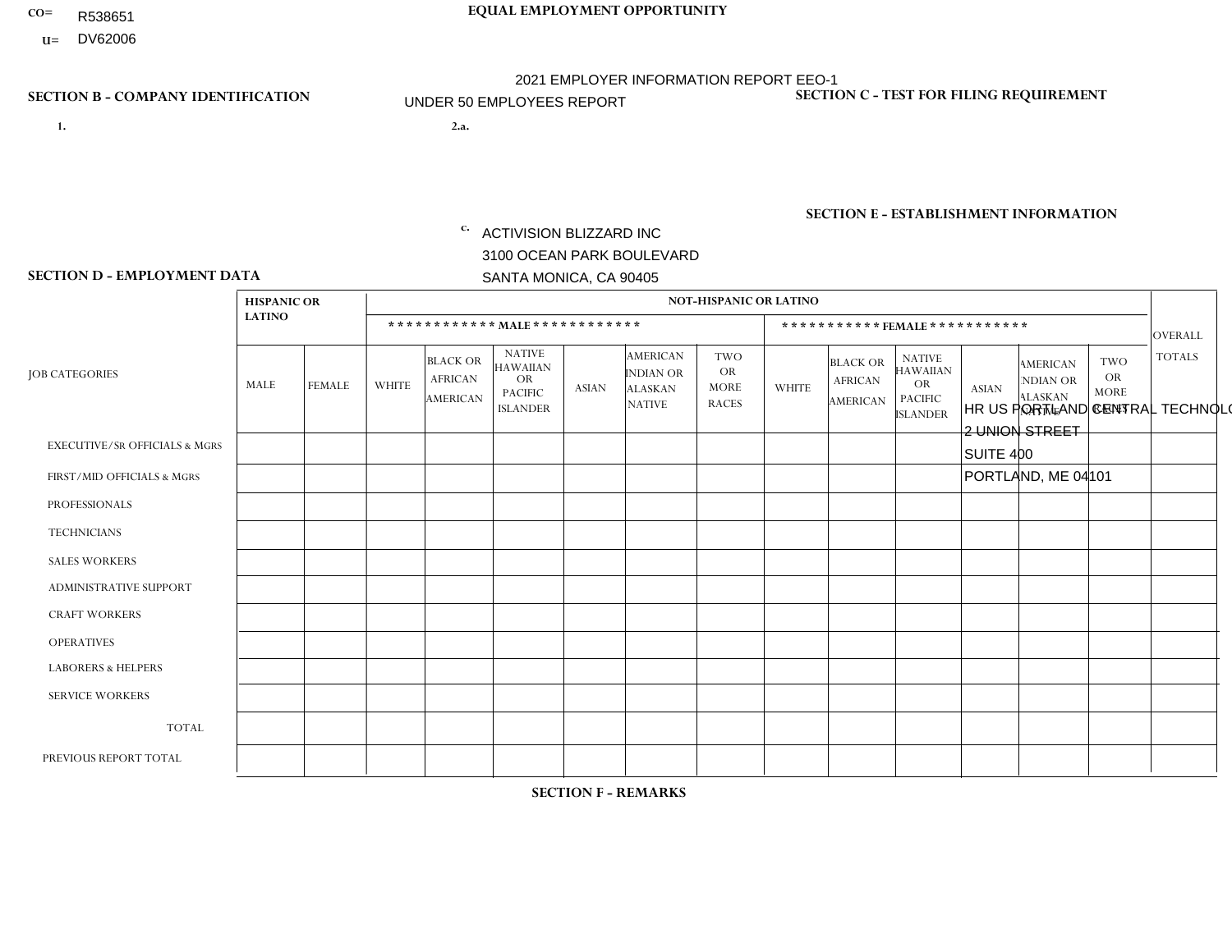- R538651
- **U=** DV62006

- **1. 2.a.** ACTIVISION BLIZZARD INC 3100 OCEAN PARK BOULEVARD SANTA MONICA, CA 90405
- HR US PORTLAND CENTRAL TECHNOLOGY 1- Y 2- Y 3- Y DUNS= 098533342 2 UNION STREET SUITE 400 PORTLAND, ME 04101

EIN= 161465268

# **SECTION B - COMPANY IDENTIFICATION SECTION C - TEST FOR FILING REQUIREMENT**

**SECTION E - ESTABLISHMENT INFORMATION c.** NAICS: 511210 - Software Publishers

### **SECTION D - EMPLOYMENT DATA**

|                                          | <b>HISPANIC OR</b> |               |                |                                                      |                                                                                    |              |                                                                        | <b>NOT-HISPANIC OR LATINO</b>                          |              |                                                      |                                                                                    |              |                                                                       |                                                        |                |
|------------------------------------------|--------------------|---------------|----------------|------------------------------------------------------|------------------------------------------------------------------------------------|--------------|------------------------------------------------------------------------|--------------------------------------------------------|--------------|------------------------------------------------------|------------------------------------------------------------------------------------|--------------|-----------------------------------------------------------------------|--------------------------------------------------------|----------------|
|                                          | <b>LATINO</b>      |               |                |                                                      | ************ MALE ************                                                     |              |                                                                        |                                                        |              |                                                      | ***********FEMALE***********                                                       |              |                                                                       |                                                        | <b>OVERALL</b> |
| <b>JOB CATEGORIES</b>                    | MALE               | <b>FEMALE</b> | WHITE          | <b>BLACK OR</b><br><b>AFRICAN</b><br><b>AMERICAN</b> | <b>NATIVE</b><br><b>HAWAIIAN</b><br><b>OR</b><br><b>PACIFIC</b><br><b>ISLANDER</b> | <b>ASIAN</b> | <b>AMERICAN</b><br><b>INDIAN OR</b><br><b>ALASKAN</b><br><b>NATIVE</b> | <b>TWO</b><br><b>OR</b><br><b>MORE</b><br><b>RACES</b> | <b>WHITE</b> | <b>BLACK OR</b><br><b>AFRICAN</b><br><b>AMERICAN</b> | <b>NATIVE</b><br><b>HAWAIIAN</b><br><b>OR</b><br><b>PACIFIC</b><br><b>ISLANDER</b> | <b>ASIAN</b> | <b>AMERICAN</b><br><b>NDIAN OR</b><br><b>ALASKAN</b><br><b>NATIVE</b> | <b>TWO</b><br><b>OR</b><br><b>MORE</b><br><b>RACES</b> | <b>TOTALS</b>  |
| <b>EXECUTIVE/SR OFFICIALS &amp; MGRS</b> | $\mathbf 0$        | $\mathbf 0$   |                | 0                                                    | $\mathbf 0$                                                                        | $\mathbf{0}$ | $\Omega$                                                               | $\Omega$                                               | $\Omega$     | $\Omega$                                             | $\Omega$                                                                           | $\mathbf{0}$ | $\Omega$                                                              | $\mathbf 0$                                            | $\mathbf{1}$   |
| FIRST/MID OFFICIALS & MGRS               | $\mathbf 0$        | $\mathbf 0$   | 1              | 0                                                    | $\Omega$                                                                           | $\Omega$     | $\Omega$                                                               | $\Omega$                                               | $\Omega$     | $\Omega$                                             | $\Omega$                                                                           | $\mathbf 0$  | $\Omega$                                                              | $\mathbf 0$                                            | $\mathbf{1}$   |
| <b>PROFESSIONALS</b>                     | $\mathbf 0$        | $\mathbf 0$   | $\overline{4}$ | $\Omega$                                             | $\Omega$                                                                           | $\Omega$     | $\Omega$                                                               | и                                                      | $\Omega$     | $\Omega$                                             | $\Omega$                                                                           |              | $\Omega$                                                              | $\Omega$                                               | 6              |
| <b>TECHNICIANS</b>                       | $\mathbf 0$        | 0             | $\mathbf 0$    | $\mathbf 0$                                          | $\Omega$                                                                           | $\Omega$     | $\Omega$                                                               | $\Omega$                                               | $\Omega$     | $\Omega$                                             | $\Omega$                                                                           | $\mathbf{0}$ | $\Omega$                                                              | $\Omega$                                               | $\mathbf 0$    |
| <b>SALES WORKERS</b>                     | $\Omega$           | $\Omega$      | $\mathbf 0$    | $\Omega$                                             | $\Omega$                                                                           | $\Omega$     | $\Omega$                                                               | $\Omega$                                               | $\Omega$     | $\Omega$                                             | $\Omega$                                                                           | $\Omega$     | $\Omega$                                                              | $\Omega$                                               | $\mathbf{0}$   |
| <b>ADMINISTRATIVE SUPPORT</b>            | $\mathbf 0$        | $\mathbf 0$   | $\mathbf 0$    | 0                                                    | $\Omega$                                                                           | $\Omega$     | $\Omega$                                                               | $\Omega$                                               | 0            | $\mathbf 0$                                          | $\mathbf 0$                                                                        | $\mathbf 0$  | $\Omega$                                                              | $\mathbf 0$                                            | $\mathbf 0$    |
| <b>CRAFT WORKERS</b>                     | $\mathbf 0$        | $\mathbf 0$   | $\Omega$       | $\Omega$                                             | $\Omega$                                                                           | $\Omega$     | $\Omega$                                                               | $\Omega$                                               | $\Omega$     | $\Omega$                                             | $\Omega$                                                                           | $\Omega$     | $\Omega$                                                              | $\Omega$                                               | $\mathbf 0$    |
| <b>OPERATIVES</b>                        | $\Omega$           | $\Omega$      | $\Omega$       | $\Omega$                                             | $\Omega$                                                                           | $\mathbf{0}$ | $\Omega$                                                               | $\Omega$                                               | $\Omega$     | $\Omega$                                             | $\mathbf{0}$                                                                       | $\Omega$     | $\Omega$                                                              | $\Omega$                                               | $\mathbf 0$    |
| <b>LABORERS &amp; HELPERS</b>            | $\Omega$           | $\Omega$      | $\Omega$       | $\Omega$                                             | $\Omega$                                                                           | $\mathbf{0}$ | $\Omega$                                                               | $\Omega$                                               | $\Omega$     | $\Omega$                                             | $\mathbf{0}$                                                                       | $\Omega$     | $\Omega$                                                              | $\Omega$                                               | $\mathbf 0$    |
| <b>SERVICE WORKERS</b>                   | 0                  | $\mathbf 0$   | $\mathbf 0$    | 0                                                    | $\mathbf 0$                                                                        | $\Omega$     | $\Omega$                                                               | $\Omega$                                               | $\Omega$     | $\Omega$                                             | $\mathbf{0}$                                                                       | $\Omega$     | $\Omega$                                                              | $\Omega$                                               | $\mathbf 0$    |
| <b>TOTAL</b>                             | $\mathbf 0$        | $\mathbf 0$   | 6              | $\mathbf 0$                                          | $\Omega$                                                                           | $\Omega$     | $\Omega$                                                               |                                                        | $\Omega$     | $\Omega$                                             | $\Omega$                                                                           |              | $\Omega$                                                              | $\Omega$                                               | 8              |
| PREVIOUS REPORT TOTAL                    | $\mathbf 0$        | 0             | 1              | 4                                                    | $\Omega$                                                                           | $\Omega$     | $\Omega$                                                               |                                                        | $\Omega$     | $\Omega$                                             | 0                                                                                  | $\mathbf{0}$ | $\Omega$                                                              | $\mathbf 0$                                            | 6              |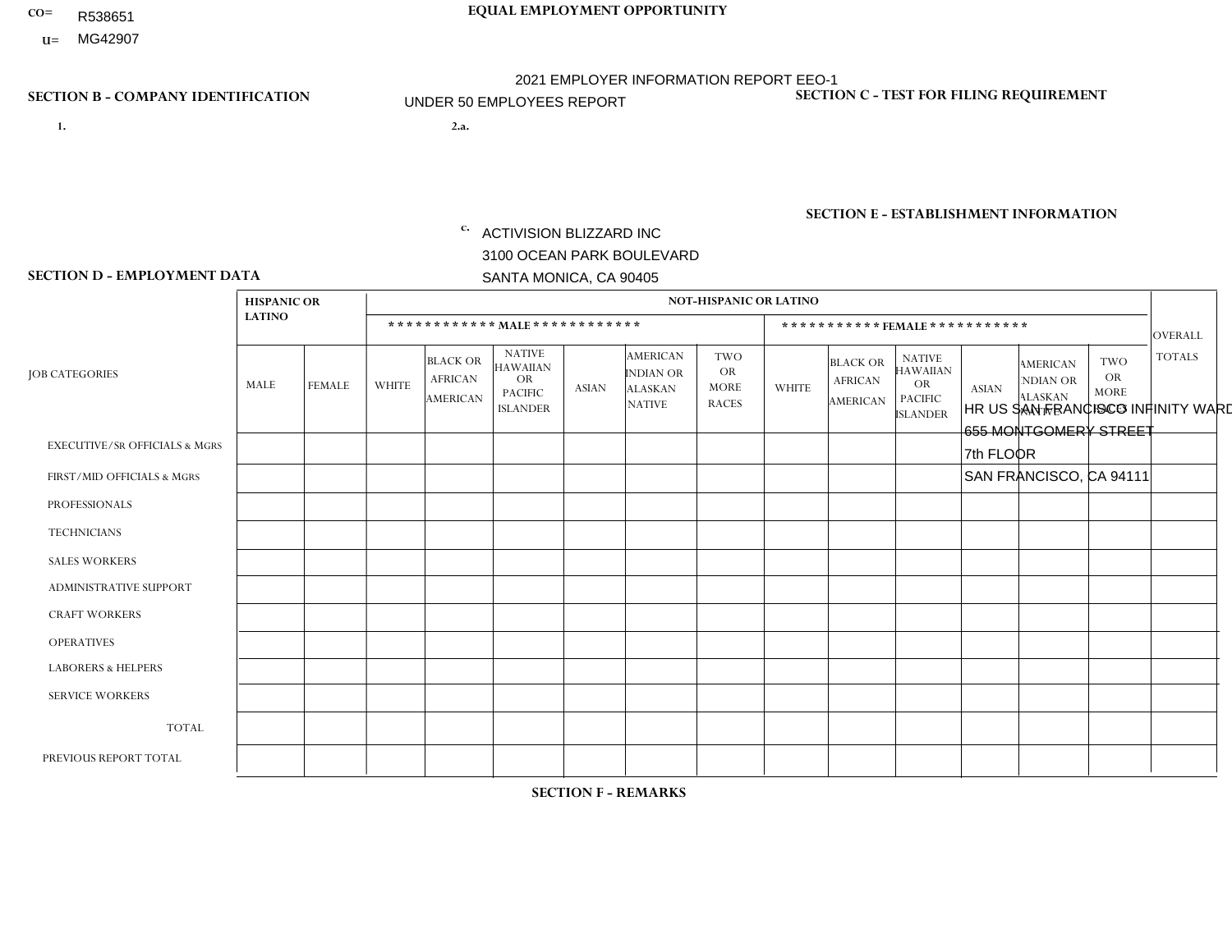- R538651
- **U=** MG42907

- **1. 2.a.** ACTIVISION BLIZZARD INC 3100 OCEAN PARK BOULEVARD SANTA MONICA, CA 90405
- 2.a. HR US SAN FRANCISCO INFINITY WARD 655 MONTGOMERY STREET 7th FLOOR SAN FRANCISCO, CA 94111
	- EIN= 161465268

## **SECTION B - COMPANY IDENTIFICATION SECTION C - TEST FOR FILING REQUIREMENT**

1- Y 2- Y 3- Y DUNS= 098533342

**SECTION E - ESTABLISHMENT INFORMATION c.** NAICS: 511210 - Software Publishers

### **SECTION D - EMPLOYMENT DATA**

|                                          | <b>HISPANIC OR</b> |                | <b>NOT-HISPANIC OR LATINO</b> |                                                      |                                                                                    |              |                                                                        |                                                        |                              |                                               |                                                                                    |              |                                                                       |                                                        |                |
|------------------------------------------|--------------------|----------------|-------------------------------|------------------------------------------------------|------------------------------------------------------------------------------------|--------------|------------------------------------------------------------------------|--------------------------------------------------------|------------------------------|-----------------------------------------------|------------------------------------------------------------------------------------|--------------|-----------------------------------------------------------------------|--------------------------------------------------------|----------------|
|                                          | <b>LATINO</b>      |                |                               |                                                      | ************ MALE ************                                                     |              |                                                                        |                                                        | ***********FEMALE*********** |                                               |                                                                                    |              |                                                                       |                                                        |                |
| <b>JOB CATEGORIES</b>                    | MALE               | <b>FEMALE</b>  | <b>WHITE</b>                  | <b>BLACK OR</b><br><b>AFRICAN</b><br><b>AMERICAN</b> | <b>NATIVE</b><br><b>HAWAIIAN</b><br><b>OR</b><br><b>PACIFIC</b><br><b>ISLANDER</b> | <b>ASIAN</b> | <b>AMERICAN</b><br><b>INDIAN OR</b><br><b>ALASKAN</b><br><b>NATIVE</b> | <b>TWO</b><br><b>OR</b><br><b>MORE</b><br><b>RACES</b> | <b>WHITE</b>                 | <b>BLACK OR</b><br><b>AFRICAN</b><br>AMERICAN | <b>NATIVE</b><br><b>HAWAIIAN</b><br><b>OR</b><br><b>PACIFIC</b><br><b>ISLANDER</b> | <b>ASIAN</b> | <b>AMERICAN</b><br><b>NDIAN OR</b><br><b>ALASKAN</b><br><b>NATIVE</b> | <b>TWO</b><br><b>OR</b><br><b>MORE</b><br><b>RACES</b> | <b>TOTALS</b>  |
| <b>EXECUTIVE/SR OFFICIALS &amp; MGRS</b> | $\mathbf 0$        | 0              | $\mathbf 0$                   | 0                                                    | $\mathbf 0$                                                                        | $\Omega$     | $\Omega$                                                               | $\Omega$                                               | $\Omega$                     | $\Omega$                                      | $\Omega$                                                                           | $\mathbf 0$  | $\Omega$                                                              | $\mathbf 0$                                            | $\mathbf 0$    |
| FIRST/MID OFFICIALS & MGRS               | $\mathbf 0$        | 0              | $\overline{1}$                | 0                                                    | $\Omega$                                                                           | $\Omega$     | $\Omega$                                                               | $\Omega$                                               | $\Omega$                     | $\Omega$                                      | $\Omega$                                                                           | $\Omega$     | $\Omega$                                                              | $\Omega$                                               | $\mathbf{1}$   |
| <b>PROFESSIONALS</b>                     | $\mathbf{0}$       | $\Omega$       | $\overline{1}$                | $\Omega$                                             | $\Omega$                                                                           | 1            | $\Omega$                                                               | $\Omega$                                               | $\mathbf 1$                  | $\Omega$                                      | $\Omega$                                                                           | $\Omega$     | $\Omega$                                                              | $\Omega$                                               | 3              |
| <b>TECHNICIANS</b>                       | $\mathbf 0$        | $\overline{0}$ | $\mathbf 0$                   | $\mathbf 0$                                          | $\Omega$                                                                           | $\Omega$     | $\Omega$                                                               | $\Omega$                                               | $\Omega$                     | $\Omega$                                      | $\Omega$                                                                           | $\Omega$     | $\Omega$                                                              | $\Omega$                                               | $\mathbf 0$    |
| <b>SALES WORKERS</b>                     | $\mathbf{0}$       | $\overline{0}$ | $\Omega$                      | $\Omega$                                             | $\Omega$                                                                           | $\Omega$     | $\Omega$                                                               | $\Omega$                                               | $\Omega$                     | $\Omega$                                      | $\Omega$                                                                           | $\Omega$     | $\Omega$                                                              | $\Omega$                                               | $\mathbf 0$    |
| ADMINISTRATIVE SUPPORT                   | $\mathbf 0$        | $\overline{0}$ | $\mathbf 0$                   | $\mathbf 0$                                          | $\Omega$                                                                           | $\Omega$     | $\Omega$                                                               | $\Omega$                                               | $\mathbf{0}$                 | 0                                             | $\Omega$                                                                           | $\Omega$     | $\Omega$                                                              | $\Omega$                                               | $\mathbf 0$    |
| <b>CRAFT WORKERS</b>                     | $\mathbf 0$        | $\mathbf 0$    | $\mathbf 0$                   | $\mathbf 0$                                          | $\Omega$                                                                           | $\Omega$     | $\Omega$                                                               | $\Omega$                                               | $\Omega$                     | $\Omega$                                      | $\Omega$                                                                           | $\Omega$     | $\Omega$                                                              | $\Omega$                                               | $\mathbf 0$    |
| <b>OPERATIVES</b>                        | $\mathbf 0$        | $\overline{0}$ | $\mathbf 0$                   | 0                                                    | $\Omega$                                                                           | $\Omega$     | $\Omega$                                                               | $\Omega$                                               | $\Omega$                     | $\Omega$                                      | $\Omega$                                                                           | $\Omega$     | $\Omega$                                                              | $\Omega$                                               | $\mathbf 0$    |
| <b>LABORERS &amp; HELPERS</b>            | $\mathbf{0}$       | $\mathbf{0}$   | $\mathbf 0$                   | $\mathbf 0$                                          | $\Omega$                                                                           | $\Omega$     | $\Omega$                                                               | $\Omega$                                               | $\Omega$                     | $\Omega$                                      | $\Omega$                                                                           | $\Omega$     | $\Omega$                                                              | $\Omega$                                               | $\mathbf 0$    |
| <b>SERVICE WORKERS</b>                   | 0                  | $\mathbf{0}$   | $\mathbf 0$                   | 0                                                    | $\Omega$                                                                           | $\Omega$     | $\Omega$                                                               | $\Omega$                                               | $\Omega$                     | $\Omega$                                      | $\Omega$                                                                           | $\Omega$     | $\Omega$                                                              | $\Omega$                                               | $\mathbf 0$    |
| <b>TOTAL</b>                             | $\mathbf 0$        | $\mathbf{0}$   | $\overline{2}$                | $\mathbf 0$                                          | $\Omega$                                                                           | 1            | $\Omega$                                                               | $\Omega$                                               | 1                            | $\Omega$                                      | $\Omega$                                                                           | $\Omega$     | $\Omega$                                                              | $\Omega$                                               | $\overline{4}$ |
| PREVIOUS REPORT TOTAL                    |                    |                |                               |                                                      |                                                                                    |              |                                                                        |                                                        |                              |                                               |                                                                                    |              |                                                                       |                                                        |                |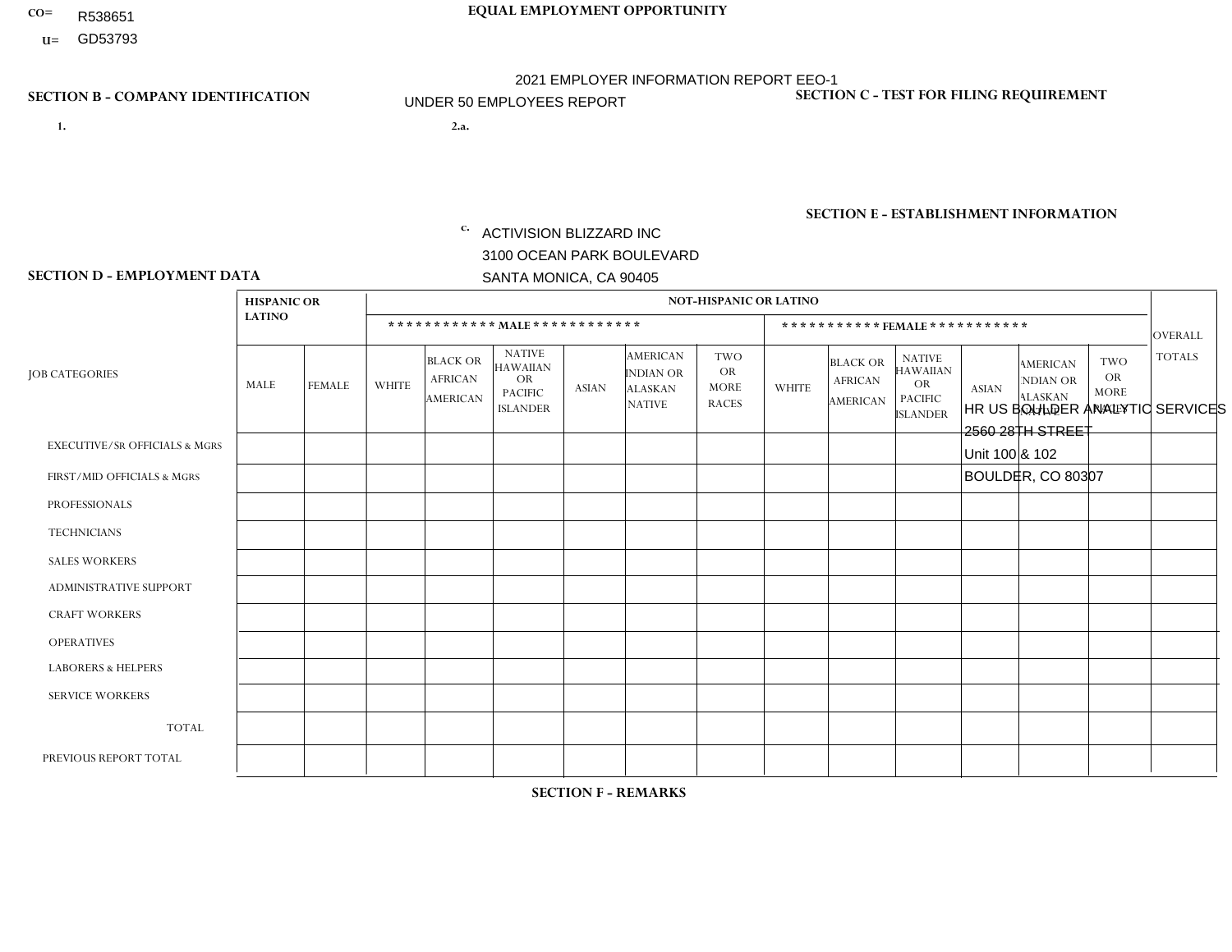- R538651
- **U=**

- **1. 2.a.** ACTIVISION BLIZZARD INC 3100 OCEAN PARK BOULEVARD SANTA MONICA, CA 90405
- 2.a. HR US BOULDER ANALYTIC SERVICES 2560 28TH STREET Unit 100 & 102 BOULDER, CO 80307
	- EIN= 161465268

## **SECTION B - COMPANY IDENTIFICATION SECTION C - TEST FOR FILING REQUIREMENT**

1- Y 2- Y 3- Y DUNS= 098533342

**SECTION E - ESTABLISHMENT INFORMATION c.** NAICS: 511210 - Software Publishers

### **SECTION D - EMPLOYMENT DATA**

|                                          | <b>HISPANIC OR</b> |                | <b>NOT-HISPANIC OR LATINO</b> |                                                      |                                                                                    |                              |                                                                        |                                                        |                |                                                      |                                                                                    |                |                                                                       |                                           |                |
|------------------------------------------|--------------------|----------------|-------------------------------|------------------------------------------------------|------------------------------------------------------------------------------------|------------------------------|------------------------------------------------------------------------|--------------------------------------------------------|----------------|------------------------------------------------------|------------------------------------------------------------------------------------|----------------|-----------------------------------------------------------------------|-------------------------------------------|----------------|
|                                          | <b>LATINO</b>      |                |                               |                                                      | ************ MALE ************                                                     | ***********FEMALE*********** |                                                                        |                                                        |                |                                                      |                                                                                    | OVERALL        |                                                                       |                                           |                |
| <b>JOB CATEGORIES</b>                    | MALE               | <b>FEMALE</b>  | <b>WHITE</b>                  | <b>BLACK OR</b><br><b>AFRICAN</b><br><b>AMERICAN</b> | <b>NATIVE</b><br><b>HAWAIIAN</b><br><b>OR</b><br><b>PACIFIC</b><br><b>ISLANDER</b> | <b>ASIAN</b>                 | <b>AMERICAN</b><br><b>INDIAN OR</b><br><b>ALASKAN</b><br><b>NATIVE</b> | <b>TWO</b><br><b>OR</b><br><b>MORE</b><br><b>RACES</b> | <b>WHITE</b>   | <b>BLACK OR</b><br><b>AFRICAN</b><br><b>AMERICAN</b> | <b>NATIVE</b><br><b>HAWAIIAN</b><br><b>OR</b><br><b>PACIFIC</b><br><b>ISLANDER</b> | <b>ASIAN</b>   | <b>AMERICAN</b><br><b>NDIAN OR</b><br><b>ALASKAN</b><br><b>NATIVE</b> | TWO<br>OR.<br><b>MORE</b><br><b>RACES</b> | <b>TOTALS</b>  |
| <b>EXECUTIVE/SR OFFICIALS &amp; MGRS</b> | $\Omega$           | 0              | $\mathbf 0$                   | $\mathbf 0$                                          | 0                                                                                  | $\mathbf 0$                  | $\mathbf 0$                                                            | $\Omega$                                               | $\Omega$       | $\Omega$                                             | $\Omega$                                                                           | $\Omega$       | $\Omega$                                                              | $\mathbf 0$                               | $\mathbf 0$    |
| FIRST/MID OFFICIALS & MGRS               | $\Omega$           | $\Omega$       | $\mathbf{1}$                  | $\Omega$                                             | 0                                                                                  | $\Omega$                     | $\Omega$                                                               | $\Omega$                                               | $\Omega$       | $\Omega$                                             | $\Omega$                                                                           | 0              | $\Omega$                                                              | $\Omega$                                  | 1              |
| <b>PROFESSIONALS</b>                     | $\Omega$           | 0              | 6                             | $\mathbf 0$                                          | 0                                                                                  | $\mathbf{1}$                 | $\Omega$                                                               | $\Omega$                                               | $\overline{2}$ | $\Omega$                                             | $\Omega$                                                                           | $\overline{2}$ | $\Omega$                                                              | $\Omega$                                  | 11             |
| <b>TECHNICIANS</b>                       | $\Omega$           | $\Omega$       | $\mathbf 0$                   | $\mathbf 0$                                          | 0                                                                                  | $\mathbf 0$                  | $\Omega$                                                               | $\Omega$                                               | $\Omega$       | $\Omega$                                             | $\Omega$                                                                           | $\Omega$       | $\mathbf{0}$                                                          | $\mathbf 0$                               | $\mathbf{0}$   |
| <b>SALES WORKERS</b>                     | $\Omega$           | 0              | $\mathbf 0$                   | $\mathbf 0$                                          | 0                                                                                  | $\mathbf 0$                  | $\mathbf 0$                                                            | $\Omega$                                               | $\Omega$       | $\overline{0}$                                       | $\Omega$                                                                           | $\Omega$       | $\overline{0}$                                                        | $\mathbf 0$                               | $\mathbf 0$    |
| <b>ADMINISTRATIVE SUPPORT</b>            | $\Omega$           | $\overline{0}$ | $\mathbf 0$                   | $\Omega$                                             | 0                                                                                  | $\Omega$                     | $\Omega$                                                               | $\Omega$                                               | $\Omega$       | $\Omega$                                             | $\Omega$                                                                           | 0              | $\Omega$                                                              | $\Omega$                                  | $\mathbf 0$    |
| <b>CRAFT WORKERS</b>                     | $\Omega$           | $\Omega$       | $\mathbf 0$                   | $\mathbf 0$                                          | 0                                                                                  | $\mathbf 0$                  | $\Omega$                                                               | $\Omega$                                               | $\Omega$       | $\Omega$                                             | $\Omega$                                                                           | 0              | $\Omega$                                                              | $\Omega$                                  | $\mathbf 0$    |
| <b>OPERATIVES</b>                        | $\Omega$           | $\Omega$       | $\mathbf 0$                   | $\mathbf 0$                                          | 0                                                                                  | $\mathbf 0$                  | $\mathbf 0$                                                            | $\Omega$                                               | $\Omega$       | $\Omega$                                             | $\Omega$                                                                           | $\Omega$       | $\Omega$                                                              | $\Omega$                                  | $\overline{0}$ |
| <b>LABORERS &amp; HELPERS</b>            | $\Omega$           | $\Omega$       | $\mathbf 0$                   | $\mathbf 0$                                          | 0                                                                                  | $\mathbf 0$                  | $\Omega$                                                               | $\Omega$                                               | $\Omega$       | $\Omega$                                             | $\Omega$                                                                           | $\Omega$       | $\Omega$                                                              | $\Omega$                                  | $\overline{0}$ |
| <b>SERVICE WORKERS</b>                   | $\Omega$           | $\Omega$       | $\mathbf 0$                   | $\mathbf 0$                                          | 0                                                                                  | $\mathbf 0$                  | $\Omega$                                                               | $\Omega$                                               | $\Omega$       | $\Omega$                                             | $\Omega$                                                                           | $\Omega$       | $\Omega$                                                              | $\Omega$                                  | $\mathbf{0}$   |
| <b>TOTAL</b>                             | $\Omega$           | 0              | $\overline{7}$                | $\mathbf 0$                                          | 0                                                                                  | $\mathbf{1}$                 | $\mathbf 0$                                                            | $\Omega$                                               | 2              | $\Omega$                                             | $\Omega$                                                                           | $\overline{2}$ | $\Omega$                                                              | $\Omega$                                  | 12             |
| PREVIOUS REPORT TOTAL                    | $\Omega$           | $\Omega$       | 9                             | $\mathbf 0$                                          | 0                                                                                  | $\mathbf{1}$                 | $\mathbf 0$                                                            | $\Omega$                                               | 3              | $\Omega$                                             | $\Omega$                                                                           | 3              | $\mathbf 0$                                                           | $\mathbf 0$                               | 16             |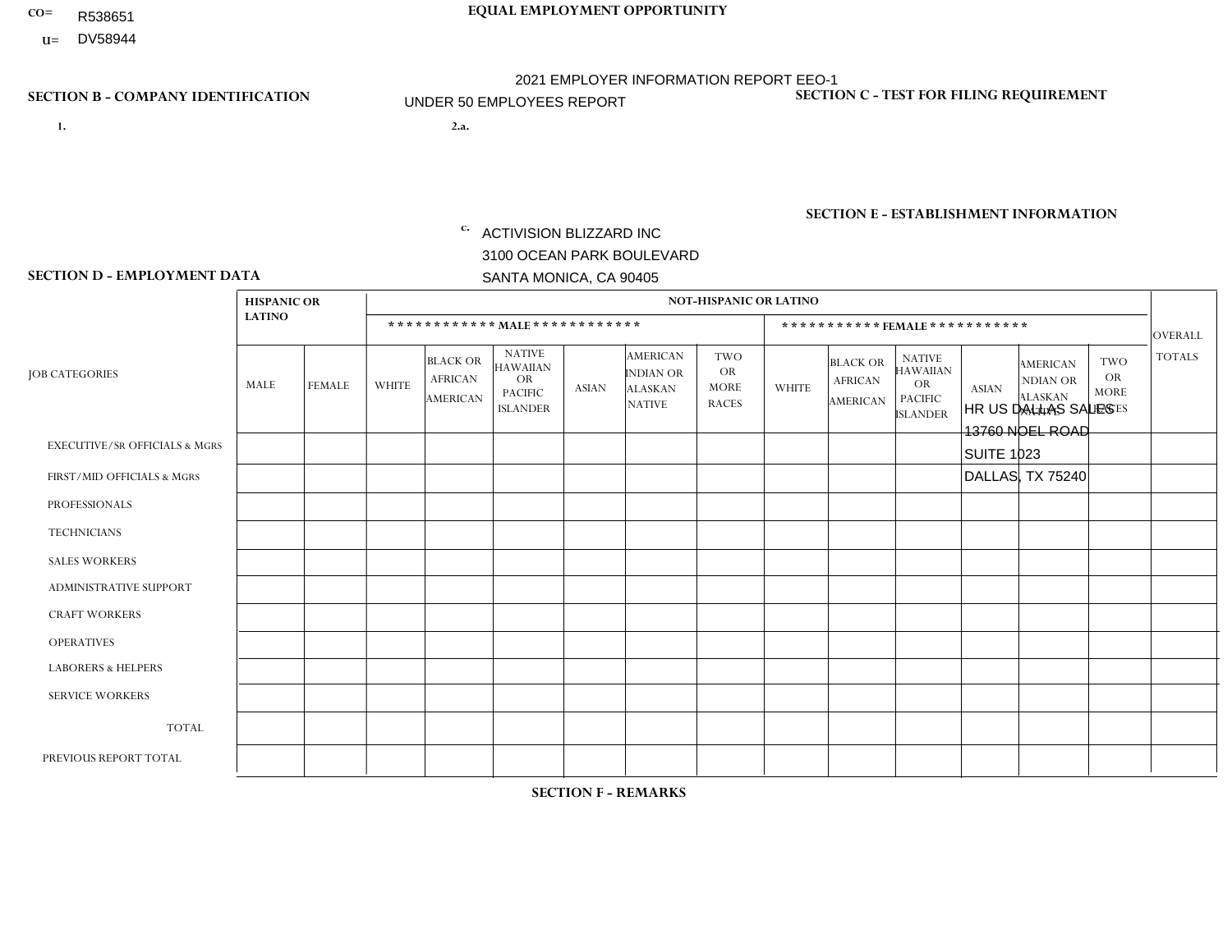- R538651
- **U=** DV58944

**1. 2.a.** ACTIVISION BLIZZARD INC 3100 OCEAN PARK BOULEVARD SANTA MONICA, CA 90405

2.a. HR US DALLAS SALES 13760 NOEL ROAD SUITE 1023 DALLAS, TX 75240

EIN= 161465268

## **SECTION B - COMPANY IDENTIFICATION SECTION C - TEST FOR FILING REQUIREMENT**

1- Y 2- Y 3- Y DUNS= 098533342

**SECTION E - ESTABLISHMENT INFORMATION c.** NAICS: 511210 - Software Publishers

### **SECTION D - EMPLOYMENT DATA**

|                                          | <b>HISPANIC OR</b> |                | <b>NOT-HISPANIC OR LATINO</b> |                                                      |                                                                                    |              |                                                                 |                                                        |                              |                                               |                                                                                    |              |                                                                       |                                                        |                |
|------------------------------------------|--------------------|----------------|-------------------------------|------------------------------------------------------|------------------------------------------------------------------------------------|--------------|-----------------------------------------------------------------|--------------------------------------------------------|------------------------------|-----------------------------------------------|------------------------------------------------------------------------------------|--------------|-----------------------------------------------------------------------|--------------------------------------------------------|----------------|
|                                          | <b>LATINO</b>      |                |                               |                                                      | ************ MAIE************                                                      |              |                                                                 |                                                        | ***********FEMALE*********** |                                               |                                                                                    |              |                                                                       |                                                        |                |
| <b>JOB CATEGORIES</b>                    | <b>MALE</b>        | <b>FEMALE</b>  | <b>WHITE</b>                  | <b>BLACK OR</b><br><b>AFRICAN</b><br><b>AMERICAN</b> | <b>NATIVE</b><br><b>HAWAIIAN</b><br><b>OR</b><br><b>PACIFIC</b><br><b>ISLANDER</b> | <b>ASIAN</b> | <b>AMERICAN</b><br>INDIAN OR<br><b>ALASKAN</b><br><b>NATIVE</b> | <b>TWO</b><br><b>OR</b><br><b>MORE</b><br><b>RACES</b> | <b>WHITE</b>                 | <b>BLACK OR</b><br><b>AFRICAN</b><br>AMERICAN | <b>NATIVE</b><br><b>HAWAIIAN</b><br><b>OR</b><br><b>PACIFIC</b><br><b>ISLANDER</b> | <b>ASIAN</b> | <b>AMERICAN</b><br><b>NDIAN OR</b><br><b>ALASKAN</b><br><b>NATIVE</b> | <b>TWO</b><br><b>OR</b><br><b>MORE</b><br><b>RACES</b> | <b>TOTALS</b>  |
| <b>EXECUTIVE/SR OFFICIALS &amp; MGRS</b> | $\mathbf{0}$       | 0              | $\mathbf 0$                   | $\mathbf 0$                                          | $\mathbf 0$                                                                        | $\Omega$     | $\Omega$                                                        | $\Omega$                                               | $\Omega$                     | $\Omega$                                      | $\Omega$                                                                           | $\mathbf 0$  | $\Omega$                                                              | $\Omega$                                               | $\mathbf 0$    |
| FIRST/MID OFFICIALS & MGRS               | $\mathbf{0}$       | $\mathbf 0$    | $\overline{2}$                | $\mathbf 0$                                          | $\Omega$                                                                           | $\Omega$     | $\Omega$                                                        | $\Omega$                                               | $\overline{2}$               | $\Omega$                                      | $\Omega$                                                                           | $\Omega$     | $\Omega$                                                              | $\Omega$                                               | $\overline{4}$ |
| <b>PROFESSIONALS</b>                     | $\mathbf 0$        | $\mathbf 0$    | $\mathbf 0$                   | 0                                                    | $\Omega$                                                                           | $\Omega$     | $\Omega$                                                        | $\Omega$                                               | $\Omega$                     | $\Omega$                                      | $\Omega$                                                                           | $\Omega$     | $\Omega$                                                              | $\Omega$                                               | $\mathbf 0$    |
| <b>TECHNICIANS</b>                       | $\mathbf{0}$       | $\mathbf 0$    | $\mathbf 0$                   | $\mathbf 0$                                          | $\Omega$                                                                           | $\Omega$     | $\Omega$                                                        | $\Omega$                                               | $\Omega$                     | $\Omega$                                      | $\Omega$                                                                           | $\Omega$     | $\Omega$                                                              | $\Omega$                                               | $\mathbf 0$    |
| <b>SALES WORKERS</b>                     | $\mathbf 0$        | $\mathbf 0$    | $\overline{2}$                | 0                                                    | $\Omega$                                                                           | $\Omega$     | $\Omega$                                                        | $\Omega$                                               | $\mathbf 1$                  | $\Omega$                                      | $\Omega$                                                                           | $\Omega$     | $\Omega$                                                              | $\Omega$                                               | 3              |
| ADMINISTRATIVE SUPPORT                   | $\mathbf{0}$       | $\mathbf{0}$   | $\Omega$                      | $\mathbf 0$                                          | $\Omega$                                                                           | $\Omega$     | $\Omega$                                                        | $\Omega$                                               | $\Omega$                     | $\Omega$                                      | $\Omega$                                                                           | $\Omega$     | $\Omega$                                                              | $\Omega$                                               | $\mathbf 0$    |
| <b>CRAFT WORKERS</b>                     | $\mathbf 0$        | $\overline{0}$ | $\mathbf 0$                   | 0                                                    | $\Omega$                                                                           | $\Omega$     | $\Omega$                                                        | $\Omega$                                               | $\Omega$                     | $\Omega$                                      | $\Omega$                                                                           | $\Omega$     | $\Omega$                                                              | $\Omega$                                               | $\mathbf 0$    |
| <b>OPERATIVES</b>                        | $\mathbf{0}$       | $\Omega$       | $\Omega$                      | $\Omega$                                             | $\Omega$                                                                           | $\Omega$     | $\Omega$                                                        | $\Omega$                                               | $\Omega$                     | $\Omega$                                      | $\Omega$                                                                           | $\Omega$     | $\Omega$                                                              | $\Omega$                                               | $\Omega$       |
| <b>LABORERS &amp; HELPERS</b>            | $\mathbf{0}$       | $\mathbf 0$    | $\mathbf 0$                   | $\mathbf 0$                                          | $\Omega$                                                                           | $\Omega$     | $\Omega$                                                        | $\Omega$                                               | $\Omega$                     | $\Omega$                                      | $\Omega$                                                                           | $\Omega$     | $\Omega$                                                              | $\Omega$                                               | $\mathbf 0$    |
| <b>SERVICE WORKERS</b>                   | $\mathbf 0$        | 0              | 0                             | 0                                                    | $\Omega$                                                                           | $\Omega$     | $\Omega$                                                        | $\Omega$                                               | $\Omega$                     | $\Omega$                                      | $\Omega$                                                                           | $\Omega$     | $\Omega$                                                              | $\Omega$                                               | $\mathbf 0$    |
| <b>TOTAL</b>                             | $\mathbf 0$        | $\mathbf 0$    | $\overline{4}$                | 0                                                    | $\Omega$                                                                           | $\Omega$     | $\Omega$                                                        | $\Omega$                                               | 3                            | $\Omega$                                      | $\Omega$                                                                           | $\Omega$     | $\Omega$                                                              | $\Omega$                                               | $\overline{7}$ |
| PREVIOUS REPORT TOTAL                    | $\mathbf 0$        | $\mathbf 0$    | $\overline{4}$                | 0                                                    | $\Omega$                                                                           | $\Omega$     | 0                                                               | $\Omega$                                               | 1                            | $\mathbf 0$                                   | 0                                                                                  | $\Omega$     | $\Omega$                                                              | $\mathbf 0$                                            | 5              |

**SECTION F - REMARKS**

Employee number decreased only by 2 - small number of employees in this office.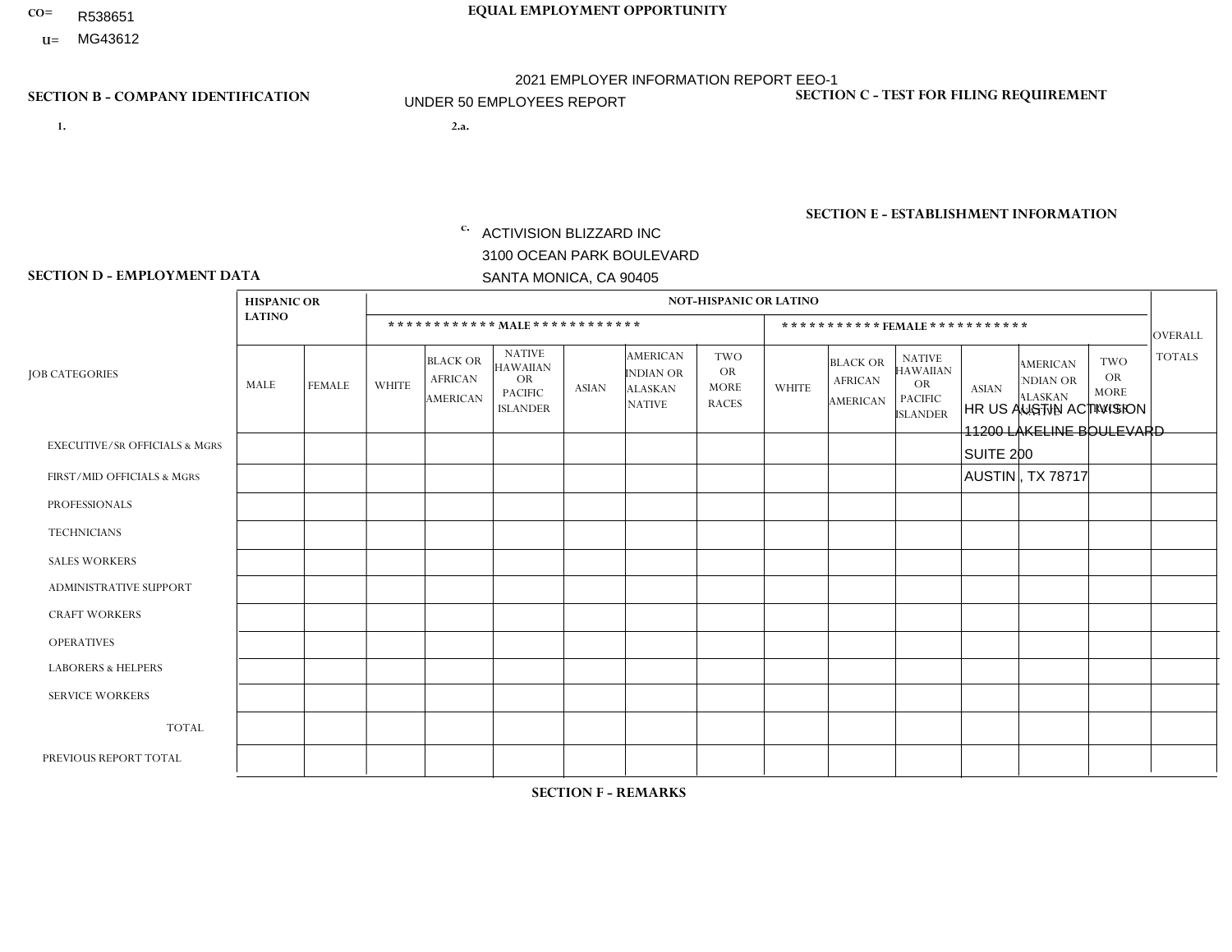- R538651
- **U=**

- **1. 2.a.** ACTIVISION BLIZZARD INC 3100 OCEAN PARK BOULEVARD SANTA MONICA, CA 90405
- 2.a. HR US AUSTIN ACTIVISION 11200 LAKELINE BOULEVARD SUITE 200 AUSTIN , TX 78717
	- EIN= 161465268

## **SECTION B - COMPANY IDENTIFICATION SECTION C - TEST FOR FILING REQUIREMENT**

1- Y 2- Y 3- Y DUNS= 098533342

**SECTION E - ESTABLISHMENT INFORMATION c.** NAICS: 511210 - Software Publishers

## **SECTION D - EMPLOYMENT DATA**

|                                          | <b>HISPANIC OR</b> |                                                                |              | NOT-HISPANIC OR LATINO                               |                                                                                    |              |                                                                        |                                                        |              |                                                      |                                                                                    |              |                                                                       |                                                 |                |
|------------------------------------------|--------------------|----------------------------------------------------------------|--------------|------------------------------------------------------|------------------------------------------------------------------------------------|--------------|------------------------------------------------------------------------|--------------------------------------------------------|--------------|------------------------------------------------------|------------------------------------------------------------------------------------|--------------|-----------------------------------------------------------------------|-------------------------------------------------|----------------|
|                                          | <b>LATINO</b>      | ************ MALE ************<br>***********FEMALE*********** |              |                                                      |                                                                                    |              |                                                                        |                                                        |              |                                                      |                                                                                    | OVERALL      |                                                                       |                                                 |                |
| <b>JOB CATEGORIES</b>                    | MALE               | <b>FEMALE</b>                                                  | <b>WHITE</b> | <b>BLACK OR</b><br><b>AFRICAN</b><br><b>AMERICAN</b> | <b>NATIVE</b><br><b>HAWAIIAN</b><br><b>OR</b><br><b>PACIFIC</b><br><b>ISLANDER</b> | <b>ASIAN</b> | <b>AMERICAN</b><br><b>INDIAN OR</b><br><b>ALASKAN</b><br><b>NATIVE</b> | <b>TWO</b><br><b>OR</b><br><b>MORE</b><br><b>RACES</b> | <b>WHITE</b> | <b>BLACK OR</b><br><b>AFRICAN</b><br><b>AMERICAN</b> | <b>NATIVE</b><br><b>HAWAIIAN</b><br><b>OR</b><br><b>PACIFIC</b><br><b>ISLANDER</b> | <b>ASIAN</b> | <b>AMERICAN</b><br><b>NDIAN OR</b><br><b>ALASKAN</b><br><b>NATIVE</b> | TWO<br><b>OR</b><br><b>MORE</b><br><b>RACES</b> | <b>TOTALS</b>  |
| <b>EXECUTIVE/SR OFFICIALS &amp; MGRS</b> | $\Omega$           | $\Omega$                                                       | $\mathbf 0$  | $\mathbf{0}$                                         | $\mathbf 0$                                                                        | $\Omega$     | $\Omega$                                                               | $\Omega$                                               | $\mathbf{0}$ | $\Omega$                                             | $\Omega$                                                                           | $\Omega$     | $\Omega$                                                              | $\Omega$                                        | $\mathbf 0$    |
| FIRST/MID OFFICIALS & MGRS               | $\Omega$           | $\Omega$                                                       | $\mathbf{1}$ | $\mathbf 0$                                          | 0                                                                                  | $\mathbf 0$  | $\mathbf 0$                                                            | $\Omega$                                               | $\Omega$     | $\Omega$                                             | $\Omega$                                                                           | $\Omega$     | $\Omega$                                                              | $\Omega$                                        | $\mathbf{1}$   |
| <b>PROFESSIONALS</b>                     | $\Omega$           | $\overline{0}$                                                 | $\mathbf{1}$ | $\mathbf 0$                                          | $\mathbf 0$                                                                        | $\mathbf 0$  | $\Omega$                                                               | $\Omega$                                               | $\Omega$     | $\overline{0}$                                       | $\Omega$                                                                           | $\Omega$     | $\Omega$                                                              | $\Omega$                                        | $\mathbf{1}$   |
| <b>TECHNICIANS</b>                       | $\Omega$           | $\Omega$                                                       | $\mathbf 0$  | $\Omega$                                             | 0                                                                                  | $\Omega$     | $\Omega$                                                               | $\Omega$                                               | $\Omega$     | $\Omega$                                             | $\Omega$                                                                           | 0            | $\Omega$                                                              | $\Omega$                                        | $\mathbf 0$    |
| <b>SALES WORKERS</b>                     | $\Omega$           | $\overline{0}$                                                 | $\mathbf 0$  | $\mathbf 0$                                          | 0                                                                                  | $\mathbf 0$  | $\Omega$                                                               | $\Omega$                                               | $\Omega$     | $\Omega$                                             | $\Omega$                                                                           | $\Omega$     | $\Omega$                                                              | $\Omega$                                        | $\mathbf 0$    |
| <b>ADMINISTRATIVE SUPPORT</b>            | $\Omega$           | $\Omega$                                                       | $\mathbf 0$  | $\mathbf 0$                                          | 0                                                                                  | $\mathbf 0$  | 0                                                                      | $\Omega$                                               | $\Omega$     | $\Omega$                                             | $\Omega$                                                                           | $\Omega$     | $\mathbf 0$                                                           | $\mathbf 0$                                     | $\mathbf{0}$   |
| <b>CRAFT WORKERS</b>                     | $\Omega$           | $\Omega$                                                       | $\mathbf 0$  | $\mathbf 0$                                          | 0                                                                                  | $\mathbf 0$  | $\Omega$                                                               | $\Omega$                                               | $\Omega$     | $\Omega$                                             | $\Omega$                                                                           | $\Omega$     | $\Omega$                                                              | $\mathbf 0$                                     | $\mathbf{0}$   |
| <b>OPERATIVES</b>                        | $\Omega$           | $\Omega$                                                       | $\mathbf 0$  | $\mathbf 0$                                          | 0                                                                                  | $\Omega$     | $\Omega$                                                               | $\Omega$                                               | $\Omega$     | $\Omega$                                             | $\Omega$                                                                           | $\Omega$     | $\Omega$                                                              | $\Omega$                                        | $\mathbf 0$    |
| <b>LABORERS &amp; HELPERS</b>            | $\Omega$           | $\mathbf{0}$                                                   | $\mathbf 0$  | $\mathbf 0$                                          | $\mathbf 0$                                                                        | $\mathbf 0$  | $\mathbf 0$                                                            | $\Omega$                                               | $\Omega$     | $\Omega$                                             | $\Omega$                                                                           | $\Omega$     | $\Omega$                                                              | $\Omega$                                        | $\mathbf{0}$   |
| <b>SERVICE WORKERS</b>                   | $\Omega$           | $\Omega$                                                       | $\mathbf 0$  | $\mathbf 0$                                          | 0                                                                                  | $\mathbf 0$  | $\Omega$                                                               | $\Omega$                                               | $\Omega$     | $\Omega$                                             | $\Omega$                                                                           | $\Omega$     | $\Omega$                                                              | $\Omega$                                        | $\mathbf 0$    |
| <b>TOTAL</b>                             | $\Omega$           | 0                                                              | 2            | $\mathbf 0$                                          | 0                                                                                  | $\mathbf 0$  | $\mathbf 0$                                                            | $\Omega$                                               | $\Omega$     | $\Omega$                                             | $\Omega$                                                                           | $\Omega$     | $\Omega$                                                              | $\Omega$                                        | $\overline{2}$ |
| PREVIOUS REPORT TOTAL                    |                    |                                                                |              |                                                      |                                                                                    |              |                                                                        |                                                        |              |                                                      |                                                                                    |              |                                                                       |                                                 |                |